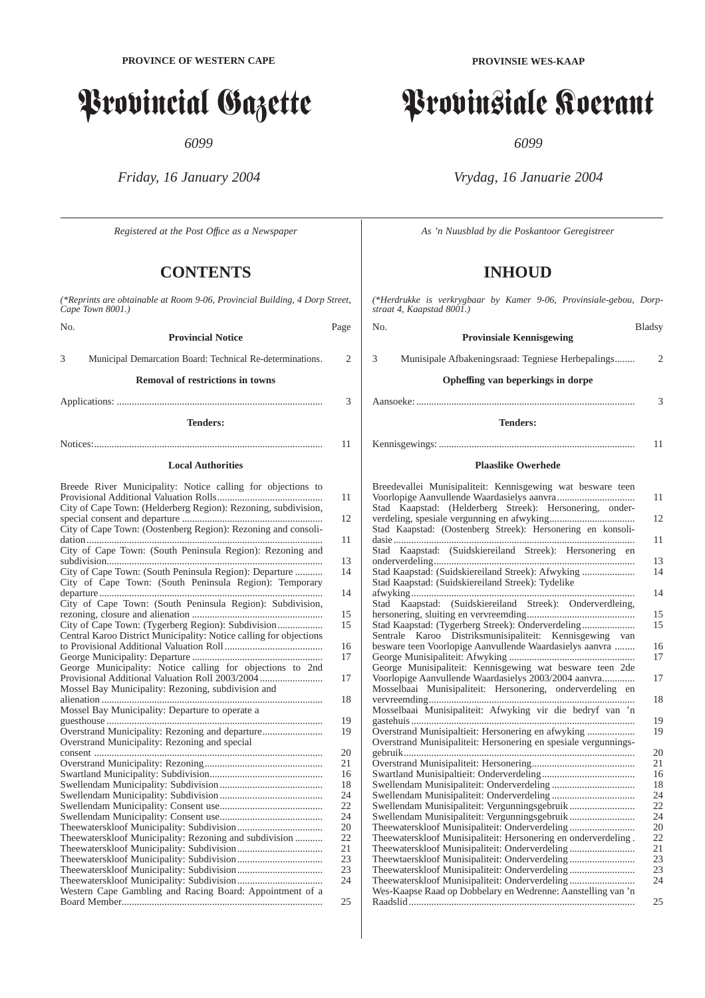# Provincial Gazette

*6099*

*Friday, 16 January 2004*

*Registered at the Post Offıce as a Newspaper*

# **CONTENTS**

*(\*Reprints are obtainable at Room 9-06, Provincial Building, 4 Dorp Street, Cape Town 8001.)*

No. Page **Provincial Notice** 3 Municipal Demarcation Board: Technical Re-determinations. 2

**Removal of restrictions in towns**

Applications: .................................................................................. 3

**Tenders:**

Notices:........................................................................................... 11

### **Local Authorities**

| Breede River Municipality: Notice calling for objections to        |    |
|--------------------------------------------------------------------|----|
| City of Cape Town: (Helderberg Region): Rezoning, subdivision,     | 11 |
|                                                                    | 12 |
| City of Cape Town: (Oostenberg Region): Rezoning and consoli-      |    |
|                                                                    | 11 |
| City of Cape Town: (South Peninsula Region): Rezoning and          |    |
|                                                                    | 13 |
| City of Cape Town: (South Peninsula Region): Departure             | 14 |
| City of Cape Town: (South Peninsula Region): Temporary             |    |
|                                                                    | 14 |
| City of Cape Town: (South Peninsula Region): Subdivision,          |    |
|                                                                    | 15 |
| City of Cape Town: (Tygerberg Region): Subdivision                 | 15 |
| Central Karoo District Municipality: Notice calling for objections |    |
|                                                                    | 16 |
|                                                                    | 17 |
| George Municipality: Notice calling for objections to 2nd          |    |
| Provisional Additional Valuation Roll 2003/2004                    | 17 |
| Mossel Bay Municipality: Rezoning, subdivision and                 |    |
|                                                                    | 18 |
| Mossel Bay Municipality: Departure to operate a                    |    |
|                                                                    | 19 |
| Overstrand Municipality: Rezoning and departure                    | 19 |
| Overstrand Municipality: Rezoning and special                      |    |
|                                                                    | 20 |
|                                                                    | 21 |
|                                                                    | 16 |
|                                                                    | 18 |
|                                                                    | 24 |
|                                                                    | 22 |
|                                                                    | 24 |
|                                                                    | 20 |
| Theewaterskloof Municipality: Rezoning and subdivision             | 22 |
|                                                                    | 21 |
|                                                                    | 23 |
|                                                                    | 23 |
|                                                                    | 24 |
| Western Cape Gambling and Racing Board: Appointment of a           |    |
|                                                                    | 25 |

# Provinsiale Koerant

*6099*

*Vrydag, 16 Januarie 2004*

*As 'n Nuusblad by die Poskantoor Geregistreer*

# **INHOUD**

*(\*Herdrukke is verkrygbaar by Kamer 9-06, Provinsiale-gebou, Dorpstraat 4, Kaapstad 8001.)*

| No.<br><b>Provinsiale Kennisgewing</b>                                                                                | <b>Bladsy</b>  |
|-----------------------------------------------------------------------------------------------------------------------|----------------|
| 3<br>Munisipale Afbakeningsraad: Tegniese Herbepalings                                                                | 2              |
| Opheffing van beperkings in dorpe                                                                                     |                |
|                                                                                                                       | 3              |
| <b>Tenders:</b>                                                                                                       |                |
|                                                                                                                       | 11             |
| <b>Plaaslike Owerhede</b>                                                                                             |                |
| Breedevallei Munisipaliteit: Kennisgewing wat besware teen                                                            |                |
| Stad Kaapstad: (Helderberg Streek): Hersonering, onder-                                                               | 11             |
| Stad Kaapstad: (Oostenberg Streek): Hersonering en konsoli-                                                           | 12             |
| Stad Kaapstad: (Suidskiereiland Streek): Hersonering                                                                  | 11<br>en<br>13 |
| Stad Kaapstad: (Suidskiereiland Streek): Afwyking<br>Stad Kaapstad: (Suidskiereiland Streek): Tydelike                | 14             |
| Stad Kaapstad: (Suidskiereiland Streek): Onderverdleing,                                                              | 14             |
| Stad Kaapstad: (Tygerberg Streek): Onderverdeling                                                                     | 15<br>15       |
| Sentrale Karoo Distriksmunisipaliteit: Kennisgewing van<br>besware teen Voorlopige Aanvullende Waardasielys aanvra    | 16<br>17       |
| George Munisipaliteit: Kennisgewing wat besware teen 2de<br>Voorlopige Aanvullende Waardasielys 2003/2004 aanvra      | 17             |
| Mosselbaai Munisipaliteit: Hersonering, onderverdeling en                                                             | 18             |
| Mosselbaai Munisipaliteit: Afwyking vir die bedryf van 'n                                                             | 19             |
| Overstrand Munisipaltieit: Hersonering en afwyking<br>Overstrand Munisipaliteit: Hersonering en spesiale vergunnings- | 19             |
|                                                                                                                       | 20<br>21       |
|                                                                                                                       | 16             |
|                                                                                                                       | 18             |
| Swellendam Munisipaliteit: Vergunningsgebruik                                                                         | 24<br>22       |
|                                                                                                                       | 24             |
| Theewaterskloof Munisipaliteit: Onderverdeling                                                                        | 20             |
| Theewaterskloof Munisipaliteit: Hersonering en onderverdeling.                                                        | 22             |
|                                                                                                                       | 21             |
| Theewtaerskloof Munisipaliteit: Onderverdeling                                                                        | 23             |
|                                                                                                                       | 23             |
| Theewaterskloof Munisipaliteit: Onderverdeling                                                                        | 24             |
| Wes-Kaapse Raad op Dobbelary en Wedrenne: Aanstelling van 'n                                                          |                |

Raadslid.......................................................................................... 25

**PROVINSIE WES-KAAP**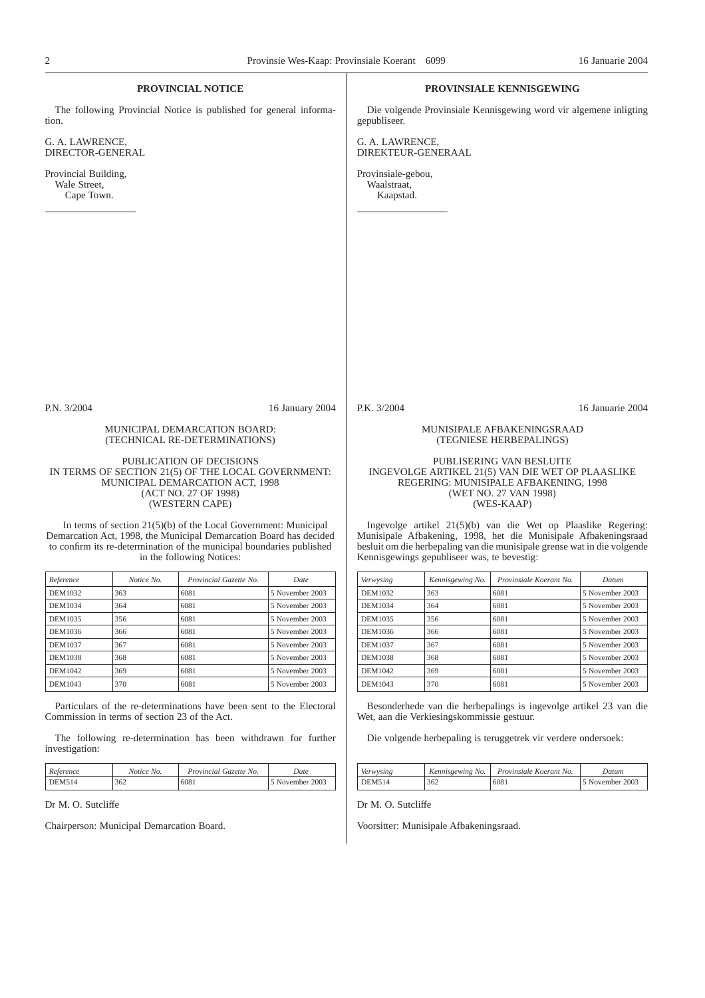|                                                                                                                                 |            | <b>PROVINCIAL NOTICE</b>                                                                                                                                                 |                 |                                                |                                                                                                                                  | <b>PROVINSIALE KENNISGEWING</b>                                                                                                             |                  |
|---------------------------------------------------------------------------------------------------------------------------------|------------|--------------------------------------------------------------------------------------------------------------------------------------------------------------------------|-----------------|------------------------------------------------|----------------------------------------------------------------------------------------------------------------------------------|---------------------------------------------------------------------------------------------------------------------------------------------|------------------|
| tion.                                                                                                                           |            | The following Provincial Notice is published for general informa-                                                                                                        |                 | gepubliseer.                                   |                                                                                                                                  | Die volgende Provinsiale Kennisgewing word vir algemene inligting                                                                           |                  |
| G. A. LAWRENCE,<br>DIRECTOR-GENERAL                                                                                             |            |                                                                                                                                                                          |                 | G. A. LAWRENCE,<br>DIREKTEUR-GENERAAL          |                                                                                                                                  |                                                                                                                                             |                  |
| Provincial Building,<br>Wale Street,<br>Cape Town.                                                                              |            |                                                                                                                                                                          |                 | Provinsiale-gebou,<br>Waalstraat,<br>Kaapstad. |                                                                                                                                  |                                                                                                                                             |                  |
|                                                                                                                                 |            |                                                                                                                                                                          |                 |                                                |                                                                                                                                  |                                                                                                                                             |                  |
|                                                                                                                                 |            |                                                                                                                                                                          |                 |                                                |                                                                                                                                  |                                                                                                                                             |                  |
|                                                                                                                                 |            |                                                                                                                                                                          |                 |                                                |                                                                                                                                  |                                                                                                                                             |                  |
|                                                                                                                                 |            |                                                                                                                                                                          |                 |                                                |                                                                                                                                  |                                                                                                                                             |                  |
|                                                                                                                                 |            |                                                                                                                                                                          |                 |                                                |                                                                                                                                  |                                                                                                                                             |                  |
|                                                                                                                                 |            |                                                                                                                                                                          |                 |                                                |                                                                                                                                  |                                                                                                                                             |                  |
|                                                                                                                                 |            |                                                                                                                                                                          |                 |                                                |                                                                                                                                  |                                                                                                                                             |                  |
| P.N. 3/2004                                                                                                                     |            |                                                                                                                                                                          | 16 January 2004 | P.K. 3/2004                                    |                                                                                                                                  |                                                                                                                                             | 16 Januarie 2004 |
|                                                                                                                                 |            | MUNICIPAL DEMARCATION BOARD:<br>(TECHNICAL RE-DETERMINATIONS)                                                                                                            |                 |                                                |                                                                                                                                  | MUNISIPALE AFBAKENINGSRAAD<br>(TEGNIESE HERBEPALINGS)                                                                                       |                  |
|                                                                                                                                 |            | PUBLICATION OF DECISIONS                                                                                                                                                 |                 |                                                |                                                                                                                                  | PUBLISERING VAN BESLUITE                                                                                                                    |                  |
| IN TERMS OF SECTION 21(5) OF THE LOCAL GOVERNMENT:<br>MUNICIPAL DEMARCATION ACT, 1998<br>(ACT NO. 27 OF 1998)<br>(WESTERN CAPE) |            |                                                                                                                                                                          |                 |                                                | INGEVOLGE ARTIKEL 21(5) VAN DIE WET OP PLAASLIKE<br>REGERING: MUNISIPALE AFBAKENING, 1998<br>(WET NO. 27 VAN 1998)<br>(WES-KAAP) |                                                                                                                                             |                  |
|                                                                                                                                 |            | In terms of section $21(5)(b)$ of the Local Government: Municipal                                                                                                        |                 |                                                |                                                                                                                                  | Ingevolge artikel $21(5)(b)$ van die Wet op Plaaslike Regering:                                                                             |                  |
|                                                                                                                                 |            | Demarcation Act, 1998, the Municipal Demarcation Board has decided<br>to confirm its re-determination of the municipal boundaries published<br>in the following Notices: |                 |                                                | Kennisgewings gepubliseer was, te bevestig:                                                                                      | Munisipale Afbakening, 1998, het die Munisipale Afbakeningsraad<br>besluit om die herbepaling van die munisipale grense wat in die volgende |                  |
| Reference                                                                                                                       | Notice No. | Provincial Gazette No.                                                                                                                                                   | Date            | Verwysing                                      | Kennisgewing No.                                                                                                                 | Provinsiale Koerant No.                                                                                                                     | Datum            |
| DEM1032                                                                                                                         | 363        | 6081                                                                                                                                                                     | 5 November 2003 | <b>DEM1032</b>                                 | 363                                                                                                                              | 6081                                                                                                                                        | 5 November 2003  |
| <b>DEM1034</b>                                                                                                                  | 364        | 6081                                                                                                                                                                     | 5 November 2003 | DEM1034                                        | 364                                                                                                                              | 6081                                                                                                                                        | 5 November 2003  |
| DEM1035                                                                                                                         | 356        | 6081                                                                                                                                                                     | 5 November 2003 | DEM1035                                        | 356                                                                                                                              | 6081                                                                                                                                        | 5 November 2003  |
| DEM1036                                                                                                                         | 366        | 6081                                                                                                                                                                     | 5 November 2003 | DEM1036                                        | 366                                                                                                                              | 6081                                                                                                                                        | 5 November 2003  |
| <b>DEM1037</b>                                                                                                                  | 367        | 6081                                                                                                                                                                     | 5 November 2003 | DEM1037                                        | 367                                                                                                                              | 6081                                                                                                                                        | 5 November 2003  |
| <b>DEM1038</b>                                                                                                                  | 368        | 6081                                                                                                                                                                     | 5 November 2003 | <b>DEM1038</b>                                 | 368                                                                                                                              | 6081                                                                                                                                        | 5 November 2003  |
| DEM1042                                                                                                                         | 369        | 6081                                                                                                                                                                     | 5 November 2003 | DEM1042                                        | 369                                                                                                                              | 6081                                                                                                                                        | 5 November 2003  |
| DEM1043                                                                                                                         | 370        | 6081                                                                                                                                                                     | 5 November 2003 | DEM1043                                        | 370                                                                                                                              | 6081                                                                                                                                        | 5 November 2003  |

Particulars of the re-determinations have been sent to the Electoral Commission in terms of section 23 of the Act.

The following re-determination has been withdrawn for further investigation:

| Reference | Notice No. | Provincial Gazette No. | Date            |
|-----------|------------|------------------------|-----------------|
| DEM514    | 362        | 6081                   | 5 November 2003 |

Dr M. O. Sutcliffe

Chairperson: Municipal Demarcation Board.

Dr M. O. Sutcliffe

Voorsitter: Munisipale Afbakeningsraad.

Wet, aan die Verkiesingskommissie gestuur.

Besonderhede van die herbepalings is ingevolge artikel 23 van die

5 November 2003

Die volgende herbepaling is teruggetrek vir verdere ondersoek:

*Verwysing Kennisgewing No. Provinsiale Koerant No. Datum*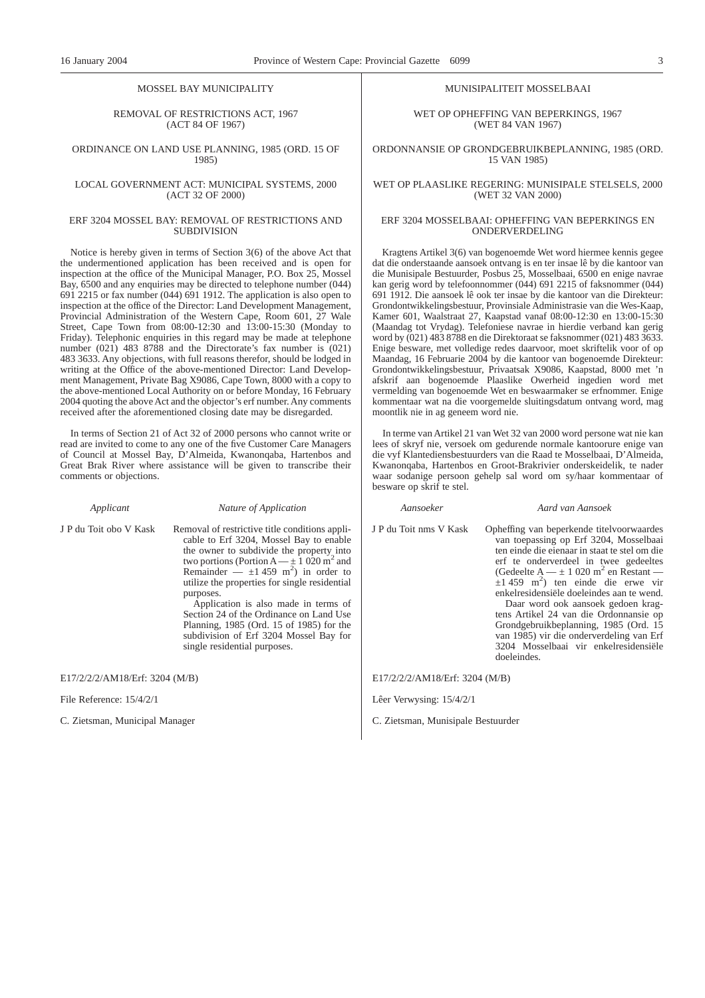#### MOSSEL BAY MUNICIPALITY

#### REMOVAL OF RESTRICTIONS ACT, 1967 (ACT 84 OF 1967)

#### ORDINANCE ON LAND USE PLANNING, 1985 (ORD. 15 OF 1985)

#### LOCAL GOVERNMENT ACT: MUNICIPAL SYSTEMS, 2000 (ACT 32 OF 2000)

#### ERF 3204 MOSSEL BAY: REMOVAL OF RESTRICTIONS AND SUBDIVISION

Notice is hereby given in terms of Section 3(6) of the above Act that the undermentioned application has been received and is open for inspection at the office of the Municipal Manager, P.O. Box 25, Mossel Bay, 6500 and any enquiries may be directed to telephone number (044) 691 2215 or fax number (044) 691 1912. The application is also open to inspection at the office of the Director: Land Development Management, Provincial Administration of the Western Cape, Room 601, 27 Wale Street, Cape Town from 08:00-12:30 and 13:00-15:30 (Monday to Friday). Telephonic enquiries in this regard may be made at telephone number (021) 483 8788 and the Directorate's fax number is (021) 483 3633. Any objections, with full reasons therefor, should be lodged in writing at the Office of the above-mentioned Director: Land Development Management, Private Bag X9086, Cape Town, 8000 with a copy to the above-mentioned Local Authority on or before Monday, 16 February 2004 quoting the above Act and the objector's erf number. Any comments received after the aforementioned closing date may be disregarded.

In terms of Section 21 of Act 32 of 2000 persons who cannot write or read are invited to come to any one of the five Customer Care Managers of Council at Mossel Bay, D'Almeida, Kwanonqaba, Hartenbos and Great Brak River where assistance will be given to transcribe their comments or objections.

*Applicant Nature of Application*

J P du Toit obo V Kask Removal of restrictive title conditions applicable to Erf 3204, Mossel Bay to enable the owner to subdivide the property into two portions (Portion  $A = \pm 1020$  m<sup>2</sup> and Remainder  $\frac{1}{2} \pm 1.459$  m<sup>2</sup>) in order to utilize the properties for single residential purposes.

Application is also made in terms of Section 24 of the Ordinance on Land Use Planning, 1985 (Ord. 15 of 1985) for the subdivision of Erf 3204 Mossel Bay for single residential purposes.

E17/2/2/2/AM18/Erf: 3204 (M/B)

File Reference: 15/4/2/1

C. Zietsman, Municipal Manager

#### MUNISIPALITEIT MOSSELBAAI

WET OP OPHEFFING VAN BEPERKINGS, 1967 (WET 84 VAN 1967)

### ORDONNANSIE OP GRONDGEBRUIKBEPLANNING, 1985 (ORD. 15 VAN 1985)

#### WET OP PLAASLIKE REGERING: MUNISIPALE STELSELS, 2000 (WET 32 VAN 2000)

### ERF 3204 MOSSELBAAI: OPHEFFING VAN BEPERKINGS EN ONDERVERDELING

Kragtens Artikel 3(6) van bogenoemde Wet word hiermee kennis gegee dat die onderstaande aansoek ontvang is en ter insae lê by die kantoor van die Munisipale Bestuurder, Posbus 25, Mosselbaai, 6500 en enige navrae kan gerig word by telefoonnommer (044) 691 2215 of faksnommer (044) 691 1912. Die aansoek lê ook ter insae by die kantoor van die Direkteur: Grondontwikkelingsbestuur, Provinsiale Administrasie van die Wes-Kaap, Kamer 601, Waalstraat 27, Kaapstad vanaf 08:00-12:30 en 13:00-15:30 (Maandag tot Vrydag). Telefoniese navrae in hierdie verband kan gerig word by (021) 483 8788 en die Direktoraat se faksnommer (021) 483 3633. Enige besware, met volledige redes daarvoor, moet skriftelik voor of op Maandag, 16 Februarie 2004 by die kantoor van bogenoemde Direkteur: Grondontwikkelingsbestuur, Privaatsak X9086, Kaapstad, 8000 met 'n afskrif aan bogenoemde Plaaslike Owerheid ingedien word met vermelding van bogenoemde Wet en beswaarmaker se erfnommer. Enige kommentaar wat na die voorgemelde sluitingsdatum ontvang word, mag moontlik nie in ag geneem word nie.

In terme van Artikel 21 van Wet 32 van 2000 word persone wat nie kan lees of skryf nie, versoek om gedurende normale kantoorure enige van die vyf Klantediensbestuurders van die Raad te Mosselbaai, D'Almeida, Kwanonqaba, Hartenbos en Groot-Brakrivier onderskeidelik, te nader waar sodanige persoon gehelp sal word om sy/haar kommentaar of besware op skrif te stel.

doeleindes.

*Aansoeker Aard van Aansoek*

J P du Toit nms V Kask Opheffing van beperkende titelvoorwaardes van toepassing op Erf 3204, Mosselbaai ten einde die eienaar in staat te stel om die erf te onderverdeel in twee gedeeltes (Gedeelte A —  $\pm$  1 020 m<sup>2</sup> en Restant —  $\pm 1$  459 m<sup>2</sup>) ten einde die erwe vir enkelresidensiële doeleindes aan te wend. Daar word ook aansoek gedoen kragtens Artikel 24 van die Ordonnansie op Grondgebruikbeplanning, 1985 (Ord. 15 van 1985) vir die onderverdeling van Erf 3204 Mosselbaai vir enkelresidensiële

E17/2/2/2/AM18/Erf: 3204 (M/B)

Lêer Verwysing: 15/4/2/1

C. Zietsman, Munisipale Bestuurder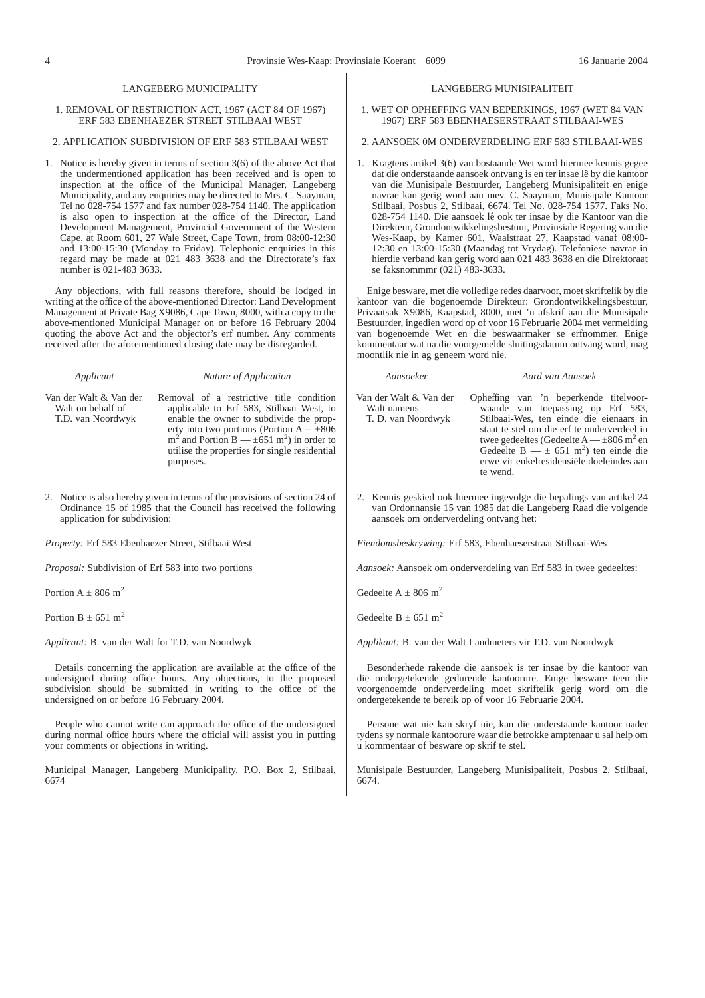#### LANGEBERG MUNICIPALITY

#### 1. REMOVAL OF RESTRICTION ACT, 1967 (ACT 84 OF 1967) ERF 583 EBENHAEZER STREET STILBAAI WEST

#### 2. APPLICATION SUBDIVISION OF ERF 583 STILBAAI WEST

1. Notice is hereby given in terms of section 3(6) of the above Act that the undermentioned application has been received and is open to inspection at the office of the Municipal Manager, Langeberg Municipality, and any enquiries may be directed to Mrs. C. Saayman, Tel no 028-754 1577 and fax number 028-754 1140. The application is also open to inspection at the office of the Director, Land Development Management, Provincial Government of the Western Cape, at Room 601, 27 Wale Street, Cape Town, from 08:00-12:30 and 13:00-15:30 (Monday to Friday). Telephonic enquiries in this regard may be made at 021 483 3638 and the Directorate's fax number is 021-483 3633.

Any objections, with full reasons therefore, should be lodged in writing at the office of the above-mentioned Director: Land Development Management at Private Bag X9086, Cape Town, 8000, with a copy to the above-mentioned Municipal Manager on or before 16 February 2004 quoting the above Act and the objector's erf number. Any comments received after the aforementioned closing date may be disregarded.

*Applicant Nature of Application*

Van der Walt & Van der Walt on behalf of T.D. van Noordwyk

Removal of a restrictive title condition applicable to Erf 583, Stilbaai West, to enable the owner to subdivide the property into two portions (Portion A -- ±806  $m^2$  and Portion B —  $\pm 651$  m<sup>2</sup>) in order to utilise the properties for single residential purposes.

2. Notice is also hereby given in terms of the provisions of section 24 of Ordinance 15 of 1985 that the Council has received the following application for subdivision:

*Property:* Erf 583 Ebenhaezer Street, Stilbaai West

*Proposal:* Subdivision of Erf 583 into two portions

Portion  $A + 806$  m<sup>2</sup>

Portion B  $+$  651 m<sup>2</sup>

*Applicant:* B. van der Walt for T.D. van Noordwyk

Details concerning the application are available at the office of the undersigned during office hours. Any objections, to the proposed subdivision should be submitted in writing to the office of the undersigned on or before 16 February 2004.

People who cannot write can approach the office of the undersigned during normal office hours where the official will assist you in putting your comments or objections in writing.

Municipal Manager, Langeberg Municipality, P.O. Box 2, Stilbaai, 6674

#### LANGEBERG MUNISIPALITEIT

1. WET OP OPHEFFING VAN BEPERKINGS, 1967 (WET 84 VAN 1967) ERF 583 EBENHAESERSTRAAT STILBAAI-WES

#### 2. AANSOEK 0M ONDERVERDELING ERF 583 STILBAAI-WES

1. Kragtens artikel 3(6) van bostaande Wet word hiermee kennis gegee dat die onderstaande aansoek ontvang is en ter insae lê by die kantoor van die Munisipale Bestuurder, Langeberg Munisipaliteit en enige navrae kan gerig word aan mev. C. Saayman, Munisipale Kantoor Stilbaai, Posbus 2, Stilbaai, 6674. Tel No. 028-754 1577. Faks No. 028-754 1140. Die aansoek lê ook ter insae by die Kantoor van die Direkteur, Grondontwikkelingsbestuur, Provinsiale Regering van die Wes-Kaap, by Kamer 601, Waalstraat 27, Kaapstad vanaf 08:00- 12:30 en 13:00-15:30 (Maandag tot Vrydag). Telefoniese navrae in hierdie verband kan gerig word aan 021 483 3638 en die Direktoraat se faksnommmr (021) 483-3633.

Enige besware, met die volledige redes daarvoor, moet skriftelik by die kantoor van die bogenoemde Direkteur: Grondontwikkelingsbestuur, Privaatsak X9086, Kaapstad, 8000, met 'n afskrif aan die Munisipale Bestuurder, ingedien word op of voor 16 Februarie 2004 met vermelding van bogenoemde Wet en die beswaarmaker se erfnommer. Enige kommentaar wat na die voorgemelde sluitingsdatum ontvang word, mag moontlik nie in ag geneem word nie.

*Aansoeker Aard van Aansoek*

Van der Walt & Van der Walt namens T. D. van Noordwyk Opheffing van 'n beperkende titelvoorwaarde van toepassing op Erf 583, Stilbaai-Wes, ten einde die eienaars in staat te stel om die erf te onderverdeel in twee gedeeltes (Gedeelte  $A = \pm 806$  m<sup>2</sup> en Gedeelte B  $- \pm 651$  m<sup>2</sup>) ten einde die erwe vir enkelresidensiële doeleindes aan te wend.

2. Kennis geskied ook hiermee ingevolge die bepalings van artikel 24 van Ordonnansie 15 van 1985 dat die Langeberg Raad die volgende aansoek om onderverdeling ontvang het:

*Eiendomsbeskrywing:* Erf 583, Ebenhaeserstraat Stilbaai-Wes

*Aansoek:* Aansoek om onderverdeling van Erf 583 in twee gedeeltes:

Gedeelte A + 806 m<sup>2</sup>

Gedeelte B  $\pm$  651 m<sup>2</sup>

*Applikant:* B. van der Walt Landmeters vir T.D. van Noordwyk

Besonderhede rakende die aansoek is ter insae by die kantoor van die ondergetekende gedurende kantoorure. Enige besware teen die voorgenoemde onderverdeling moet skriftelik gerig word om die ondergetekende te bereik op of voor 16 Februarie 2004.

Persone wat nie kan skryf nie, kan die onderstaande kantoor nader tydens sy normale kantoorure waar die betrokke amptenaar u sal help om u kommentaar of besware op skrif te stel.

Munisipale Bestuurder, Langeberg Munisipaliteit, Posbus 2, Stilbaai, 6674.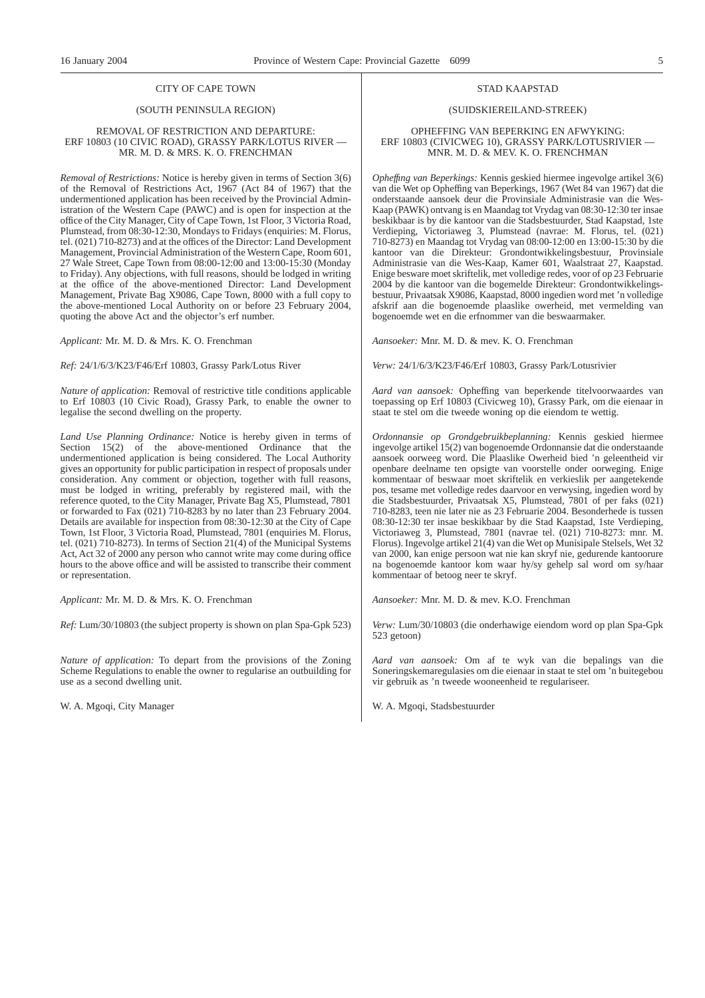### CITY OF CAPE TOWN

### (SOUTH PENINSULA REGION)

#### REMOVAL OF RESTRICTION AND DEPARTURE: ERF 10803 (10 CIVIC ROAD), GRASSY PARK/LOTUS RIVER — MR. M. D. & MRS. K. O. FRENCHMAN

*Removal of Restrictions:* Notice is hereby given in terms of Section 3(6) of the Removal of Restrictions Act, 1967 (Act 84 of 1967) that the undermentioned application has been received by the Provincial Administration of the Western Cape (PAWC) and is open for inspection at the office of the City Manager, City of Cape Town, 1st Floor, 3 Victoria Road, Plumstead, from 08:30-12:30, Mondays to Fridays (enquiries: M. Florus, tel. (021) 710-8273) and at the offices of the Director: Land Development Management, Provincial Administration of the Western Cape, Room 601, 27 Wale Street, Cape Town from 08:00-12:00 and 13:00-15:30 (Monday to Friday). Any objections, with full reasons, should be lodged in writing at the office of the above-mentioned Director: Land Development Management, Private Bag X9086, Cape Town, 8000 with a full copy to the above-mentioned Local Authority on or before 23 February 2004, quoting the above Act and the objector's erf number.

*Applicant:* Mr. M. D. & Mrs. K. O. Frenchman

*Ref:* 24/1/6/3/K23/F46/Erf 10803, Grassy Park/Lotus River

*Nature of application:* Removal of restrictive title conditions applicable to Erf 10803 (10 Civic Road), Grassy Park, to enable the owner to legalise the second dwelling on the property.

*Land Use Planning Ordinance:* Notice is hereby given in terms of Section 15(2) of the above-mentioned Ordinance that the undermentioned application is being considered. The Local Authority gives an opportunity for public participation in respect of proposals under consideration. Any comment or objection, together with full reasons, must be lodged in writing, preferably by registered mail, with the reference quoted, to the City Manager, Private Bag X5, Plumstead, 7801 or forwarded to Fax (021) 710-8283 by no later than 23 February 2004. Details are available for inspection from 08:30-12:30 at the City of Cape Town, 1st Floor, 3 Victoria Road, Plumstead, 7801 (enquiries M. Florus, tel. (021) 710-8273). In terms of Section 21(4) of the Municipal Systems Act, Act 32 of 2000 any person who cannot write may come during office hours to the above office and will be assisted to transcribe their comment or representation.

*Applicant:* Mr. M. D. & Mrs. K. O. Frenchman

*Ref:* Lum/30/10803 (the subject property is shown on plan Spa-Gpk 523)

*Nature of application:* To depart from the provisions of the Zoning Scheme Regulations to enable the owner to regularise an outbuilding for use as a second dwelling unit.

W. A. Mgoqi, City Manager

#### STAD KAAPSTAD

### (SUIDSKIEREILAND-STREEK)

#### OPHEFFING VAN BEPERKING EN AFWYKING: ERF 10803 (CIVICWEG 10), GRASSY PARK/LOTUSRIVIER — MNR. M. D. & MEV. K. O. FRENCHMAN

*Opheffıng van Beperkings:* Kennis geskied hiermee ingevolge artikel 3(6) van die Wet op Opheffing van Beperkings, 1967 (Wet 84 van 1967) dat die onderstaande aansoek deur die Provinsiale Administrasie van die Wes-Kaap (PAWK) ontvang is en Maandag tot Vrydag van 08:30-12:30 ter insae beskikbaar is by die kantoor van die Stadsbestuurder, Stad Kaapstad, 1ste Verdieping, Victoriaweg 3, Plumstead (navrae: M. Florus, tel. (021) 710-8273) en Maandag tot Vrydag van 08:00-12:00 en 13:00-15:30 by die kantoor van die Direkteur: Grondontwikkelingsbestuur, Provinsiale Administrasie van die Wes-Kaap, Kamer 601, Waalstraat 27, Kaapstad. Enige besware moet skriftelik, met volledige redes, voor of op 23 Februarie 2004 by die kantoor van die bogemelde Direkteur: Grondontwikkelingsbestuur, Privaatsak X9086, Kaapstad, 8000 ingedien word met 'n volledige afskrif aan die bogenoemde plaaslike owerheid, met vermelding van bogenoemde wet en die erfnommer van die beswaarmaker.

*Aansoeker:* Mnr. M. D. & mev. K. O. Frenchman

*Verw:* 24/1/6/3/K23/F46/Erf 10803, Grassy Park/Lotusrivier

*Aard van aansoek:* Opheffing van beperkende titelvoorwaardes van toepassing op Erf 10803 (Civicweg 10), Grassy Park, om die eienaar in staat te stel om die tweede woning op die eiendom te wettig.

*Ordonnansie op Grondgebruikbeplanning:* Kennis geskied hiermee ingevolge artikel 15(2) van bogenoemde Ordonnansie dat die onderstaande aansoek oorweeg word. Die Plaaslike Owerheid bied 'n geleentheid vir openbare deelname ten opsigte van voorstelle onder oorweging. Enige kommentaar of beswaar moet skriftelik en verkieslik per aangetekende pos, tesame met volledige redes daarvoor en verwysing, ingedien word by die Stadsbestuurder, Privaatsak X5, Plumstead, 7801 of per faks (021) 710-8283, teen nie later nie as 23 Februarie 2004. Besonderhede is tussen 08:30-12:30 ter insae beskikbaar by die Stad Kaapstad, 1ste Verdieping, Victoriaweg 3, Plumstead, 7801 (navrae tel. (021) 710-8273: mnr. M. Florus). Ingevolge artikel 21(4) van die Wet op Munisipale Stelsels, Wet 32 van 2000, kan enige persoon wat nie kan skryf nie, gedurende kantoorure na bogenoemde kantoor kom waar hy/sy gehelp sal word om sy/haar kommentaar of betoog neer te skryf.

*Aansoeker:* Mnr. M. D. & mev. K.O. Frenchman

*Verw:* Lum/30/10803 (die onderhawige eiendom word op plan Spa-Gpk 523 getoon)

*Aard van aansoek:* Om af te wyk van die bepalings van die Soneringskemaregulasies om die eienaar in staat te stel om 'n buitegebou vir gebruik as 'n tweede wooneenheid te regulariseer.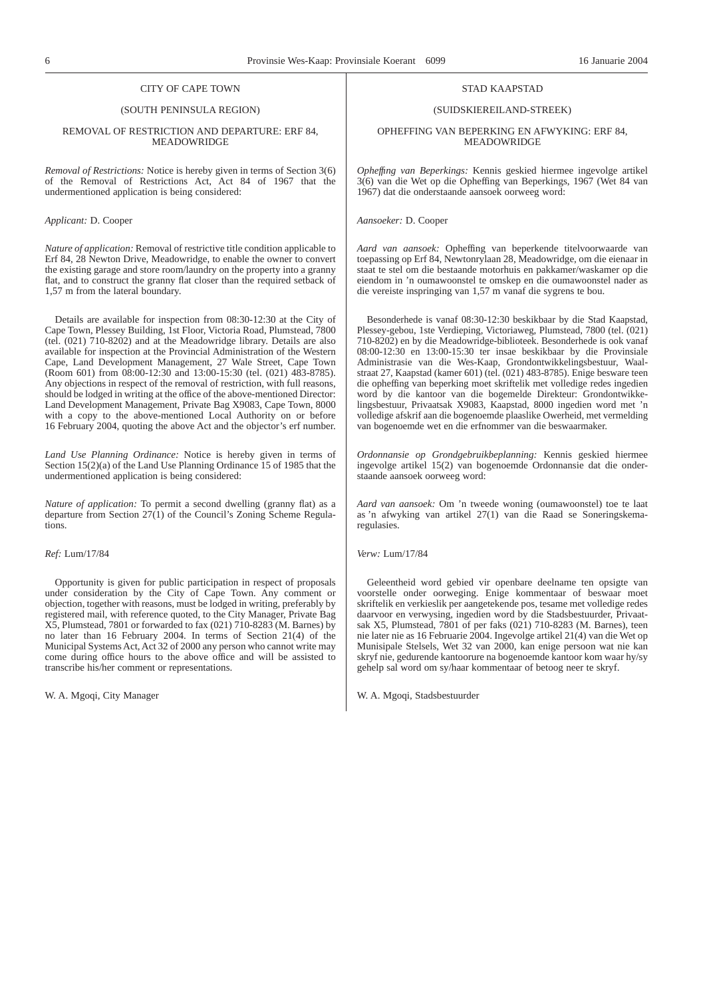#### CITY OF CAPE TOWN

### (SOUTH PENINSULA REGION)

#### REMOVAL OF RESTRICTION AND DEPARTURE: ERF 84, MEADOWRIDGE

*Removal of Restrictions:* Notice is hereby given in terms of Section 3(6) of the Removal of Restrictions Act, Act 84 of 1967 that the undermentioned application is being considered:

#### *Applicant:* D. Cooper

*Nature of application:* Removal of restrictive title condition applicable to Erf 84, 28 Newton Drive, Meadowridge, to enable the owner to convert the existing garage and store room/laundry on the property into a granny flat, and to construct the granny flat closer than the required setback of 1,57 m from the lateral boundary.

Details are available for inspection from 08:30-12:30 at the City of Cape Town, Plessey Building, 1st Floor, Victoria Road, Plumstead, 7800 (tel. (021) 710-8202) and at the Meadowridge library. Details are also available for inspection at the Provincial Administration of the Western Cape, Land Development Management, 27 Wale Street, Cape Town (Room 601) from 08:00-12:30 and 13:00-15:30 (tel. (021) 483-8785). Any objections in respect of the removal of restriction, with full reasons, should be lodged in writing at the office of the above-mentioned Director: Land Development Management, Private Bag X9083, Cape Town, 8000 with a copy to the above-mentioned Local Authority on or before 16 February 2004, quoting the above Act and the objector's erf number.

*Land Use Planning Ordinance:* Notice is hereby given in terms of Section 15(2)(a) of the Land Use Planning Ordinance 15 of 1985 that the undermentioned application is being considered:

*Nature of application:* To permit a second dwelling (granny flat) as a departure from Section 27(1) of the Council's Zoning Scheme Regulations.

#### *Ref:* Lum/17/84

Opportunity is given for public participation in respect of proposals under consideration by the City of Cape Town. Any comment or objection, together with reasons, must be lodged in writing, preferably by registered mail, with reference quoted, to the City Manager, Private Bag X5, Plumstead, 7801 or forwarded to fax (021) 710-8283 (M. Barnes) by no later than 16 February 2004. In terms of Section 21(4) of the Municipal Systems Act, Act 32 of 2000 any person who cannot write may come during office hours to the above office and will be assisted to transcribe his/her comment or representations.

W. A. Mgoqi, City Manager

#### STAD KAAPSTAD

### (SUIDSKIEREILAND-STREEK)

OPHEFFING VAN BEPERKING EN AFWYKING: ERF 84, MEADOWRIDGE

*Opheffıng van Beperkings:* Kennis geskied hiermee ingevolge artikel 3(6) van die Wet op die Opheffing van Beperkings, 1967 (Wet 84 van 1967) dat die onderstaande aansoek oorweeg word:

*Aansoeker:* D. Cooper

*Aard van aansoek:* Opheffing van beperkende titelvoorwaarde van toepassing op Erf 84, Newtonrylaan 28, Meadowridge, om die eienaar in staat te stel om die bestaande motorhuis en pakkamer/waskamer op die eiendom in 'n oumawoonstel te omskep en die oumawoonstel nader as die vereiste inspringing van 1,57 m vanaf die sygrens te bou.

Besonderhede is vanaf 08:30-12:30 beskikbaar by die Stad Kaapstad, Plessey-gebou, 1ste Verdieping, Victoriaweg, Plumstead, 7800 (tel. (021) 710-8202) en by die Meadowridge-biblioteek. Besonderhede is ook vanaf 08:00-12:30 en 13:00-15:30 ter insae beskikbaar by die Provinsiale Administrasie van die Wes-Kaap, Grondontwikkelingsbestuur, Waalstraat 27, Kaapstad (kamer 601) (tel. (021) 483-8785). Enige besware teen die opheffing van beperking moet skriftelik met volledige redes ingedien word by die kantoor van die bogemelde Direkteur: Grondontwikkelingsbestuur, Privaatsak X9083, Kaapstad, 8000 ingedien word met 'n volledige afskrif aan die bogenoemde plaaslike Owerheid, met vermelding van bogenoemde wet en die erfnommer van die beswaarmaker.

*Ordonnansie op Grondgebruikbeplanning:* Kennis geskied hiermee ingevolge artikel 15(2) van bogenoemde Ordonnansie dat die onderstaande aansoek oorweeg word:

*Aard van aansoek:* Om 'n tweede woning (oumawoonstel) toe te laat as 'n afwyking van artikel 27(1) van die Raad se Soneringskemaregulasies.

*Verw:* Lum/17/84

Geleentheid word gebied vir openbare deelname ten opsigte van voorstelle onder oorweging. Enige kommentaar of beswaar moet skriftelik en verkieslik per aangetekende pos, tesame met volledige redes daarvoor en verwysing, ingedien word by die Stadsbestuurder, Privaatsak X5, Plumstead, 7801 of per faks (021) 710-8283 (M. Barnes), teen nie later nie as 16 Februarie 2004. Ingevolge artikel 21(4) van die Wet op Munisipale Stelsels, Wet 32 van 2000, kan enige persoon wat nie kan skryf nie, gedurende kantoorure na bogenoemde kantoor kom waar hy/sy gehelp sal word om sy/haar kommentaar of betoog neer te skryf.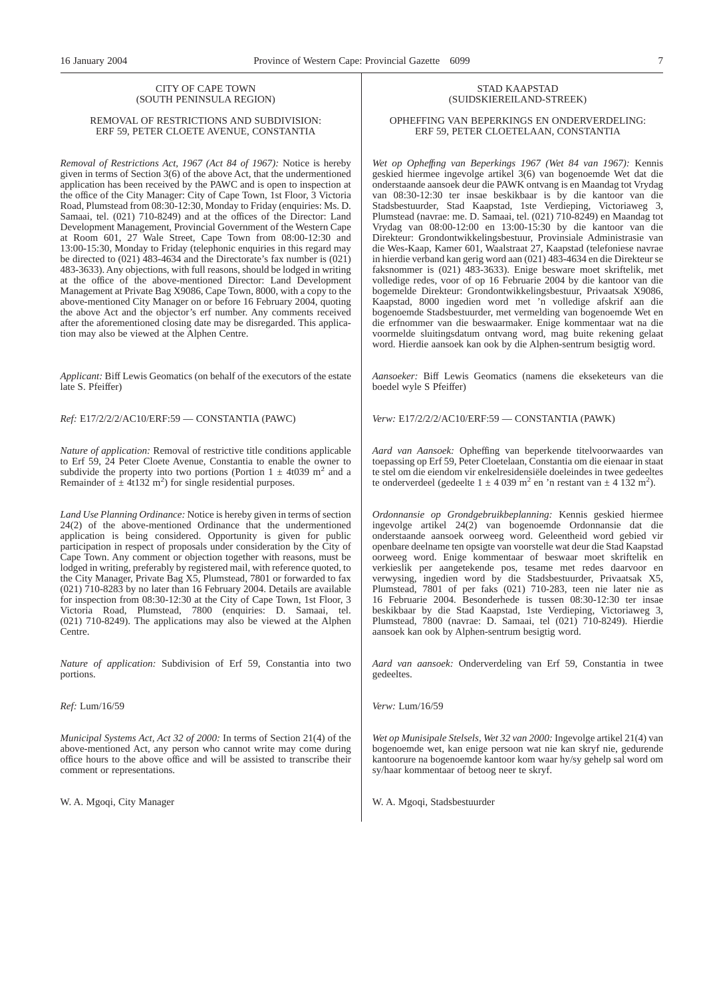### CITY OF CAPE TOWN (SOUTH PENINSULA REGION)

#### REMOVAL OF RESTRICTIONS AND SUBDIVISION: ERF 59, PETER CLOETE AVENUE, CONSTANTIA

*Removal of Restrictions Act, 1967 (Act 84 of 1967):* Notice is hereby given in terms of Section 3(6) of the above Act, that the undermentioned application has been received by the PAWC and is open to inspection at the office of the City Manager: City of Cape Town, 1st Floor, 3 Victoria Road, Plumstead from 08:30-12:30, Monday to Friday (enquiries: Ms. D. Samaai, tel. (021) 710-8249) and at the offices of the Director: Land Development Management, Provincial Government of the Western Cape at Room 601, 27 Wale Street, Cape Town from 08:00-12:30 and 13:00-15:30, Monday to Friday (telephonic enquiries in this regard may be directed to (021) 483-4634 and the Directorate's fax number is (021) 483-3633). Any objections, with full reasons, should be lodged in writing at the office of the above-mentioned Director: Land Development Management at Private Bag X9086, Cape Town, 8000, with a copy to the above-mentioned City Manager on or before 16 February 2004, quoting the above Act and the objector's erf number. Any comments received after the aforementioned closing date may be disregarded. This application may also be viewed at the Alphen Centre.

*Applicant:* Biff Lewis Geomatics (on behalf of the executors of the estate late S. Pfeiffer)

*Ref:* E17/2/2/2/AC10/ERF:59 — CONSTANTIA (PAWC)

*Nature of application:* Removal of restrictive title conditions applicable to Erf 59, 24 Peter Cloete Avenue, Constantia to enable the owner to subdivide the property into two portions (Portion  $1 \pm 4t039$  m<sup>2</sup> and a Remainder of  $\pm 4t$ 132 m<sup>2</sup>) for single residential purposes.

*Land Use Planning Ordinance:* Notice is hereby given in terms of section 24(2) of the above-mentioned Ordinance that the undermentioned application is being considered. Opportunity is given for public participation in respect of proposals under consideration by the City of Cape Town. Any comment or objection together with reasons, must be lodged in writing, preferably by registered mail, with reference quoted, to the City Manager, Private Bag X5, Plumstead, 7801 or forwarded to fax (021) 710-8283 by no later than 16 February 2004. Details are available for inspection from 08:30-12:30 at the City of Cape Town, 1st Floor, 3 Victoria Road, Plumstead, 7800 (enquiries: D. Samaai, tel. (021) 710-8249). The applications may also be viewed at the Alphen Centre.

*Nature of application:* Subdivision of Erf 59, Constantia into two portions.

*Ref:* Lum/16/59

*Municipal Systems Act, Act 32 of 2000:* In terms of Section 21(4) of the above-mentioned Act, any person who cannot write may come during office hours to the above office and will be assisted to transcribe their comment or representations.

W. A. Mgoqi, City Manager

### STAD KAAPSTAD (SUIDSKIEREILAND-STREEK)

#### OPHEFFING VAN BEPERKINGS EN ONDERVERDELING: ERF 59, PETER CLOETELAAN, CONSTANTIA

*Wet op Opheffıng van Beperkings 1967 (Wet 84 van 1967):* Kennis geskied hiermee ingevolge artikel 3(6) van bogenoemde Wet dat die onderstaande aansoek deur die PAWK ontvang is en Maandag tot Vrydag van 08:30-12:30 ter insae beskikbaar is by die kantoor van die Stadsbestuurder, Stad Kaapstad, 1ste Verdieping, Victoriaweg 3, Plumstead (navrae: me. D. Samaai, tel. (021) 710-8249) en Maandag tot Vrydag van 08:00-12:00 en 13:00-15:30 by die kantoor van die Direkteur: Grondontwikkelingsbestuur, Provinsiale Administrasie van die Wes-Kaap, Kamer 601, Waalstraat 27, Kaapstad (telefoniese navrae in hierdie verband kan gerig word aan (021) 483-4634 en die Direkteur se faksnommer is (021) 483-3633). Enige besware moet skriftelik, met volledige redes, voor of op 16 Februarie 2004 by die kantoor van die bogemelde Direkteur: Grondontwikkelingsbestuur, Privaatsak X9086, Kaapstad, 8000 ingedien word met 'n volledige afskrif aan die bogenoemde Stadsbestuurder, met vermelding van bogenoemde Wet en die erfnommer van die beswaarmaker. Enige kommentaar wat na die voormelde sluitingsdatum ontvang word, mag buite rekening gelaat word. Hierdie aansoek kan ook by die Alphen-sentrum besigtig word.

*Aansoeker:* Biff Lewis Geomatics (namens die ekseketeurs van die boedel wyle S Pfeiffer)

*Verw:* E17/2/2/2/AC10/ERF:59 — CONSTANTIA (PAWK)

*Aard van Aansoek:* Opheffing van beperkende titelvoorwaardes van toepassing op Erf 59, Peter Cloetelaan, Constantia om die eienaar in staat te stel om die eiendom vir enkelresidensiële doeleindes in twee gedeeltes te onderverdeel (gedeelte  $1 \pm 4$  039 m<sup>2</sup> en 'n restant van  $\pm 4$  132 m<sup>2</sup>).

*Ordonnansie op Grondgebruikbeplanning:* Kennis geskied hiermee ingevolge artikel 24(2) van bogenoemde Ordonnansie dat die onderstaande aansoek oorweeg word. Geleentheid word gebied vir openbare deelname ten opsigte van voorstelle wat deur die Stad Kaapstad oorweeg word. Enige kommentaar of beswaar moet skriftelik en verkieslik per aangetekende pos, tesame met redes daarvoor en verwysing, ingedien word by die Stadsbestuurder, Privaatsak X5, Plumstead, 7801 of per faks (021) 710-283, teen nie later nie as 16 Februarie 2004. Besonderhede is tussen 08:30-12:30 ter insae beskikbaar by die Stad Kaapstad, 1ste Verdieping, Victoriaweg 3, Plumstead, 7800 (navrae: D. Samaai, tel (021) 710-8249). Hierdie aansoek kan ook by Alphen-sentrum besigtig word.

*Aard van aansoek:* Onderverdeling van Erf 59, Constantia in twee gedeeltes.

*Verw:* Lum/16/59

*Wet op Munisipale Stelsels, Wet 32 van 2000:* Ingevolge artikel 21(4) van bogenoemde wet, kan enige persoon wat nie kan skryf nie, gedurende kantoorure na bogenoemde kantoor kom waar hy/sy gehelp sal word om sy/haar kommentaar of betoog neer te skryf.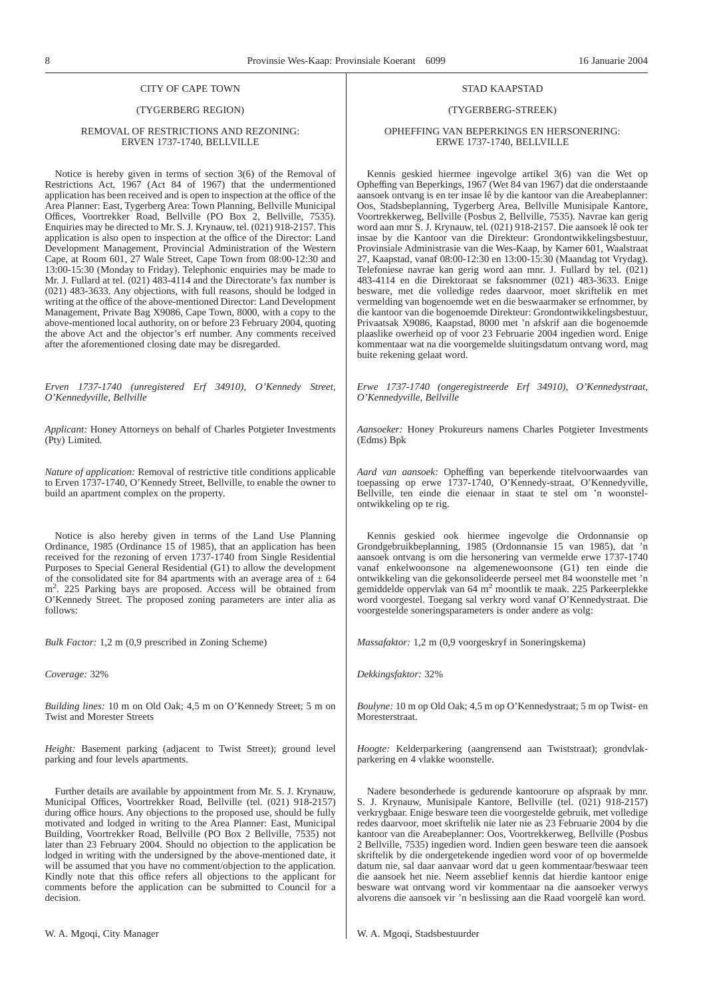### CITY OF CAPE TOWN

### (TYGERBERG REGION)

#### REMOVAL OF RESTRICTIONS AND REZONING: ERVEN 1737-1740, BELLVILLE

Notice is hereby given in terms of section 3(6) of the Removal of Restrictions Act, 1967 (Act 84 of 1967) that the undermentioned application has been received and is open to inspection at the office of the Area Planner: East, Tygerberg Area: Town Planning, Bellville Municipal Offices, Voortrekker Road, Bellville (PO Box 2, Bellville, 7535). Enquiries may be directed to Mr. S. J. Krynauw, tel. (021) 918-2157. This application is also open to inspection at the office of the Director: Land Development Management, Provincial Administration of the Western Cape, at Room 601, 27 Wale Street, Cape Town from 08:00-12:30 and 13:00-15:30 (Monday to Friday). Telephonic enquiries may be made to Mr. J. Fullard at tel. (021) 483-4114 and the Directorate's fax number is (021) 483-3633. Any objections, with full reasons, should be lodged in writing at the office of the above-mentioned Director: Land Development Management, Private Bag X9086, Cape Town, 8000, with a copy to the above-mentioned local authority, on or before 23 February 2004, quoting the above Act and the objector's erf number. Any comments received after the aforementioned closing date may be disregarded.

*Erven 1737-1740 (unregistered Erf 34910), O'Kennedy Street, O'Kennedyville, Bellville*

*Applicant:* Honey Attorneys on behalf of Charles Potgieter Investments (Pty) Limited.

*Nature of application:* Removal of restrictive title conditions applicable to Erven 1737-1740, O'Kennedy Street, Bellville, to enable the owner to build an apartment complex on the property.

Notice is also hereby given in terms of the Land Use Planning Ordinance, 1985 (Ordinance 15 of 1985), that an application has been received for the rezoning of erven 1737-1740 from Single Residential Purposes to Special General Residential (G1) to allow the development of the consolidated site for 84 apartments with an average area of  $\pm$  64 m<sup>2</sup>. 225 Parking bays are proposed. Access will be obtained from O'Kennedy Street. The proposed zoning parameters are inter alia as follows:

*Bulk Factor:* 1,2 m (0,9 prescribed in Zoning Scheme)

*Coverage:* 32%

*Building lines:* 10 m on Old Oak; 4,5 m on O'Kennedy Street; 5 m on Twist and Morester Streets

*Height:* Basement parking (adjacent to Twist Street); ground level parking and four levels apartments.

Further details are available by appointment from Mr. S. J. Krynauw, Municipal Offices, Voortrekker Road, Bellville (tel. (021) 918-2157) during office hours. Any objections to the proposed use, should be fully motivated and lodged in writing to the Area Planner: East, Municipal Building, Voortrekker Road, Bellville (PO Box 2 Bellville, 7535) not later than 23 February 2004. Should no objection to the application be lodged in writing with the undersigned by the above-mentioned date, it will be assumed that you have no comment/objection to the application. Kindly note that this office refers all objections to the applicant for comments before the application can be submitted to Council for a decision.

#### STAD KAAPSTAD

#### (TYGERBERG-STREEK)

### OPHEFFING VAN BEPERKINGS EN HERSONERING: ERWE 1737-1740, BELLVILLE

Kennis geskied hiermee ingevolge artikel 3(6) van die Wet op Opheffing van Beperkings, 1967 (Wet 84 van 1967) dat die onderstaande aansoek ontvang is en ter insae lê by die kantoor van die Areabeplanner: Oos, Stadsbeplanning, Tygerberg Area, Bellville Munisipale Kantore, Voortrekkerweg, Bellville (Posbus 2, Bellville, 7535). Navrae kan gerig word aan mnr S. J. Krynauw, tel. (021) 918-2157. Die aansoek lê ook ter insae by die Kantoor van die Direkteur: Grondontwikkelingsbestuur, Provinsiale Administrasie van die Wes-Kaap, by Kamer 601, Waalstraat 27, Kaapstad, vanaf 08:00-12:30 en 13:00-15:30 (Maandag tot Vrydag). Telefoniese navrae kan gerig word aan mnr. J. Fullard by tel. (021) 483-4114 en die Direktoraat se faksnommer (021) 483-3633. Enige besware, met die volledige redes daarvoor, moet skriftelik en met vermelding van bogenoemde wet en die beswaarmaker se erfnommer, by die kantoor van die bogenoemde Direkteur: Grondontwikkelingsbestuur, Privaatsak X9086, Kaapstad, 8000 met 'n afskrif aan die bogenoemde plaaslike owerheid op of voor 23 Februarie 2004 ingedien word. Enige kommentaar wat na die voorgemelde sluitingsdatum ontvang word, mag buite rekening gelaat word.

*Erwe 1737-1740 (ongeregistreerde Erf 34910), O'Kennedystraat, O'Kennedyville, Bellville*

*Aansoeker:* Honey Prokureurs namens Charles Potgieter Investments (Edms) Bpk

*Aard van aansoek:* Opheffing van beperkende titelvoorwaardes van toepassing op erwe 1737-1740, O'Kennedy-straat, O'Kennedyville, Bellville, ten einde die eienaar in staat te stel om 'n woonstelontwikkeling op te rig.

Kennis geskied ook hiermee ingevolge die Ordonnansie op Grondgebruikbeplanning, 1985 (Ordonnansie 15 van 1985), dat 'n aansoek ontvang is om die hersonering van vermelde erwe 1737-1740 vanaf enkelwoonsone na algemenewoonsone (G1) ten einde die ontwikkeling van die gekonsolideerde perseel met 84 woonstelle met 'n gemiddelde oppervlak van 64 m2 moontlik te maak. 225 Parkeerplekke word voorgestel. Toegang sal verkry word vanaf O'Kennedystraat. Die voorgestelde soneringsparameters is onder andere as volg:

*Massafaktor:* 1,2 m (0,9 voorgeskryf in Soneringskema)

*Dekkingsfaktor:* 32%

*Boulyne:* 10 m op Old Oak; 4,5 m op O'Kennedystraat; 5 m op Twist- en Moresterstraat.

*Hoogte:* Kelderparkering (aangrensend aan Twiststraat); grondvlakparkering en 4 vlakke woonstelle.

Nadere besonderhede is gedurende kantoorure op afspraak by mnr. S. J. Krynauw, Munisipale Kantore, Bellyille (tel. (021) 918-2157) verkrygbaar. Enige besware teen die voorgestelde gebruik, met volledige redes daarvoor, moet skriftelik nie later nie as 23 Februarie 2004 by die kantoor van die Areabeplanner: Oos, Voortrekkerweg, Bellville (Posbus 2 Bellville, 7535) ingedien word. Indien geen besware teen die aansoek skriftelik by die ondergetekende ingedien word voor of op bovermelde datum nie, sal daar aanvaar word dat u geen kommentaar/beswaar teen die aansoek het nie. Neem asseblief kennis dat hierdie kantoor enige besware wat ontvang word vir kommentaar na die aansoeker verwys alvorens die aansoek vir 'n beslissing aan die Raad voorgelê kan word.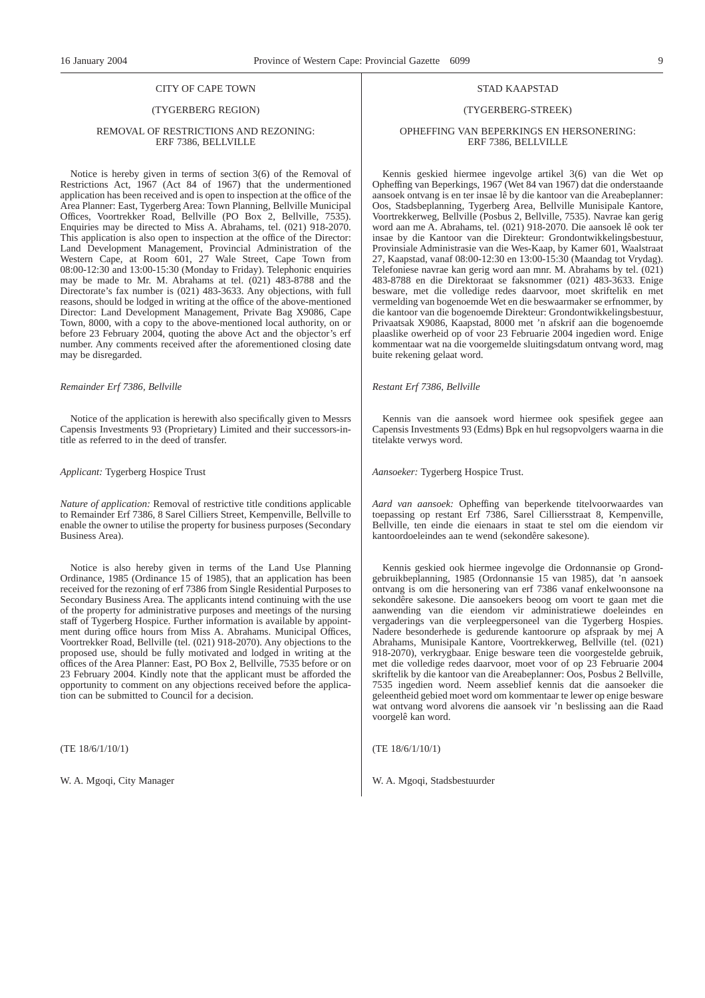### CITY OF CAPE TOWN

### (TYGERBERG REGION)

#### REMOVAL OF RESTRICTIONS AND REZONING: ERF 7386, BELLVILLE

Notice is hereby given in terms of section 3(6) of the Removal of Restrictions Act, 1967 (Act 84 of 1967) that the undermentioned application has been received and is open to inspection at the office of the Area Planner: East, Tygerberg Area: Town Planning, Bellville Municipal Offices, Voortrekker Road, Bellville (PO Box 2, Bellville, 7535). Enquiries may be directed to Miss A. Abrahams, tel. (021) 918-2070. This application is also open to inspection at the office of the Director: Land Development Management, Provincial Administration of the Western Cape, at Room 601, 27 Wale Street, Cape Town from 08:00-12:30 and 13:00-15:30 (Monday to Friday). Telephonic enquiries may be made to Mr. M. Abrahams at tel. (021) 483-8788 and the Directorate's fax number is (021) 483-3633. Any objections, with full reasons, should be lodged in writing at the office of the above-mentioned Director: Land Development Management, Private Bag X9086, Cape Town, 8000, with a copy to the above-mentioned local authority, on or before 23 February 2004, quoting the above Act and the objector's erf number. Any comments received after the aforementioned closing date may be disregarded.

*Remainder Erf 7386, Bellville*

Notice of the application is herewith also specifically given to Messrs Capensis Investments 93 (Proprietary) Limited and their successors-intitle as referred to in the deed of transfer.

*Applicant:* Tygerberg Hospice Trust

*Nature of application:* Removal of restrictive title conditions applicable to Remainder Erf 7386, 8 Sarel Cilliers Street, Kempenville, Bellville to enable the owner to utilise the property for business purposes (Secondary Business Area).

Notice is also hereby given in terms of the Land Use Planning Ordinance, 1985 (Ordinance 15 of 1985), that an application has been received for the rezoning of erf 7386 from Single Residential Purposes to Secondary Business Area. The applicants intend continuing with the use of the property for administrative purposes and meetings of the nursing staff of Tygerberg Hospice. Further information is available by appointment during office hours from Miss A. Abrahams. Municipal Offices, Voortrekker Road, Bellville (tel. (021) 918-2070). Any objections to the proposed use, should be fully motivated and lodged in writing at the offices of the Area Planner: East, PO Box 2, Bellville, 7535 before or on 23 February 2004. Kindly note that the applicant must be afforded the opportunity to comment on any objections received before the application can be submitted to Council for a decision.

(TE 18/6/1/10/1)

W. A. Mgoqi, City Manager

#### STAD KAAPSTAD

#### (TYGERBERG-STREEK)

#### OPHEFFING VAN BEPERKINGS EN HERSONERING: ERF 7386, BELLVILLE

Kennis geskied hiermee ingevolge artikel 3(6) van die Wet op Opheffing van Beperkings, 1967 (Wet 84 van 1967) dat die onderstaande aansoek ontvang is en ter insae lê by die kantoor van die Areabeplanner: Oos, Stadsbeplanning, Tygerberg Area, Bellville Munisipale Kantore, Voortrekkerweg, Bellville (Posbus 2, Bellville, 7535). Navrae kan gerig word aan me A. Abrahams, tel. (021) 918-2070. Die aansoek lê ook ter insae by die Kantoor van die Direkteur: Grondontwikkelingsbestuur, Provinsiale Administrasie van die Wes-Kaap, by Kamer 601, Waalstraat 27, Kaapstad, vanaf 08:00-12:30 en 13:00-15:30 (Maandag tot Vrydag). Telefoniese navrae kan gerig word aan mnr. M. Abrahams by tel. (021) 483-8788 en die Direktoraat se faksnommer (021) 483-3633. Enige besware, met die volledige redes daarvoor, moet skriftelik en met vermelding van bogenoemde Wet en die beswaarmaker se erfnommer, by die kantoor van die bogenoemde Direkteur: Grondontwikkelingsbestuur, Privaatsak X9086, Kaapstad, 8000 met 'n afskrif aan die bogenoemde plaaslike owerheid op of voor 23 Februarie 2004 ingedien word. Enige kommentaar wat na die voorgemelde sluitingsdatum ontvang word, mag buite rekening gelaat word.

*Restant Erf 7386, Bellville*

Kennis van die aansoek word hiermee ook spesifiek gegee aan Capensis Investments 93 (Edms) Bpk en hul regsopvolgers waarna in die titelakte verwys word.

*Aansoeker:* Tygerberg Hospice Trust.

*Aard van aansoek:* Opheffing van beperkende titelvoorwaardes van toepassing op restant Erf 7386, Sarel Cilliersstraat 8, Kempenville, Bellville, ten einde die eienaars in staat te stel om die eiendom vir kantoordoeleindes aan te wend (sekondêre sakesone).

Kennis geskied ook hiermee ingevolge die Ordonnansie op Grondgebruikbeplanning, 1985 (Ordonnansie 15 van 1985), dat 'n aansoek ontvang is om die hersonering van erf 7386 vanaf enkelwoonsone na sekondêre sakesone. Die aansoekers beoog om voort te gaan met die aanwending van die eiendom vir administratiewe doeleindes en vergaderings van die verpleegpersoneel van die Tygerberg Hospies. Nadere besonderhede is gedurende kantoorure op afspraak by mej A Abrahams, Munisipale Kantore, Voortrekkerweg, Bellville (tel. (021) 918-2070), verkrygbaar. Enige besware teen die voorgestelde gebruik, met die volledige redes daarvoor, moet voor of op 23 Februarie 2004 skriftelik by die kantoor van die Areabeplanner: Oos, Posbus 2 Bellville, 7535 ingedien word. Neem asseblief kennis dat die aansoeker die geleentheid gebied moet word om kommentaar te lewer op enige besware wat ontvang word alvorens die aansoek vir 'n beslissing aan die Raad voorgelê kan word.

(TE 18/6/1/10/1)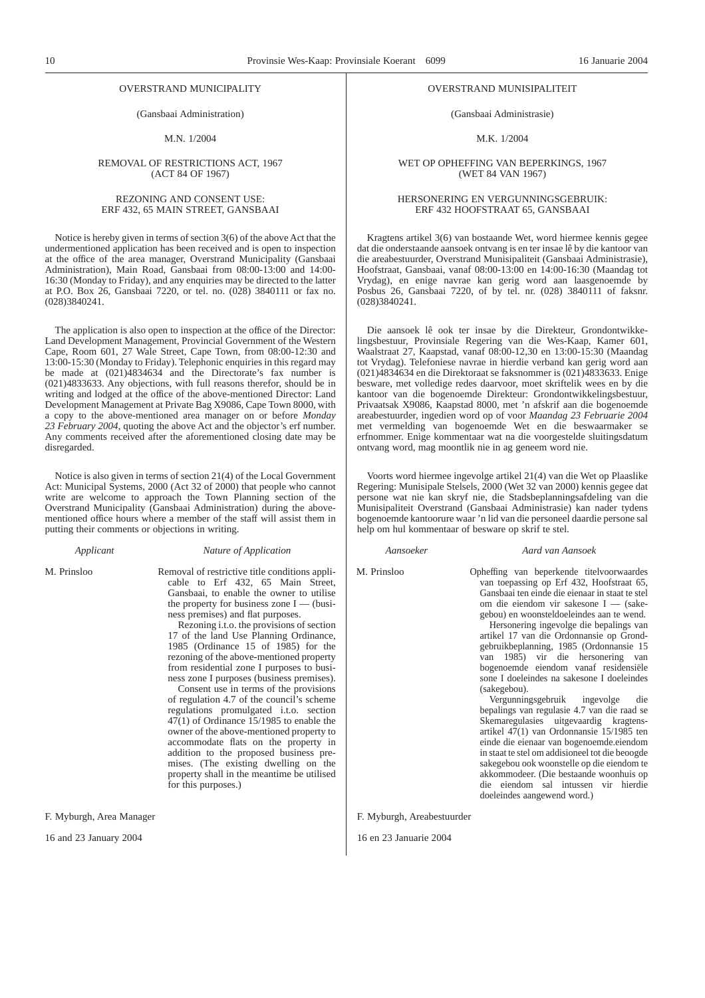#### OVERSTRAND MUNICIPALITY

(Gansbaai Administration)

M.N. 1/2004

#### REMOVAL OF RESTRICTIONS ACT, 1967 (ACT 84 OF 1967)

#### REZONING AND CONSENT USE: ERF 432, 65 MAIN STREET, GANSBAAI

Notice is hereby given in terms of section 3(6) of the above Act that the undermentioned application has been received and is open to inspection at the office of the area manager, Overstrand Municipality (Gansbaai Administration), Main Road, Gansbaai from 08:00-13:00 and 14:00- 16:30 (Monday to Friday), and any enquiries may be directed to the latter at P.O. Box 26, Gansbaai 7220, or tel. no. (028) 3840111 or fax no. (028)3840241.

The application is also open to inspection at the office of the Director: Land Development Management, Provincial Government of the Western Cape, Room 601, 27 Wale Street, Cape Town, from 08:00-12:30 and 13:00-15:30 (Monday to Friday). Telephonic enquiries in this regard may be made at (021)4834634 and the Directorate's fax number is (021)4833633. Any objections, with full reasons therefor, should be in writing and lodged at the office of the above-mentioned Director: Land Development Management at Private Bag X9086, Cape Town 8000, with a copy to the above-mentioned area manager on or before *Monday 23 February 2004*, quoting the above Act and the objector's erf number. Any comments received after the aforementioned closing date may be disregarded.

Notice is also given in terms of section 21(4) of the Local Government Act: Municipal Systems, 2000 (Act 32 of 2000) that people who cannot write are welcome to approach the Town Planning section of the Overstrand Municipality (Gansbaai Administration) during the abovementioned office hours where a member of the staff will assist them in putting their comments or objections in writing.

### *Applicant Nature of Application*

M. Prinsloo Removal of restrictive title conditions applicable to Erf 432, 65 Main Street, Gansbaai, to enable the owner to utilise the property for business zone  $I$  — (business premises) and flat purposes.

Rezoning i.t.o. the provisions of section 17 of the land Use Planning Ordinance, 1985 (Ordinance 15 of 1985) for the rezoning of the above-mentioned property from residential zone I purposes to business zone I purposes (business premises).

Consent use in terms of the provisions of regulation 4.7 of the council's scheme regulations promulgated i.t.o. section 47(1) of Ordinance 15/1985 to enable the owner of the above-mentioned property to accommodate flats on the property in addition to the proposed business premises. (The existing dwelling on the property shall in the meantime be utilised for this purposes.)

F. Myburgh, Area Manager

16 and 23 January 2004

#### OVERSTRAND MUNISIPALITEIT

(Gansbaai Administrasie)

M.K. 1/2004

#### WET OP OPHEFFING VAN BEPERKINGS, 1967 (WET 84 VAN 1967)

#### HERSONERING EN VERGUNNINGSGEBRUIK: ERF 432 HOOFSTRAAT 65, GANSBAAI

Kragtens artikel 3(6) van bostaande Wet, word hiermee kennis gegee dat die onderstaande aansoek ontvang is en ter insae lê by die kantoor van die areabestuurder, Overstrand Munisipaliteit (Gansbaai Administrasie), Hoofstraat, Gansbaai, vanaf 08:00-13:00 en 14:00-16:30 (Maandag tot Vrydag), en enige navrae kan gerig word aan laasgenoemde by Posbus 26, Gansbaai 7220, of by tel. nr. (028) 3840111 of faksnr. (028)3840241.

Die aansoek lê ook ter insae by die Direkteur, Grondontwikkelingsbestuur, Provinsiale Regering van die Wes-Kaap, Kamer 601, Waalstraat 27, Kaapstad, vanaf 08:00-12,30 en 13:00-15:30 (Maandag tot Vrydag). Telefoniese navrae in hierdie verband kan gerig word aan (021)4834634 en die Direktoraat se faksnommer is (021)4833633. Enige besware, met volledige redes daarvoor, moet skriftelik wees en by die kantoor van die bogenoemde Direkteur: Grondontwikkelingsbestuur, Privaatsak X9086, Kaapstad 8000, met 'n afskrif aan die bogenoemde areabestuurder, ingedien word op of voor *Maandag 23 Februarie 2004* met vermelding van bogenoemde Wet en die beswaarmaker se erfnommer. Enige kommentaar wat na die voorgestelde sluitingsdatum ontvang word, mag moontlik nie in ag geneem word nie.

Voorts word hiermee ingevolge artikel 21(4) van die Wet op Plaaslike Regering: Munisipale Stelsels, 2000 (Wet 32 van 2000) kennis gegee dat persone wat nie kan skryf nie, die Stadsbeplanningsafdeling van die Munisipaliteit Overstrand (Gansbaai Administrasie) kan nader tydens bogenoemde kantoorure waar 'n lid van die personeel daardie persone sal help om hul kommentaar of besware op skrif te stel.

#### *Aansoeker Aard van Aansoek*

M. Prinsloo Opheffing van beperkende titelvoorwaardes van toepassing op Erf 432, Hoofstraat 65, Gansbaai ten einde die eienaar in staat te stel om die eiendom vir sakesone I — (sakegebou) en woonsteldoeleindes aan te wend.

Hersonering ingevolge die bepalings van artikel 17 van die Ordonnansie op Grondgebruikbeplanning, 1985 (Ordonnansie 15 van 1985) vir die hersonering van bogenoemde eiendom vanaf residensiële sone I doeleindes na sakesone I doeleindes (sakegebou).

Vergunningsgebruik ingevolge die bepalings van regulasie 4.7 van die raad se Skemaregulasies uitgevaardig kragtensartikel 47(1) van Ordonnansie 15/1985 ten einde die eienaar van bogenoemde.eiendom in staat te stel om addisioneel tot die beoogde sakegebou ook woonstelle op die eiendom te akkommodeer. (Die bestaande woonhuis op die eiendom sal intussen vir hierdie doeleindes aangewend word.)

F. Myburgh, Areabestuurder

16 en 23 Januarie 2004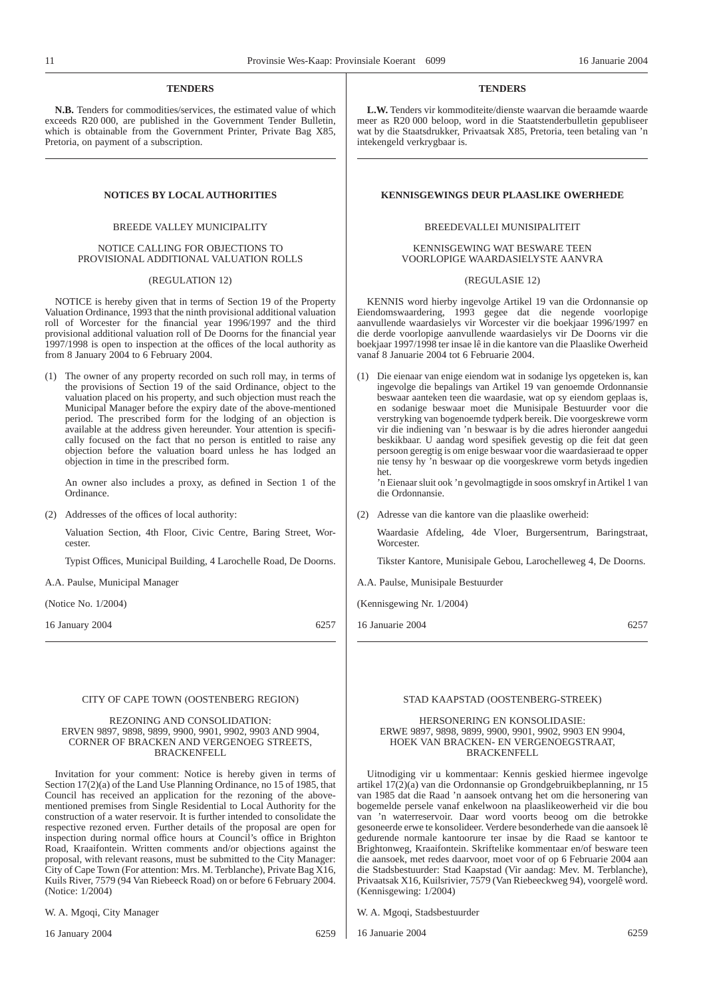### **TENDERS**

**N.B.** Tenders for commodities/services, the estimated value of which exceeds R20 000, are published in the Government Tender Bulletin, which is obtainable from the Government Printer, Private Bag X85, Pretoria, on payment of a subscription.

### BREEDE VALLEY MUNICIPALITY

#### NOTICE CALLING FOR OBJECTIONS TO PROVISIONAL ADDITIONAL VALUATION ROLLS

#### (REGULATION 12)

NOTICE is hereby given that in terms of Section 19 of the Property Valuation Ordinance, 1993 that the ninth provisional additional valuation roll of Worcester for the financial year 1996/1997 and the third provisional additional valuation roll of De Doorns for the financial year 1997/1998 is open to inspection at the offices of the local authority as from 8 January 2004 to 6 February 2004.

(1) The owner of any property recorded on such roll may, in terms of the provisions of Section 19 of the said Ordinance, object to the valuation placed on his property, and such objection must reach the Municipal Manager before the expiry date of the above-mentioned period. The prescribed form for the lodging of an objection is available at the address given hereunder. Your attention is specifically focused on the fact that no person is entitled to raise any objection before the valuation board unless he has lodged an objection in time in the prescribed form.

An owner also includes a proxy, as defined in Section 1 of the Ordinance.

(2) Addresses of the offices of local authority:

Valuation Section, 4th Floor, Civic Centre, Baring Street, Worcester.

Typist Offices, Municipal Building, 4 Larochelle Road, De Doorns.

A.A. Paulse, Municipal Manager

(Notice No. 1/2004)

16 January 2004 6257

#### CITY OF CAPE TOWN (OOSTENBERG REGION)

#### REZONING AND CONSOLIDATION: ERVEN 9897, 9898, 9899, 9900, 9901, 9902, 9903 AND 9904, CORNER OF BRACKEN AND VERGENOEG STREETS, BRACKENFELL

Invitation for your comment: Notice is hereby given in terms of Section 17(2)(a) of the Land Use Planning Ordinance, no 15 of 1985, that Council has received an application for the rezoning of the abovementioned premises from Single Residential to Local Authority for the construction of a water reservoir. It is further intended to consolidate the respective rezoned erven. Further details of the proposal are open for inspection during normal office hours at Council's office in Brighton Road, Kraaifontein. Written comments and/or objections against the proposal, with relevant reasons, must be submitted to the City Manager: City of Cape Town (For attention: Mrs. M. Terblanche), Private Bag X16, Kuils River, 7579 (94 Van Riebeeck Road) on or before 6 February 2004. (Notice: 1/2004)

W. A. Mgoqi, City Manager

16 January 2004 6259

### **TENDERS**

**L.W.** Tenders vir kommoditeite/dienste waarvan die beraamde waarde meer as R20 000 beloop, word in die Staatstenderbulletin gepubliseer wat by die Staatsdrukker, Privaatsak X85, Pretoria, teen betaling van 'n intekengeld verkrygbaar is.

### **NOTICES BY LOCAL AUTHORITIES KENNISGEWINGS DEUR PLAASLIKE OWERHEDE**

### BREEDEVALLEI MUNISIPALITEIT

### KENNISGEWING WAT BESWARE TEEN VOORLOPIGE WAARDASIELYSTE AANVRA

### (REGULASIE 12)

KENNIS word hierby ingevolge Artikel 19 van die Ordonnansie op Eiendomswaardering, 1993 gegee dat die negende voorlopige aanvullende waardasielys vir Worcester vir die boekjaar 1996/1997 en die derde voorlopige aanvullende waardasielys vir De Doorns vir die boekjaar 1997/1998 ter insae lê in die kantore van die Plaaslike Owerheid vanaf 8 Januarie 2004 tot 6 Februarie 2004.

(1) Die eienaar van enige eiendom wat in sodanige lys opgeteken is, kan ingevolge die bepalings van Artikel 19 van genoemde Ordonnansie beswaar aanteken teen die waardasie, wat op sy eiendom geplaas is, en sodanige beswaar moet die Munisipale Bestuurder voor die verstryking van bogenoemde tydperk bereik. Die voorgeskrewe vorm vir die indiening van 'n beswaar is by die adres hieronder aangedui beskikbaar. U aandag word spesifiek gevestig op die feit dat geen persoon geregtig is om enige beswaar voor die waardasieraad te opper nie tensy hy 'n beswaar op die voorgeskrewe vorm betyds ingedien het.

'n Eienaar sluit ook 'n gevolmagtigde in soos omskryf in Artikel 1 van die Ordonnansie.

(2) Adresse van die kantore van die plaaslike owerheid:

Waardasie Afdeling, 4de Vloer, Burgersentrum, Baringstraat, **Worcester** 

Tikster Kantore, Munisipale Gebou, Larochelleweg 4, De Doorns.

A.A. Paulse, Munisipale Bestuurder

(Kennisgewing Nr. 1/2004)

16 Januarie 2004 6257

### STAD KAAPSTAD (OOSTENBERG-STREEK)

#### HERSONERING EN KONSOLIDASIE: ERWE 9897, 9898, 9899, 9900, 9901, 9902, 9903 EN 9904, HOEK VAN BRACKEN- EN VERGENOEGSTRAAT, BRACKENFELL

Uitnodiging vir u kommentaar: Kennis geskied hiermee ingevolge artikel 17(2)(a) van die Ordonnansie op Grondgebruikbeplanning, nr 15 van 1985 dat die Raad 'n aansoek ontvang het om die hersonering van bogemelde persele vanaf enkelwoon na plaaslikeowerheid vir die bou van 'n waterreservoir. Daar word voorts beoog om die betrokke gesoneerde erwe te konsolideer. Verdere besonderhede van die aansoek lê gedurende normale kantoorure ter insae by die Raad se kantoor te Brightonweg, Kraaifontein. Skriftelike kommentaar en/of besware teen die aansoek, met redes daarvoor, moet voor of op 6 Februarie 2004 aan die Stadsbestuurder: Stad Kaapstad (Vir aandag: Mev. M. Terblanche), Privaatsak X16, Kuilsrivier, 7579 (Van Riebeeckweg 94), voorgelê word. (Kennisgewing: 1/2004)

W. A. Mgoqi, Stadsbestuurder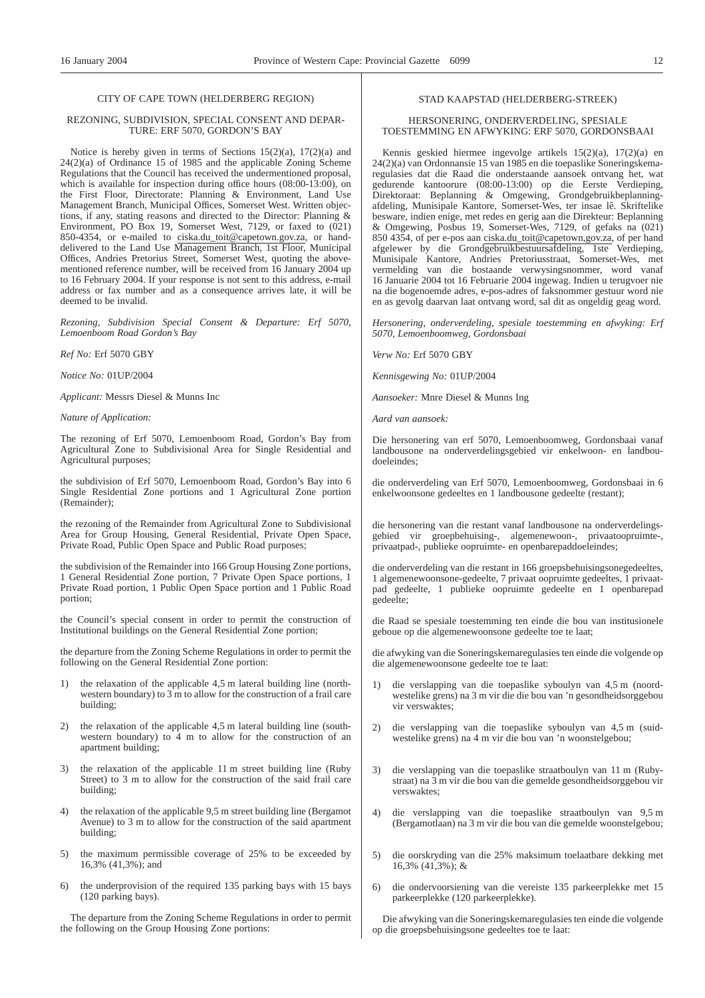### CITY OF CAPE TOWN (HELDERBERG REGION)

#### REZONING, SUBDIVISION, SPECIAL CONSENT AND DEPAR-TURE: ERF 5070, GORDON'S BAY

Notice is hereby given in terms of Sections  $15(2)(a)$ ,  $17(2)(a)$  and 24(2)(a) of Ordinance 15 of 1985 and the applicable Zoning Scheme Regulations that the Council has received the undermentioned proposal, which is available for inspection during office hours (08:00-13:00), on the First Floor, Directorate: Planning & Environment, Land Use Management Branch, Municipal Offices, Somerset West. Written objections, if any, stating reasons and directed to the Director: Planning & Environment, PO Box 19, Somerset West, 7129, or faxed to (021) 850-4354, or e-mailed to ciska.du\_toit@capetown.gov.za, or handdelivered to the Land Use Management Branch, 1st Floor, Municipal Offices, Andries Pretorius Street, Somerset West, quoting the abovementioned reference number, will be received from 16 January 2004 up to 16 February 2004. If your response is not sent to this address, e-mail address or fax number and as a consequence arrives late, it will be deemed to be invalid.

*Rezoning, Subdivision Special Consent & Departure: Erf 5070, Lemoenboom Road Gordon's Bay*

*Ref No:* Erf 5070 GBY

*Notice No:* 01UP/2004

*Applicant:* Messrs Diesel & Munns Inc

#### *Nature of Application:*

The rezoning of Erf 5070, Lemoenboom Road, Gordon's Bay from Agricultural Zone to Subdivisional Area for Single Residential and Agricultural purposes;

the subdivision of Erf 5070, Lemoenboom Road, Gordon's Bay into 6 Single Residential Zone portions and 1 Agricultural Zone portion (Remainder);

the rezoning of the Remainder from Agricultural Zone to Subdivisional Area for Group Housing, General Residential, Private Open Space, Private Road, Public Open Space and Public Road purposes;

the subdivision of the Remainder into 166 Group Housing Zone portions, 1 General Residential Zone portion, 7 Private Open Space portions, 1 Private Road portion, 1 Public Open Space portion and 1 Public Road portion;

the Council's special consent in order to permit the construction of Institutional buildings on the General Residential Zone portion;

the departure from the Zoning Scheme Regulations in order to permit the following on the General Residential Zone portion:

- 1) the relaxation of the applicable 4,5 m lateral building line (northwestern boundary) to 3 m to allow for the construction of a frail care building;
- 2) the relaxation of the applicable 4,5 m lateral building line (southwestern boundary) to 4 m to allow for the construction of an apartment building;
- 3) the relaxation of the applicable 11 m street building line (Ruby Street) to 3 m to allow for the construction of the said frail care building;
- 4) the relaxation of the applicable 9,5 m street building line (Bergamot Avenue) to 3 m to allow for the construction of the said apartment building;
- 5) the maximum permissible coverage of 25% to be exceeded by 16,3% (41,3%); and
- 6) the underprovision of the required 135 parking bays with 15 bays (120 parking bays).

The departure from the Zoning Scheme Regulations in order to permit the following on the Group Housing Zone portions:

### STAD KAAPSTAD (HELDERBERG-STREEK)

### HERSONERING, ONDERVERDELING, SPESIALE TOESTEMMING EN AFWYKING: ERF 5070, GORDONSBAAI

Kennis geskied hiermee ingevolge artikels 15(2)(a), 17(2)(a) en 24(2)(a) van Ordonnansie 15 van 1985 en die toepaslike Soneringskemaregulasies dat die Raad die onderstaande aansoek ontvang het, wat gedurende kantoorure (08:00-13:00) op die Eerste Verdieping, Direktoraat: Beplanning & Omgewing, Grondgebruikbeplanningafdeling, Munisipale Kantore, Somerset-Wes, ter insae lê. Skriftelike besware, indien enige, met redes en gerig aan die Direkteur: Beplanning & Omgewing, Posbus 19, Somerset-Wes, 7129, of gefaks na (021) 850 4354, of per e-pos aan ciska.du\_toit@capetown,gov.za, of per hand afgelewer by die Grondgebruikbestuursafdeling, 1ste Verdieping, Munisipale Kantore, Andries Pretoriusstraat, Somerset-Wes, met vermelding van die bostaande verwysingsnommer, word vanaf 16 Januarie 2004 tot 16 Februarie 2004 ingewag. Indien u terugvoer nie na die bogenoemde adres, e-pos-adres of faksnommer gestuur word nie en as gevolg daarvan laat ontvang word, sal dit as ongeldig geag word.

*Hersonering, onderverdeling, spesiale toestemming en afwyking: Erf 5070, Lemoenboomweg, Gordonsbaai*

*Verw No:* Erf 5070 GBY

*Kennisgewing No:* 01UP/2004

*Aansoeker:* Mnre Diesel & Munns Ing

*Aard van aansoek:*

Die hersonering van erf 5070, Lemoenboomweg, Gordonsbaai vanaf landbousone na onderverdelingsgebied vir enkelwoon- en landboudoeleindes;

die onderverdeling van Erf 5070, Lemoenboomweg, Gordonsbaai in 6 enkelwoonsone gedeeltes en 1 landbousone gedeelte (restant);

die hersonering van die restant vanaf landbousone na onderverdelingsgebied vir groepbehuising-, algemenewoon-, privaatoopruimte-, privaatpad-, publieke oopruimte- en openbarepaddoeleindes;

die onderverdeling van die restant in 166 groepsbehuisingsonegedeeltes, 1 algemenewoonsone-gedeelte, 7 privaat oopruimte gedeeltes, 1 privaatpad gedeelte, 1 publieke oopruimte gedeelte en 1 openbarepad gedeelte;

die Raad se spesiale toestemming ten einde die bou van institusionele geboue op die algemenewoonsone gedeelte toe te laat;

die afwyking van die Soneringskemaregulasies ten einde die volgende op die algemenewoonsone gedeelte toe te laat:

- 1) die verslapping van die toepaslike syboulyn van 4,5 m (noordwestelike grens) na 3 m vir die die bou van 'n gesondheidsorggebou vir verswaktes;
- 2) die verslapping van die toepaslike syboulyn van 4,5 m (suidwestelike grens) na 4 m vir die bou van 'n woonstelgebou;
- 3) die verslapping van die toepaslike straatboulyn van 11 m (Rubystraat) na 3 m vir die bou van die gemelde gesondheidsorggebou vir verswaktes;
- 4) die verslapping van die toepaslike straatboulyn van 9,5 m (Bergamotlaan) na 3 m vir die bou van die gemelde woonstelgebou;
- 5) die oorskryding van die 25% maksimum toelaatbare dekking met  $16,3\%$  (41,3%); &
- 6) die ondervoorsiening van die vereiste 135 parkeerplekke met 15 parkeerplekke (120 parkeerplekke).

Die afwyking van die Soneringskemaregulasies ten einde die volgende op die groepsbehuisingsone gedeeltes toe te laat: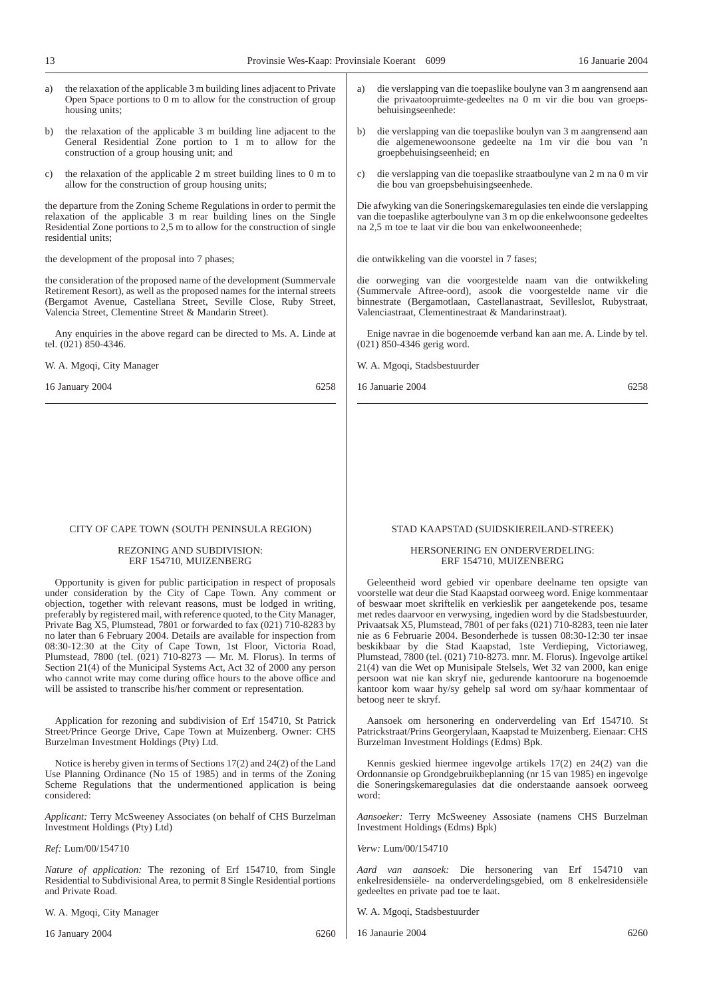- a) the relaxation of the applicable 3 m building lines adjacent to Private Open Space portions to 0 m to allow for the construction of group housing units;
- b) the relaxation of the applicable 3 m building line adjacent to the General Residential Zone portion to 1 m to allow for the construction of a group housing unit; and
- c) the relaxation of the applicable 2 m street building lines to 0 m to allow for the construction of group housing units;

the departure from the Zoning Scheme Regulations in order to permit the relaxation of the applicable 3 m rear building lines on the Single Residential Zone portions to 2,5 m to allow for the construction of single residential units;

the development of the proposal into 7 phases;

the consideration of the proposed name of the development (Summervale Retirement Resort), as well as the proposed names for the internal streets (Bergamot Avenue, Castellana Street, Seville Close, Ruby Street, Valencia Street, Clementine Street & Mandarin Street).

Any enquiries in the above regard can be directed to Ms. A. Linde at tel. (021) 850-4346.

W. A. Mgoqi, City Manager

16 January 2004 6258

#### CITY OF CAPE TOWN (SOUTH PENINSULA REGION)

### REZONING AND SUBDIVISION: ERF 154710, MUIZENBERG

Opportunity is given for public participation in respect of proposals under consideration by the City of Cape Town. Any comment or objection, together with relevant reasons, must be lodged in writing, preferably by registered mail, with reference quoted, to the City Manager, Private Bag X5, Plumstead, 7801 or forwarded to fax (021) 710-8283 by no later than 6 February 2004. Details are available for inspection from 08:30-12:30 at the City of Cape Town, 1st Floor, Victoria Road, Plumstead, 7800 (tel. (021) 710-8273 — Mr. M. Florus). In terms of Section 21(4) of the Municipal Systems Act, Act 32 of 2000 any person who cannot write may come during office hours to the above office and will be assisted to transcribe his/her comment or representation.

Application for rezoning and subdivision of Erf 154710, St Patrick Street/Prince George Drive, Cape Town at Muizenberg. Owner: CHS Burzelman Investment Holdings (Pty) Ltd.

Notice is hereby given in terms of Sections 17(2) and 24(2) of the Land Use Planning Ordinance (No 15 of 1985) and in terms of the Zoning Scheme Regulations that the undermentioned application is being considered:

*Applicant:* Terry McSweeney Associates (on behalf of CHS Burzelman Investment Holdings (Pty) Ltd)

### *Ref:* Lum/00/154710

*Nature of application:* The rezoning of Erf 154710, from Single Residential to Subdivisional Area, to permit 8 Single Residential portions and Private Road.

W. A. Mgoqi, City Manager

16 January 2004 6260

- a) die verslapping van die toepaslike boulyne van 3 m aangrensend aan die privaatoopruimte-gedeeltes na 0 m vir die bou van groepsbehuisingseenhede:
- b) die verslapping van die toepaslike boulyn van 3 m aangrensend aan die algemenewoonsone gedeelte na 1m vir die bou van 'n groepbehuisingseenheid; en
- c) die verslapping van die toepaslike straatboulyne van 2 m na 0 m vir die bou van groepsbehuisingseenhede.

Die afwyking van die Soneringskemaregulasies ten einde die verslapping van die toepaslike agterboulyne van 3 m op die enkelwoonsone gedeeltes na 2,5 m toe te laat vir die bou van enkelwooneenhede;

die ontwikkeling van die voorstel in 7 fases;

die oorweging van die voorgestelde naam van die ontwikkeling (Summervale Aftree-oord), asook die voorgestelde name vir die binnestrate (Bergamotlaan, Castellanastraat, Sevilleslot, Rubystraat, Valenciastraat, Clementinestraat & Mandarinstraat).

Enige navrae in die bogenoemde verband kan aan me. A. Linde by tel. (021) 850-4346 gerig word.

W. A. Mgoqi, Stadsbestuurder

16 Januarie 2004 6258

### STAD KAAPSTAD (SUIDSKIEREILAND-STREEK)

### HERSONERING EN ONDERVERDELING: ERF 154710, MUIZENBERG

Geleentheid word gebied vir openbare deelname ten opsigte van voorstelle wat deur die Stad Kaapstad oorweeg word. Enige kommentaar of beswaar moet skriftelik en verkieslik per aangetekende pos, tesame met redes daarvoor en verwysing, ingedien word by die Stadsbestuurder, Privaatsak X5, Plumstead, 7801 of per faks (021) 710-8283, teen nie later nie as 6 Februarie 2004. Besonderhede is tussen 08:30-12:30 ter insae beskikbaar by die Stad Kaapstad, 1ste Verdieping, Victoriaweg, Plumstead, 7800 (tel. (021) 710-8273. mnr. M. Florus). Ingevolge artikel 21(4) van die Wet op Munisipale Stelsels, Wet 32 van 2000, kan enige persoon wat nie kan skryf nie, gedurende kantoorure na bogenoemde kantoor kom waar hy/sy gehelp sal word om sy/haar kommentaar of betoog neer te skryf.

Aansoek om hersonering en onderverdeling van Erf 154710. St Patrickstraat/Prins Georgerylaan, Kaapstad te Muizenberg. Eienaar: CHS Burzelman Investment Holdings (Edms) Bpk.

Kennis geskied hiermee ingevolge artikels 17(2) en 24(2) van die Ordonnansie op Grondgebruikbeplanning (nr 15 van 1985) en ingevolge die Soneringskemaregulasies dat die onderstaande aansoek oorweeg word:

*Aansoeker:* Terry McSweeney Assosiate (namens CHS Burzelman Investment Holdings (Edms) Bpk)

*Verw:* Lum/00/154710

*Aard van aansoek:* Die hersonering van Erf 154710 van enkelresidensiële- na onderverdelingsgebied, om 8 enkelresidensiële gedeeltes en private pad toe te laat.

W. A. Mgoqi, Stadsbestuurder

16 Janaurie 2004 6260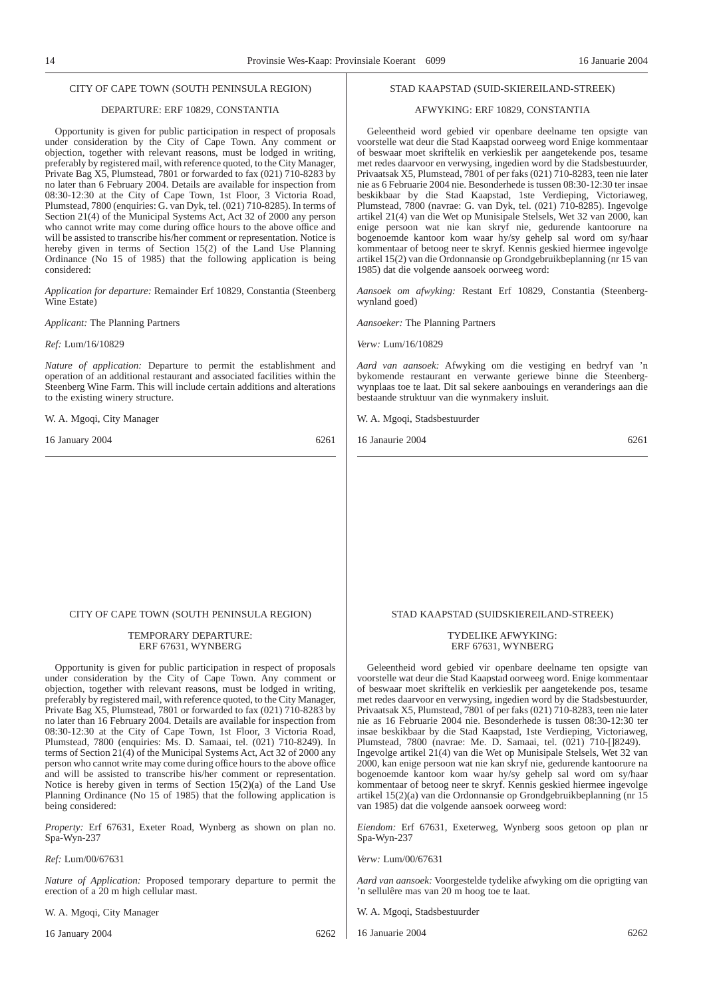#### CITY OF CAPE TOWN (SOUTH PENINSULA REGION)

### DEPARTURE: ERF 10829, CONSTANTIA

Opportunity is given for public participation in respect of proposals under consideration by the City of Cape Town. Any comment or objection, together with relevant reasons, must be lodged in writing, preferably by registered mail, with reference quoted, to the City Manager, Private Bag X5, Plumstead, 7801 or forwarded to fax (021) 710-8283 by no later than 6 February 2004. Details are available for inspection from 08:30-12:30 at the City of Cape Town, 1st Floor, 3 Victoria Road, Plumstead, 7800 (enquiries: G. van Dyk, tel. (021) 710-8285). In terms of Section 21(4) of the Municipal Systems Act, Act 32 of 2000 any person who cannot write may come during office hours to the above office and will be assisted to transcribe his/her comment or representation. Notice is hereby given in terms of Section 15(2) of the Land Use Planning Ordinance (No 15 of 1985) that the following application is being considered:

*Application for departure:* Remainder Erf 10829, Constantia (Steenberg Wine Estate)

*Applicant:* The Planning Partners

*Ref:* Lum/16/10829

*Nature of application:* Departure to permit the establishment and operation of an additional restaurant and associated facilities within the Steenberg Wine Farm. This will include certain additions and alterations to the existing winery structure.

W. A. Mgoqi, City Manager

16 January 2004 6261

#### STAD KAAPSTAD (SUID-SKIEREILAND-STREEK)

### AFWYKING: ERF 10829, CONSTANTIA

Geleentheid word gebied vir openbare deelname ten opsigte van voorstelle wat deur die Stad Kaapstad oorweeg word Enige kommentaar of beswaar moet skriftelik en verkieslik per aangetekende pos, tesame met redes daarvoor en verwysing, ingedien word by die Stadsbestuurder, Privaatsak X5, Plumstead, 7801 of per faks (021) 710-8283, teen nie later nie as 6 Februarie 2004 nie. Besonderhede is tussen 08:30-12:30 ter insae beskikbaar by die Stad Kaapstad, 1ste Verdieping, Victoriaweg, Plumstead, 7800 (navrae: G. van Dyk, tel. (021) 710-8285). Ingevolge artikel 21(4) van die Wet op Munisipale Stelsels, Wet 32 van 2000, kan enige persoon wat nie kan skryf nie, gedurende kantoorure na bogenoemde kantoor kom waar hy/sy gehelp sal word om sy/haar kommentaar of betoog neer te skryf. Kennis geskied hiermee ingevolge artikel 15(2) van die Ordonnansie op Grondgebruikbeplanning (nr 15 van 1985) dat die volgende aansoek oorweeg word:

*Aansoek om afwyking:* Restant Erf 10829, Constantia (Steenbergwynland goed)

*Aansoeker:* The Planning Partners

*Verw:* Lum/16/10829

*Aard van aansoek:* Afwyking om die vestiging en bedryf van 'n bykomende restaurant en verwante geriewe binne die Steenbergwynplaas toe te laat. Dit sal sekere aanbouings en veranderings aan die bestaande struktuur van die wynmakery insluit.

W. A. Mgoqi, Stadsbestuurder

16 Janaurie 2004 6261

### CITY OF CAPE TOWN (SOUTH PENINSULA REGION)

#### TEMPORARY DEPARTURE: ERF 67631, WYNBERG

Opportunity is given for public participation in respect of proposals under consideration by the City of Cape Town. Any comment or objection, together with relevant reasons, must be lodged in writing, preferably by registered mail, with reference quoted, to the City Manager, Private Bag X5, Plumstead, 7801 or forwarded to fax (021) 710-8283 by no later than 16 February 2004. Details are available for inspection from 08:30-12:30 at the City of Cape Town, 1st Floor, 3 Victoria Road, Plumstead, 7800 (enquiries: Ms. D. Samaai, tel. (021) 710-8249). In terms of Section 21(4) of the Municipal Systems Act, Act 32 of 2000 any person who cannot write may come during office hours to the above office and will be assisted to transcribe his/her comment or representation. Notice is hereby given in terms of Section 15(2)(a) of the Land Use Planning Ordinance (No 15 of 1985) that the following application is being considered:

*Property:* Erf 67631, Exeter Road, Wynberg as shown on plan no. Spa-Wyn-237

*Ref:* Lum/00/67631

*Nature of Application:* Proposed temporary departure to permit the erection of a 20 m high cellular mast.

W. A. Mgoqi, City Manager

16 January 2004 6262

#### STAD KAAPSTAD (SUIDSKIEREILAND-STREEK)

#### TYDELIKE AFWYKING: ERF 67631, WYNBERG

Geleentheid word gebied vir openbare deelname ten opsigte van voorstelle wat deur die Stad Kaapstad oorweeg word. Enige kommentaar of beswaar moet skriftelik en verkieslik per aangetekende pos, tesame met redes daarvoor en verwysing, ingedien word by die Stadsbestuurder, Privaatsak X5, Plumstead, 7801 of per faks (021) 710-8283, teen nie later nie as 16 Februarie 2004 nie. Besonderhede is tussen 08:30-12:30 ter insae beskikbaar by die Stad Kaapstad, 1ste Verdieping, Victoriaweg, Plumstead, 7800 (navrae: Me. D. Samaai, tel. (021) 710-[]8249). Ingevolge artikel 21(4) van die Wet op Munisipale Stelsels, Wet 32 van 2000, kan enige persoon wat nie kan skryf nie, gedurende kantoorure na bogenoemde kantoor kom waar hy/sy gehelp sal word om sy/haar kommentaar of betoog neer te skryf. Kennis geskied hiermee ingevolge artikel 15(2)(a) van die Ordonnansie op Grondgebruikbeplanning (nr 15 van 1985) dat die volgende aansoek oorweeg word:

*Eiendom:* Erf 67631, Exeterweg, Wynberg soos getoon op plan nr Spa-Wyn-237

*Verw:* Lum/00/67631

*Aard van aansoek:* Voorgestelde tydelike afwyking om die oprigting van 'n sellulêre mas van 20 m hoog toe te laat.

W. A. Mgoqi, Stadsbestuurder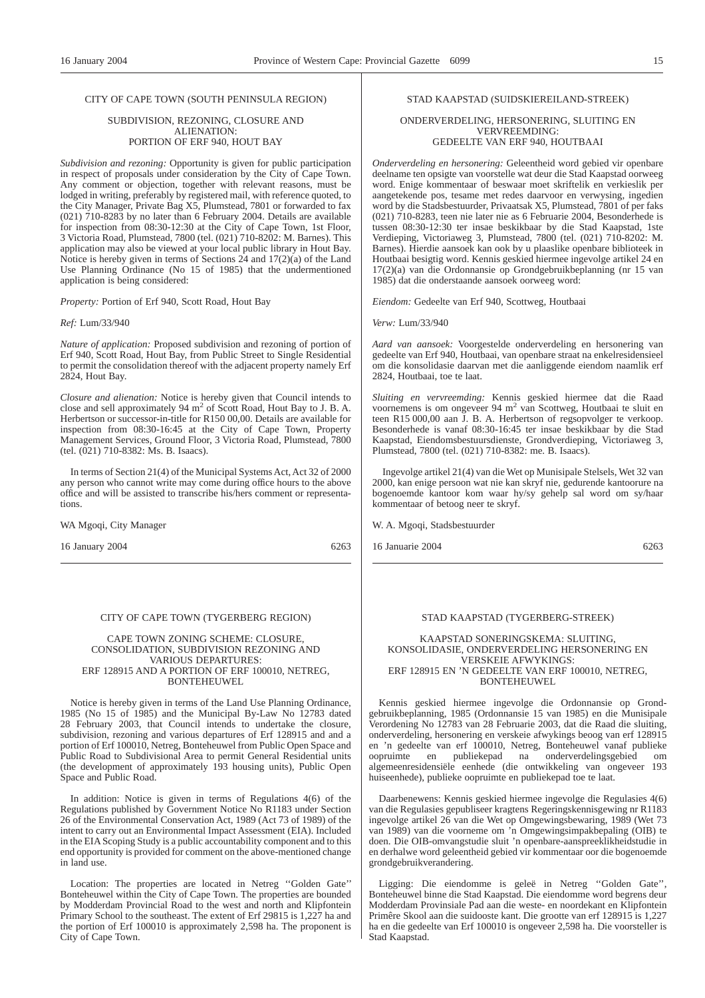### CITY OF CAPE TOWN (SOUTH PENINSULA REGION)

#### SUBDIVISION, REZONING, CLOSURE AND ALIENATION: PORTION OF ERF 940, HOUT BAY

*Subdivision and rezoning:* Opportunity is given for public participation in respect of proposals under consideration by the City of Cape Town. Any comment or objection, together with relevant reasons, must be lodged in writing, preferably by registered mail, with reference quoted, to the City Manager, Private Bag X5, Plumstead, 7801 or forwarded to fax (021) 710-8283 by no later than 6 February 2004. Details are available for inspection from 08:30-12:30 at the City of Cape Town, 1st Floor, 3 Victoria Road, Plumstead, 7800 (tel. (021) 710-8202: M. Barnes). This application may also be viewed at your local public library in Hout Bay. Notice is hereby given in terms of Sections 24 and 17(2)(a) of the Land Use Planning Ordinance (No 15 of 1985) that the undermentioned application is being considered:

*Property:* Portion of Erf 940, Scott Road, Hout Bay

#### *Ref:* Lum/33/940

*Nature of application:* Proposed subdivision and rezoning of portion of Erf 940, Scott Road, Hout Bay, from Public Street to Single Residential to permit the consolidation thereof with the adjacent property namely Erf 2824, Hout Bay.

*Closure and alienation:* Notice is hereby given that Council intends to close and sell approximately 94 m<sup>2</sup> of Scott Road, Hout Bay to J. B. A. Herbertson or successor-in-title for R150 00,00. Details are available for inspection from 08:30-16:45 at the City of Cape Town, Property Management Services, Ground Floor, 3 Victoria Road, Plumstead, 7800 (tel. (021) 710-8382: Ms. B. Isaacs).

In terms of Section 21(4) of the Municipal Systems Act, Act 32 of 2000 any person who cannot write may come during office hours to the above office and will be assisted to transcribe his/hers comment or representations.

WA Mgoqi, City Manager

16 January 2004 6263

#### CITY OF CAPE TOWN (TYGERBERG REGION)

#### CAPE TOWN ZONING SCHEME: CLOSURE, CONSOLIDATION, SUBDIVISION REZONING AND VARIOUS DEPARTURES: ERF 128915 AND A PORTION OF ERF 100010, NETREG, BONTEHEUWEL

Notice is hereby given in terms of the Land Use Planning Ordinance, 1985 (No 15 of 1985) and the Municipal By-Law No 12783 dated 28 February 2003, that Council intends to undertake the closure, subdivision, rezoning and various departures of Erf 128915 and and a portion of Erf 100010, Netreg, Bonteheuwel from Public Open Space and Public Road to Subdivisional Area to permit General Residential units (the development of approximately 193 housing units), Public Open Space and Public Road.

In addition: Notice is given in terms of Regulations 4(6) of the Regulations published by Government Notice No R1183 under Section 26 of the Environmental Conservation Act, 1989 (Act 73 of 1989) of the intent to carry out an Environmental Impact Assessment (EIA). Included in the EIA Scoping Study is a public accountability component and to this end opportunity is provided for comment on the above-mentioned change in land use.

Location: The properties are located in Netreg ''Golden Gate'' Bonteheuwel within the City of Cape Town. The properties are bounded by Modderdam Provincial Road to the west and north and Klipfontein Primary School to the southeast. The extent of Erf 29815 is 1,227 ha and the portion of Erf 100010 is approximately 2,598 ha. The proponent is City of Cape Town.

### STAD KAAPSTAD (SUIDSKIEREILAND-STREEK)

#### ONDERVERDELING, HERSONERING, SLUITING EN VERVREEMDING: GEDEELTE VAN ERF 940, HOUTBAAI

*Onderverdeling en hersonering:* Geleentheid word gebied vir openbare deelname ten opsigte van voorstelle wat deur die Stad Kaapstad oorweeg word. Enige kommentaar of beswaar moet skriftelik en verkieslik per aangetekende pos, tesame met redes daarvoor en verwysing, ingedien word by die Stadsbestuurder, Privaatsak X5, Plumstead, 7801 of per faks (021) 710-8283, teen nie later nie as 6 Februarie 2004, Besonderhede is tussen 08:30-12:30 ter insae beskikbaar by die Stad Kaapstad, 1ste Verdieping, Victoriaweg 3, Plumstead, 7800 (tel. (021) 710-8202: M. Barnes). Hierdie aansoek kan ook by u plaaslike openbare biblioteek in Houtbaai besigtig word. Kennis geskied hiermee ingevolge artikel 24 en 17(2)(a) van die Ordonnansie op Grondgebruikbeplanning (nr 15 van 1985) dat die onderstaande aansoek oorweeg word:

*Eiendom:* Gedeelte van Erf 940, Scottweg, Houtbaai

*Verw:* Lum/33/940

*Aard van aansoek:* Voorgestelde onderverdeling en hersonering van gedeelte van Erf 940, Houtbaai, van openbare straat na enkelresidensieel om die konsolidasie daarvan met die aanliggende eiendom naamlik erf 2824, Houtbaai, toe te laat.

*Sluiting en vervreemding:* Kennis geskied hiermee dat die Raad voornemens is om ongeveer 94 m<sup>2</sup> van Scottweg, Houtbaai te sluit en teen R15 000,00 aan J. B. A. Herbertson of regsopvolger te verkoop. Besonderhede is vanaf 08:30-16:45 ter insae beskikbaar by die Stad Kaapstad, Eiendomsbestuursdienste, Grondverdieping, Victoriaweg 3, Plumstead, 7800 (tel. (021) 710-8382: me. B. Isaacs).

Ingevolge artikel 21(4) van die Wet op Munisipale Stelsels, Wet 32 van 2000, kan enige persoon wat nie kan skryf nie, gedurende kantoorure na bogenoemde kantoor kom waar hy/sy gehelp sal word om sy/haar kommentaar of betoog neer te skryf.

W. A. Mgoqi, Stadsbestuurder

16 Januarie 2004 6263

#### STAD KAAPSTAD (TYGERBERG-STREEK)

#### KAAPSTAD SONERINGSKEMA: SLUITING, KONSOLIDASIE, ONDERVERDELING HERSONERING EN VERSKEIE AFWYKINGS: ERF 128915 EN 'N GEDEELTE VAN ERF 100010, NETREG, BONTEHEUWEL

Kennis geskied hiermee ingevolge die Ordonnansie op Grondgebruikbeplanning, 1985 (Ordonnansie 15 van 1985) en die Munisipale Verordening No 12783 van 28 Februarie 2003, dat die Raad die sluiting, onderverdeling, hersonering en verskeie afwykings beoog van erf 128915 en 'n gedeelte van erf 100010, Netreg, Bonteheuwel vanaf publieke oopruimte en publiekepad na onderverdelingsgebied om algemeenresidensiële eenhede (die ontwikkeling van ongeveer 193 huiseenhede), publieke oopruimte en publiekepad toe te laat.

Daarbenewens: Kennis geskied hiermee ingevolge die Regulasies 4(6) van die Regulasies gepubliseer kragtens Regeringskennisgewing nr R1183 ingevolge artikel 26 van die Wet op Omgewingsbewaring, 1989 (Wet 73 van 1989) van die voorneme om 'n Omgewingsimpakbepaling (OIB) te doen. Die OIB-omvangstudie sluit 'n openbare-aanspreeklikheidstudie in en derhalwe word geleentheid gebied vir kommentaar oor die bogenoemde grondgebruikverandering.

Ligging: Die eiendomme is geleë in Netreg ''Golden Gate'', Bonteheuwel binne die Stad Kaapstad. Die eiendomme word begrens deur Modderdam Provinsiale Pad aan die weste- en noordekant en Klipfontein Primêre Skool aan die suidooste kant. Die grootte van erf 128915 is 1,227 ha en die gedeelte van Erf 100010 is ongeveer 2,598 ha. Die voorsteller is Stad Kaapstad.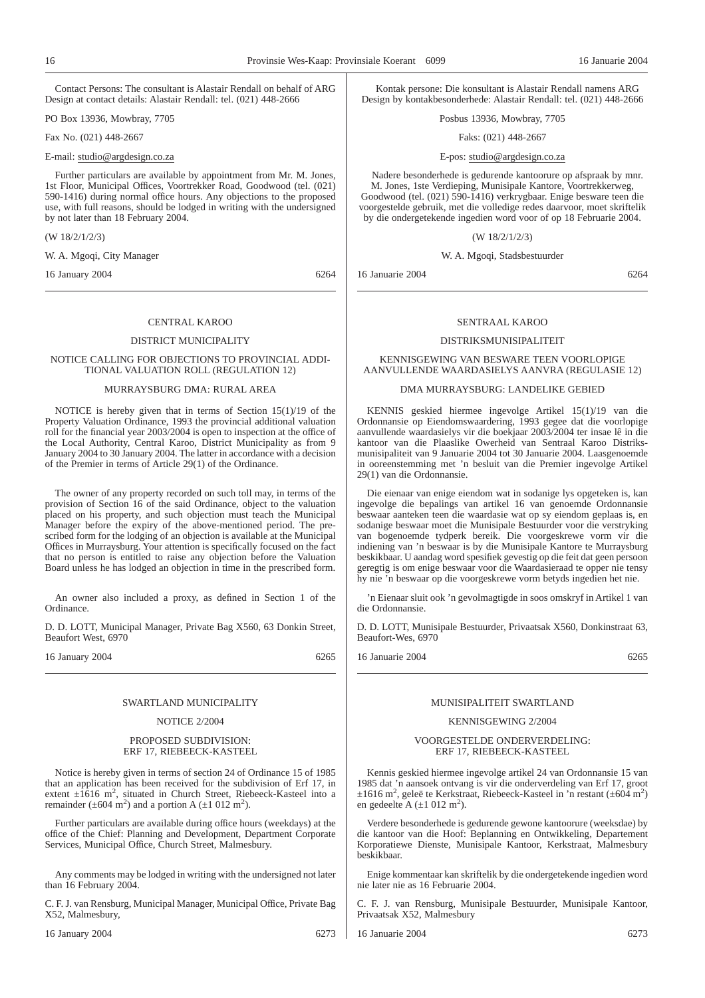Contact Persons: The consultant is Alastair Rendall on behalf of ARG Design at contact details: Alastair Rendall: tel. (021) 448-2666

PO Box 13936, Mowbray, 7705

Fax No. (021) 448-2667

E-mail: studio@argdesign.co.za

Further particulars are available by appointment from Mr. M. Jones, 1st Floor, Municipal Offices, Voortrekker Road, Goodwood (tel. (021) 590-1416) during normal office hours. Any objections to the proposed use, with full reasons, should be lodged in writing with the undersigned by not later than 18 February 2004.

(W 18/2/1/2/3)

W. A. Mgoqi, City Manager

16 January 2004 6264

#### CENTRAL KAROO

### DISTRICT MUNICIPALITY

#### NOTICE CALLING FOR OBJECTIONS TO PROVINCIAL ADDI-TIONAL VALUATION ROLL (REGULATION 12)

### MURRAYSBURG DMA: RURAL AREA

NOTICE is hereby given that in terms of Section 15(1)/19 of the Property Valuation Ordinance, 1993 the provincial additional valuation roll for the financial year 2003/2004 is open to inspection at the office of the Local Authority, Central Karoo, District Municipality as from 9 January 2004 to 30 January 2004. The latter in accordance with a decision of the Premier in terms of Article 29(1) of the Ordinance.

The owner of any property recorded on such toll may, in terms of the provision of Section 16 of the said Ordinance, object to the valuation placed on his property, and such objection must teach the Municipal Manager before the expiry of the above-mentioned period. The prescribed form for the lodging of an objection is available at the Municipal Offices in Murraysburg. Your attention is specifically focused on the fact that no person is entitled to raise any objection before the Valuation Board unless he has lodged an objection in time in the prescribed form.

An owner also included a proxy, as defined in Section 1 of the Ordinance.

D. D. LOTT, Municipal Manager, Private Bag X560, 63 Donkin Street, Beaufort West, 6970

16 January 2004 6265

#### SWARTLAND MUNICIPALITY

### NOTICE 2/2004

#### PROPOSED SUBDIVISION: ERF 17, RIEBEECK-KASTEEL

Notice is hereby given in terms of section 24 of Ordinance 15 of 1985 that an application has been received for the subdivision of Erf 17, in extent  $\pm 1616$  m<sup>2</sup>, situated in Church Street, Riebeeck-Kasteel into a remainder ( $\pm 604$  m<sup>2</sup>) and a portion A ( $\pm 1$  012 m<sup>2</sup>).

Further particulars are available during office hours (weekdays) at the office of the Chief: Planning and Development, Department Corporate Services, Municipal Office, Church Street, Malmesbury.

Any comments may be lodged in writing with the undersigned not later than 16 February 2004.

C. F. J. van Rensburg, Municipal Manager, Municipal Office, Private Bag X52, Malmesbury,

16 January 2004 6273

Kontak persone: Die konsultant is Alastair Rendall namens ARG Design by kontakbesonderhede: Alastair Rendall: tel. (021) 448-2666

Posbus 13936, Mowbray, 7705

#### Faks: (021) 448-2667

#### E-pos: studio@argdesign.co.za

Nadere besonderhede is gedurende kantoorure op afspraak by mnr. M. Jones, 1ste Verdieping, Munisipale Kantore, Voortrekkerweg, Goodwood (tel. (021) 590-1416) verkrygbaar. Enige besware teen die voorgestelde gebruik, met die volledige redes daarvoor, moet skriftelik by die ondergetekende ingedien word voor of op 18 Februarie 2004.

#### (W 18/2/1/2/3)

W. A. Mgoqi, Stadsbestuurder

16 Januarie 2004 6264

#### SENTRAAL KAROO

#### DISTRIKSMUNISIPALITEIT

#### KENNISGEWING VAN BESWARE TEEN VOORLOPIGE AANVULLENDE WAARDASIELYS AANVRA (REGULASIE 12)

#### DMA MURRAYSBURG: LANDELIKE GEBIED

KENNIS geskied hiermee ingevolge Artikel 15(1)/19 van die Ordonnansie op Eiendomswaardering, 1993 gegee dat die voorlopige aanvullende waardasielys vir die boekjaar 2003/2004 ter insae lê in die kantoor van die Plaaslike Owerheid van Sentraal Karoo Distriksmunisipaliteit van 9 Januarie 2004 tot 30 Januarie 2004. Laasgenoemde in ooreenstemming met 'n besluit van die Premier ingevolge Artikel 29(1) van die Ordonnansie.

Die eienaar van enige eiendom wat in sodanige lys opgeteken is, kan ingevolge die bepalings van artikel 16 van genoemde Ordonnansie beswaar aanteken teen die waardasie wat op sy eiendom geplaas is, en sodanige beswaar moet die Munisipale Bestuurder voor die verstryking van bogenoemde tydperk bereik. Die voorgeskrewe vorm vir die indiening van 'n beswaar is by die Munisipale Kantore te Murraysburg beskikbaar. U aandag word spesifiek gevestig op die feit dat geen persoon geregtig is om enige beswaar voor die Waardasieraad te opper nie tensy hy nie 'n beswaar op die voorgeskrewe vorm betyds ingedien het nie.

'n Eienaar sluit ook 'n gevolmagtigde in soos omskryf in Artikel 1 van die Ordonnansie.

D. D. LOTT, Munisipale Bestuurder, Privaatsak X560, Donkinstraat 63, Beaufort-Wes, 6970

| 16 Januarie 2004 | 6265 |
|------------------|------|
|------------------|------|

### MUNISIPALITEIT SWARTLAND

### KENNISGEWING 2/2004

#### VOORGESTELDE ONDERVERDELING: ERF 17, RIEBEECK-KASTEEL

Kennis geskied hiermee ingevolge artikel 24 van Ordonnansie 15 van 1985 dat 'n aansoek ontvang is vir die onderverdeling van Erf 17, groot ±1616 m<sup>2</sup>, geleë te Kerkstraat, Riebeeck-Kasteel in 'n restant (±604 m<sup>2</sup>) en gedeelte A  $(\pm 1 \ 012 \ m^2)$ .

Verdere besonderhede is gedurende gewone kantoorure (weeksdae) by die kantoor van die Hoof: Beplanning en Ontwikkeling, Departement Korporatiewe Dienste, Munisipale Kantoor, Kerkstraat, Malmesbury beskikbaar.

Enige kommentaar kan skriftelik by die ondergetekende ingedien word nie later nie as 16 Februarie 2004.

C. F. J. van Rensburg, Munisipale Bestuurder, Munisipale Kantoor, Privaatsak X52, Malmesbury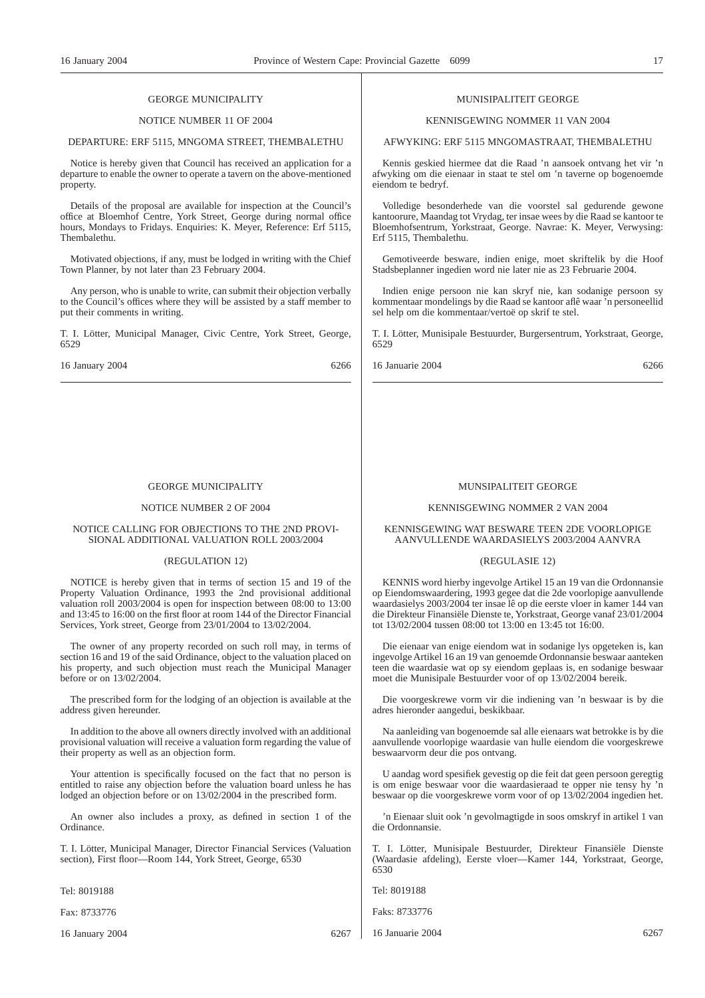### GEORGE MUNICIPALITY

### NOTICE NUMBER 11 OF 2004

#### DEPARTURE: ERF 5115, MNGOMA STREET, THEMBALETHU

Notice is hereby given that Council has received an application for a departure to enable the owner to operate a tavern on the above-mentioned property.

Details of the proposal are available for inspection at the Council's office at Bloemhof Centre, York Street, George during normal office hours, Mondays to Fridays. Enquiries: K. Meyer, Reference: Erf 5115, Thembalethu.

Motivated objections, if any, must be lodged in writing with the Chief Town Planner, by not later than 23 February 2004.

Any person, who is unable to write, can submit their objection verbally to the Council's offices where they will be assisted by a staff member to put their comments in writing.

T. I. Lötter, Municipal Manager, Civic Centre, York Street, George, 6529

16 January 2004 6266

### GEORGE MUNICIPALITY

#### NOTICE NUMBER 2 OF 2004

#### NOTICE CALLING FOR OBJECTIONS TO THE 2ND PROVI-SIONAL ADDITIONAL VALUATION ROLL 2003/2004

#### (REGULATION 12)

NOTICE is hereby given that in terms of section 15 and 19 of the Property Valuation Ordinance, 1993 the 2nd provisional additional valuation roll 2003/2004 is open for inspection between 08:00 to 13:00 and 13:45 to 16:00 on the first floor at room 144 of the Director Financial Services, York street, George from 23/01/2004 to 13/02/2004.

The owner of any property recorded on such roll may, in terms of section 16 and 19 of the said Ordinance, object to the valuation placed on his property, and such objection must reach the Municipal Manager before or on 13/02/2004.

The prescribed form for the lodging of an objection is available at the address given hereunder.

In addition to the above all owners directly involved with an additional provisional valuation will receive a valuation form regarding the value of their property as well as an objection form.

Your attention is specifically focused on the fact that no person is entitled to raise any objection before the valuation board unless he has lodged an objection before or on 13/02/2004 in the prescribed form.

An owner also includes a proxy, as defined in section 1 of the Ordinance.

T. I. Lötter, Municipal Manager, Director Financial Services (Valuation section), First floor—Room 144, York Street, George, 6530

Tel: 8019188

Fax: 8733776

16 January 2004 6267

#### MUNISIPALITEIT GEORGE

### KENNISGEWING NOMMER 11 VAN 2004

#### AFWYKING: ERF 5115 MNGOMASTRAAT, THEMBALETHU

Kennis geskied hiermee dat die Raad 'n aansoek ontvang het vir 'n afwyking om die eienaar in staat te stel om 'n taverne op bogenoemde eiendom te bedryf.

Volledige besonderhede van die voorstel sal gedurende gewone kantoorure, Maandag tot Vrydag, ter insae wees by die Raad se kantoor te Bloemhofsentrum, Yorkstraat, George. Navrae: K. Meyer, Verwysing: Erf 5115, Thembalethu.

Gemotiveerde besware, indien enige, moet skriftelik by die Hoof Stadsbeplanner ingedien word nie later nie as 23 Februarie 2004.

Indien enige persoon nie kan skryf nie, kan sodanige persoon sy kommentaar mondelings by die Raad se kantoor aflê waar 'n personeellid sel help om die kommentaar/vertoë op skrif te stel.

T. I. Lötter, Munisipale Bestuurder, Burgersentrum, Yorkstraat, George, 6529

16 Januarie 2004 6266

### MUNSIPALITEIT GEORGE

#### KENNISGEWING NOMMER 2 VAN 2004

#### KENNISGEWING WAT BESWARE TEEN 2DE VOORLOPIGE AANVULLENDE WAARDASIELYS 2003/2004 AANVRA

#### (REGULASIE 12)

KENNIS word hierby ingevolge Artikel 15 an 19 van die Ordonnansie op Eiendomswaardering, 1993 gegee dat die 2de voorlopige aanvullende waardasielys 2003/2004 ter insae lê op die eerste vloer in kamer 144 van die Direkteur Finansiële Dienste te, Yorkstraat, George vanaf 23/01/2004 tot 13/02/2004 tussen 08:00 tot 13:00 en 13:45 tot 16:00.

Die eienaar van enige eiendom wat in sodanige lys opgeteken is, kan ingevolge Artikel 16 an 19 van genoemde Ordonnansie beswaar aanteken teen die waardasie wat op sy eiendom geplaas is, en sodanige beswaar moet die Munisipale Bestuurder voor of op 13/02/2004 bereik.

Die voorgeskrewe vorm vir die indiening van 'n beswaar is by die adres hieronder aangedui, beskikbaar.

Na aanleiding van bogenoemde sal alle eienaars wat betrokke is by die aanvullende voorlopige waardasie van hulle eiendom die voorgeskrewe beswaarvorm deur die pos ontvang.

U aandag word spesifiek gevestig op die feit dat geen persoon geregtig is om enige beswaar voor die waardasieraad te opper nie tensy hy 'n beswaar op die voorgeskrewe vorm voor of op 13/02/2004 ingedien het.

'n Eienaar sluit ook 'n gevolmagtigde in soos omskryf in artikel 1 van die Ordonnansie.

T. I. Lötter, Munisipale Bestuurder, Direkteur Finansiële Dienste (Waardasie afdeling), Eerste vloer—Kamer 144, Yorkstraat, George, 6530

Tel: 8019188

Faks: 8733776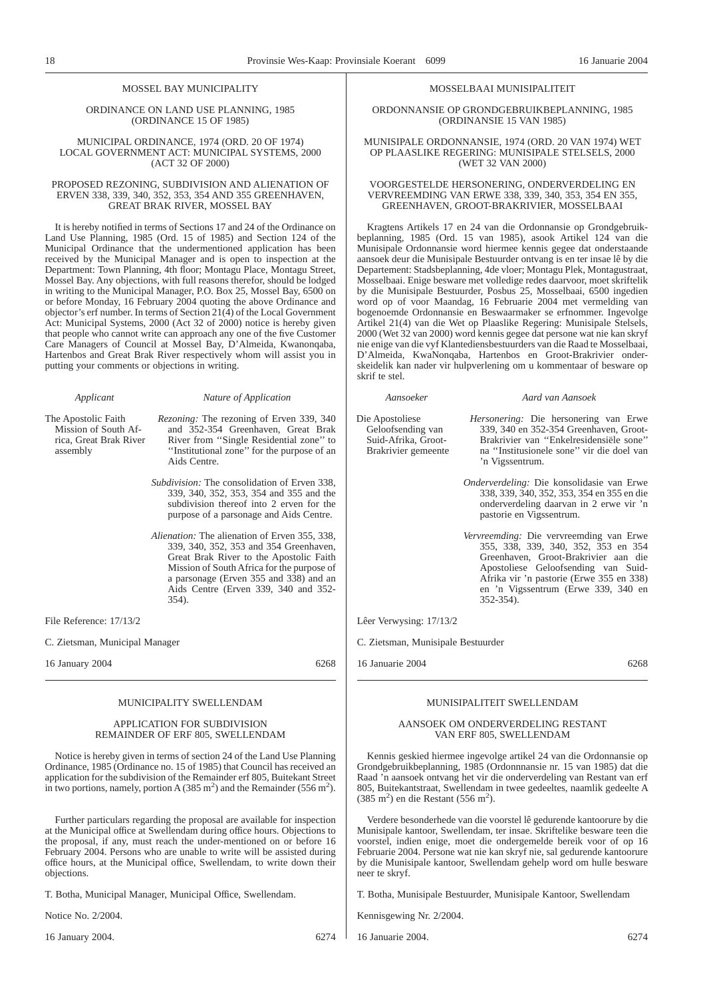### MOSSEL BAY MUNICIPALITY

ORDINANCE ON LAND USE PLANNING, 1985 (ORDINANCE 15 OF 1985)

MUNICIPAL ORDINANCE, 1974 (ORD. 20 OF 1974) LOCAL GOVERNMENT ACT: MUNICIPAL SYSTEMS, 2000 (ACT 32 OF 2000)

#### PROPOSED REZONING, SUBDIVISION AND ALIENATION OF ERVEN 338, 339, 340, 352, 353, 354 AND 355 GREENHAVEN, GREAT BRAK RIVER, MOSSEL BAY

It is hereby notified in terms of Sections 17 and 24 of the Ordinance on Land Use Planning, 1985 (Ord. 15 of 1985) and Section 124 of the Municipal Ordinance that the undermentioned application has been received by the Municipal Manager and is open to inspection at the Department: Town Planning, 4th floor; Montagu Place, Montagu Street, Mossel Bay. Any objections, with full reasons therefor, should be lodged in writing to the Municipal Manager, P.O. Box 25, Mossel Bay, 6500 on or before Monday, 16 February 2004 quoting the above Ordinance and objector's erf number. In terms of Section 21(4) of the Local Government Act: Municipal Systems, 2000 (Act 32 of 2000) notice is hereby given that people who cannot write can approach any one of the five Customer Care Managers of Council at Mossel Bay, D'Almeida, Kwanonqaba, Hartenbos and Great Brak River respectively whom will assist you in putting your comments or objections in writing.

#### *Applicant Nature of Application*

The Apostolic Faith Mission of South Africa, Great Brak River assembly

*Rezoning:* The rezoning of Erven 339, 340 and 352-354 Greenhaven, Great Brak River from ''Single Residential zone'' to ''Institutional zone'' for the purpose of an Aids Centre.

- *Subdivision:* The consolidation of Erven 338, 339, 340, 352, 353, 354 and 355 and the subdivision thereof into 2 erven for the purpose of a parsonage and Aids Centre.
- *Alienation:* The alienation of Erven 355, 338, 339, 340, 352, 353 and 354 Greenhaven, Great Brak River to the Apostolic Faith Mission of South Africa for the purpose of a parsonage (Erven 355 and 338) and an Aids Centre (Erven 339, 340 and 352- 354).

File Reference: 17/13/2

C. Zietsman, Municipal Manager

16 January 2004 6268

#### MUNICIPALITY SWELLENDAM

#### APPLICATION FOR SUBDIVISION REMAINDER OF ERF 805, SWELLENDAM

Notice is hereby given in terms of section 24 of the Land Use Planning Ordinance, 1985 (Ordinance no. 15 of 1985) that Council has received an application for the subdivision of the Remainder erf 805, Buitekant Street in two portions, namely, portion A (385 m<sup>2</sup>) and the Remainder (556 m<sup>2</sup>).

Further particulars regarding the proposal are available for inspection at the Municipal office at Swellendam during office hours. Objections to the proposal, if any, must reach the under-mentioned on or before 16 February 2004. Persons who are unable to write will be assisted during office hours, at the Municipal office, Swellendam, to write down their objections.

T. Botha, Municipal Manager, Municipal Office, Swellendam.

Notice No. 2/2004.

16 January 2004. 6274

#### MOSSELBAAI MUNISIPALITEIT

ORDONNANSIE OP GRONDGEBRUIKBEPLANNING, 1985 (ORDINANSIE 15 VAN 1985)

MUNISIPALE ORDONNANSIE, 1974 (ORD. 20 VAN 1974) WET OP PLAASLIKE REGERING: MUNISIPALE STELSELS, 2000 (WET 32 VAN 2000)

VOORGESTELDE HERSONERING, ONDERVERDELING EN VERVREEMDING VAN ERWE 338, 339, 340, 353, 354 EN 355, GREENHAVEN, GROOT-BRAKRIVIER, MOSSELBAAI

Kragtens Artikels 17 en 24 van die Ordonnansie op Grondgebruikbeplanning, 1985 (Ord. 15 van 1985), asook Artikel 124 van die Munisipale Ordonnansie word hiermee kennis gegee dat onderstaande aansoek deur die Munisipale Bestuurder ontvang is en ter insae lê by die Departement: Stadsbeplanning, 4de vloer; Montagu Plek, Montagustraat, Mosselbaai. Enige besware met volledige redes daarvoor, moet skriftelik by die Munisipale Bestuurder, Posbus 25, Mosselbaai, 6500 ingedien word op of voor Maandag, 16 Februarie 2004 met vermelding van bogenoemde Ordonnansie en Beswaarmaker se erfnommer. Ingevolge Artikel 21(4) van die Wet op Plaaslike Regering: Munisipale Stelsels, 2000 (Wet 32 van 2000) word kennis gegee dat persone wat nie kan skryf nie enige van die vyf Klantediensbestuurders van die Raad te Mosselbaai, D'Almeida, KwaNonqaba, Hartenbos en Groot-Brakrivier onderskeidelik kan nader vir hulpverlening om u kommentaar of besware op skrif te stel.

Die Apostoliese Geloofsending van Suid-Afrika, Groot-Brakrivier gemeente

*Aansoeker Aard van Aansoek*

- *Hersonering:* Die hersonering van Erwe 339, 340 en 352-354 Greenhaven, Groot-Brakrivier van ''Enkelresidensiële sone'' na ''Institusionele sone'' vir die doel van 'n Vigssentrum.
- *Onderverdeling:* Die konsolidasie van Erwe 338, 339, 340, 352, 353, 354 en 355 en die onderverdeling daarvan in 2 erwe vir 'n pastorie en Vigssentrum.
- *Vervreemding:* Die vervreemding van Erwe 355, 338, 339, 340, 352, 353 en 354 Greenhaven, Groot-Brakrivier aan die Apostoliese Geloofsending van Suid-Afrika vir 'n pastorie (Erwe 355 en 338) en 'n Vigssentrum (Erwe 339, 340 en 352-354).

Lêer Verwysing: 17/13/2

C. Zietsman, Munisipale Bestuurder

16 Januarie 2004 6268

### MUNISIPALITEIT SWELLENDAM

#### AANSOEK OM ONDERVERDELING RESTANT VAN ERF 805, SWELLENDAM

Kennis geskied hiermee ingevolge artikel 24 van die Ordonnansie op Grondgebruikbeplanning, 1985 (Ordonnnansie nr. 15 van 1985) dat die Raad 'n aansoek ontvang het vir die onderverdeling van Restant van erf 805, Buitekantstraat, Swellendam in twee gedeeltes, naamlik gedeelte A  $(385 \text{ m}^2)$  en die Restant  $(556 \text{ m}^2)$ .

Verdere besonderhede van die voorstel lê gedurende kantoorure by die Munisipale kantoor, Swellendam, ter insae. Skriftelike besware teen die voorstel, indien enige, moet die ondergemelde bereik voor of op 16 Februarie 2004. Persone wat nie kan skryf nie, sal gedurende kantoorure by die Munisipale kantoor, Swellendam gehelp word om hulle besware neer te skryf.

T. Botha, Munisipale Bestuurder, Munisipale Kantoor, Swellendam

Kennisgewing Nr. 2/2004.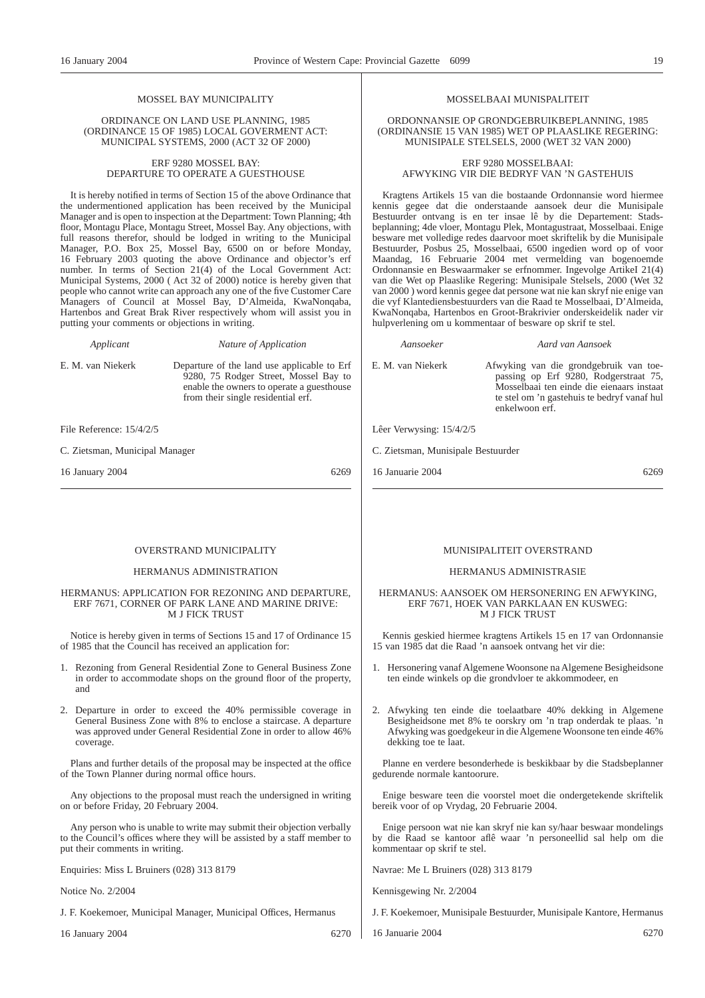### MOSSEL BAY MUNICIPALITY

#### ORDINANCE ON LAND USE PLANNING, 1985 (ORDINANCE 15 OF 1985) LOCAL GOVERMENT ACT: MUNICIPAL SYSTEMS, 2000 (ACT 32 OF 2000)

#### ERF 9280 MOSSEL BAY: DEPARTURE TO OPERATE A GUESTHOUSE

It is hereby notified in terms of Section 15 of the above Ordinance that the undermentioned application has been received by the Municipal Manager and is open to inspection at the Department: Town Planning; 4th floor, Montagu Place, Montagu Street, Mossel Bay. Any objections, with full reasons therefor, should be lodged in writing to the Municipal Manager, P.O. Box 25, Mossel Bay, 6500 on or before Monday, 16 February 2003 quoting the above Ordinance and objector's erf number. In terms of Section 21(4) of the Local Government Act: Municipal Systems, 2000 ( Act 32 of 2000) notice is hereby given that people who cannot write can approach any one of the five Customer Care Managers of Council at Mossel Bay, D'Almeida, KwaNonqaba, Hartenbos and Great Brak River respectively whom will assist you in putting your comments or objections in writing.

*Applicant Nature of Application*

E. M. van Niekerk Departure of the land use applicable to Erf

9280, 75 Rodger Street, Mossel Bay to enable the owners to operate a guesthouse from their single residential erf.

File Reference: 15/4/2/5

C. Zietsman, Municipal Manager

16 January 2004 6269

#### OVERSTRAND MUNICIPALITY

#### HERMANUS ADMINISTRATION

#### HERMANUS: APPLICATION FOR REZONING AND DEPARTURE, ERF 7671, CORNER OF PARK LANE AND MARINE DRIVE: M J FICK TRUST

Notice is hereby given in terms of Sections 15 and 17 of Ordinance 15 of 1985 that the Council has received an application for:

- 1. Rezoning from General Residential Zone to General Business Zone in order to accommodate shops on the ground floor of the property, and
- 2. Departure in order to exceed the 40% permissible coverage in General Business Zone with 8% to enclose a staircase. A departure was approved under General Residential Zone in order to allow 46% coverage.

Plans and further details of the proposal may be inspected at the office of the Town Planner during normal office hours.

Any objections to the proposal must reach the undersigned in writing on or before Friday, 20 February 2004.

Any person who is unable to write may submit their objection verbally to the Council's offices where they will be assisted by a staff member to put their comments in writing.

Enquiries: Miss L Bruiners (028) 313 8179

Notice No. 2/2004

J. F. Koekemoer, Municipal Manager, Municipal Offices, Hermanus

16 January 2004 6270

### MOSSELBAAI MUNISPALITEIT

ORDONNANSIE OP GRONDGEBRUIKBEPLANNING, 1985 (ORDINANSIE 15 VAN 1985) WET OP PLAASLIKE REGERING: MUNISIPALE STELSELS, 2000 (WET 32 VAN 2000)

ERF 9280 MOSSELBAAI: AFWYKING VIR DIE BEDRYF VAN 'N GASTEHUIS

Kragtens Artikels 15 van die bostaande Ordonnansie word hiermee kennis gegee dat die onderstaande aansoek deur die Munisipale Bestuurder ontvang is en ter insae lê by die Departement: Stadsbeplanning; 4de vloer, Montagu Plek, Montagustraat, Mosselbaai. Enige besware met volledige redes daarvoor moet skriftelik by die Munisipale Bestuurder, Posbus 25, Mosselbaai, 6500 ingedien word op of voor Maandag, 16 Februarie 2004 met vermelding van bogenoemde Ordonnansie en Beswaarmaker se erfnommer. Ingevolge ArtikeI 21(4) van die Wet op Plaaslike Regering: Munisipale Stelsels, 2000 (Wet 32 van 2000 ) word kennis gegee dat persone wat nie kan skryf nie enige van die vyf Klantediensbestuurders van die Raad te Mosselbaai, D'Almeida, KwaNonqaba, Hartenbos en Groot-Brakrivier onderskeidelik nader vir hulpverlening om u kommentaar of besware op skrif te stel.

*Aansoeker Aard van Aansoek*

E. M. van Niekerk Afwyking van die grondgebruik van toepassing op Erf 9280, Rodgerstraat 75, Mosselbaai ten einde die eienaars instaat te stel om 'n gastehuis te bedryf vanaf hul enkelwoon erf.

Lêer Verwysing: 15/4/2/5

C. Zietsman, Munisipale Bestuurder

16 Januarie 2004 6269

### MUNISIPALITEIT OVERSTRAND

#### HERMANUS ADMINISTRASIE

#### HERMANUS: AANSOEK OM HERSONERING EN AFWYKING, ERF 7671, HOEK VAN PARKLAAN EN KUSWEG: M J FICK TRUST

Kennis geskied hiermee kragtens Artikels 15 en 17 van Ordonnansie 15 van 1985 dat die Raad 'n aansoek ontvang het vir die:

- 1. Hersonering vanaf Algemene Woonsone na Algemene Besigheidsone ten einde winkels op die grondvloer te akkommodeer, en
- 2. Afwyking ten einde die toelaatbare 40% dekking in Algemene Besigheidsone met 8% te oorskry om 'n trap onderdak te plaas. 'n Afwyking was goedgekeur in die Algemene Woonsone ten einde 46% dekking toe te laat.

Planne en verdere besonderhede is beskikbaar by die Stadsbeplanner gedurende normale kantoorure.

Enige besware teen die voorstel moet die ondergetekende skriftelik bereik voor of op Vrydag, 20 Februarie 2004.

Enige persoon wat nie kan skryf nie kan sy/haar beswaar mondelings by die Raad se kantoor aflê waar 'n personeellid sal help om die kommentaar op skrif te stel.

Navrae: Me L Bruiners (028) 313 8179

Kennisgewing Nr. 2/2004

J. F. Koekemoer, Munisipale Bestuurder, Munisipale Kantore, Hermanus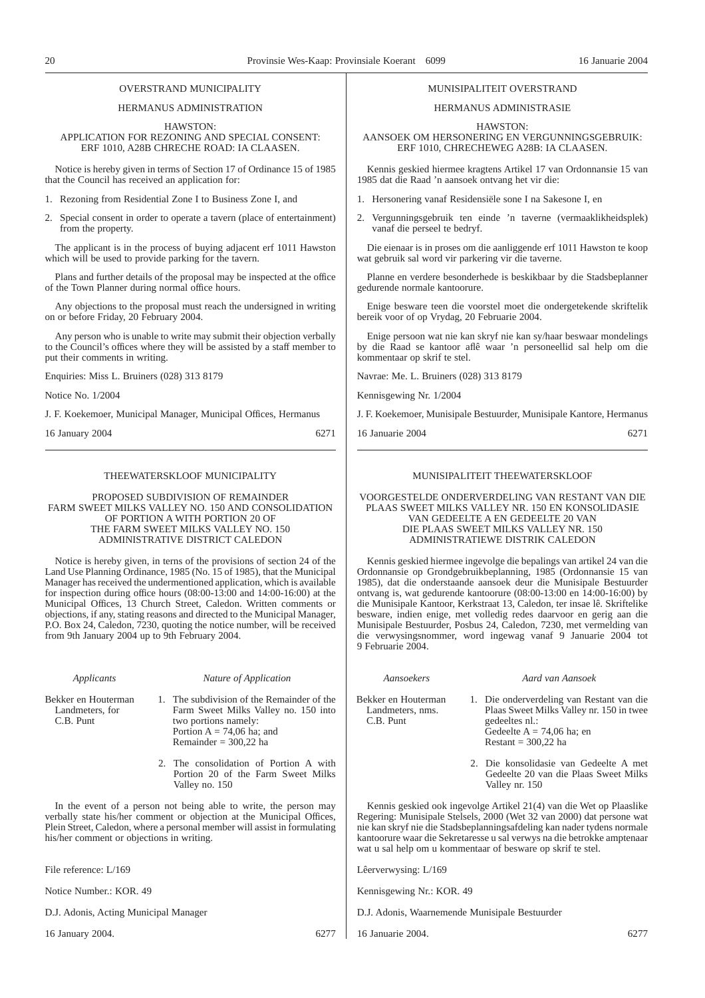#### OVERSTRAND MUNICIPALITY

HERMANUS ADMINISTRATION

#### HAWSTON: APPLICATION FOR REZONING AND SPECIAL CONSENT: ERF 1010, A28B CHRECHE ROAD: IA CLAASEN.

Notice is hereby given in terms of Section 17 of Ordinance 15 of 1985 that the Council has received an application for:

- 1. Rezoning from Residential Zone I to Business Zone I, and
- 2. Special consent in order to operate a tavern (place of entertainment) from the property.

The applicant is in the process of buying adjacent erf 1011 Hawston which will be used to provide parking for the tavern.

Plans and further details of the proposal may be inspected at the office of the Town Planner during normal office hours.

Any objections to the proposal must reach the undersigned in writing on or before Friday, 20 February 2004.

Any person who is unable to write may submit their objection verbally to the Council's offices where they will be assisted by a staff member to put their comments in writing.

Enquiries: Miss L. Bruiners (028) 313 8179

Notice No. 1/2004

J. F. Koekemoer, Municipal Manager, Municipal Offices, Hermanus

16 January 2004 6271

### THEEWATERSKLOOF MUNICIPALITY

PROPOSED SUBDIVISION OF REMAINDER FARM SWEET MILKS VALLEY NO. 150 AND CONSOLIDATION OF PORTION A WITH PORTION 20 OF THE FARM SWEET MILKS VALLEY NO. 150 ADMINISTRATIVE DISTRICT CALEDON

Notice is hereby given, in terns of the provisions of section 24 of the Land Use Planning Ordinance, 1985 (No. 15 of 1985), that the Municipal Manager has received the undermentioned application, which is available for inspection during office hours (08:00-13:00 and 14:00-16:00) at the Municipal Offices, 13 Church Street, Caledon. Written comments or objections, if any, stating reasons and directed to the Municipal Manager, P.O. Box 24, Caledon, 7230, quoting the notice number, will be received from 9th January 2004 up to 9th February 2004.

## *Applicants Nature of Application* 1. The subdivision of the Remainder of the

Farm Sweet Milks Valley no. 150 into

Bekker en Houterman Landmeters, for C.B. Punt

two portions namely: Portion  $A = 74,06$  ha; and Remainder  $= 300,22$  ha

2. The consolidation of Portion A with Portion 20 of the Farm Sweet Milks Valley no. 150

In the event of a person not being able to write, the person may verbally state his/her comment or objection at the Municipal Offices, Plein Street, Caledon, where a personal member will assist in formulating his/her comment or objections in writing.

File reference: L/169

Notice Number.: KOR. 49

D.J. Adonis, Acting Municipal Manager

16 January 2004. 6277

#### MUNISIPALITEIT OVERSTRAND

### HERMANUS ADMINISTRASIE

HAWSTON:

AANSOEK OM HERSONERING EN VERGUNNINGSGEBRUIK: ERF 1010, CHRECHEWEG A28B: IA CLAASEN.

Kennis geskied hiermee kragtens Artikel 17 van Ordonnansie 15 van 1985 dat die Raad 'n aansoek ontvang het vir die:

- 1. Hersonering vanaf Residensiële sone I na Sakesone I, en
- 2. Vergunningsgebruik ten einde 'n taverne (vermaaklikheidsplek) vanaf die perseel te bedryf.

Die eienaar is in proses om die aanliggende erf 1011 Hawston te koop wat gebruik sal word vir parkering vir die taverne.

Planne en verdere besonderhede is beskikbaar by die Stadsbeplanner gedurende normale kantoorure.

Enige besware teen die voorstel moet die ondergetekende skriftelik bereik voor of op Vrydag, 20 Februarie 2004.

Enige persoon wat nie kan skryf nie kan sy/haar beswaar mondelings by die Raad se kantoor aflê waar 'n personeellid sal help om die kommentaar op skrif te stel.

Navrae: Me. L. Bruiners (028) 313 8179

Kennisgewing Nr. 1/2004

J. F. Koekemoer, Munisipale Bestuurder, Munisipale Kantore, Hermanus

16 Januarie 2004 6271

#### MUNISIPALITEIT THEEWATERSKLOOF

VOORGESTELDE ONDERVERDELING VAN RESTANT VAN DIE PLAAS SWEET MILKS VALLEY NR. 150 EN KONSOLIDASIE VAN GEDEELTE A EN GEDEELTE 20 VAN DIE PLAAS SWEET MILKS VALLEY NR. 150 ADMINISTRATIEWE DISTRIK CALEDON

Kennis geskied hiermee ingevolge die bepalings van artikel 24 van die Ordonnansie op Grondgebruikbeplanning, 1985 (Ordonnansie 15 van 1985), dat die onderstaande aansoek deur die Munisipale Bestuurder ontvang is, wat gedurende kantoorure (08:00-13:00 en 14:00-16:00) by die Munisipale Kantoor, Kerkstraat 13, Caledon, ter insae lê. Skriftelike besware, indien enige, met volledig redes daarvoor en gerig aan die Munisipale Bestuurder, Posbus 24, Caledon, 7230, met vermelding van die verwysingsnommer, word ingewag vanaf 9 Januarie 2004 tot 9 Februarie 2004.

*Aansoekers Aard van Aansoek*

Bekker en Houterman Landmeters, nms. C.B. Punt

- 1. Die onderverdeling van Restant van die Plaas Sweet Milks Valley nr. 150 in twee gedeeltes nl.: Gedeelte  $A = 74,06$  ha; en Restant =  $300,22$  ha
- 2. Die konsolidasie van Gedeelte A met Gedeelte 20 van die Plaas Sweet Milks Valley nr. 150

Kennis geskied ook ingevolge Artikel 21(4) van die Wet op Plaaslike Regering: Munisipale Stelsels, 2000 (Wet 32 van 2000) dat persone wat nie kan skryf nie die Stadsbeplanningsafdeling kan nader tydens normale kantoorure waar die Sekretaresse u sal verwys na die betrokke amptenaar wat u sal help om u kommentaar of besware op skrif te stel.

Lêerverwysing: L/169

Kennisgewing Nr.: KOR. 49

D.J. Adonis, Waarnemende Munisipale Bestuurder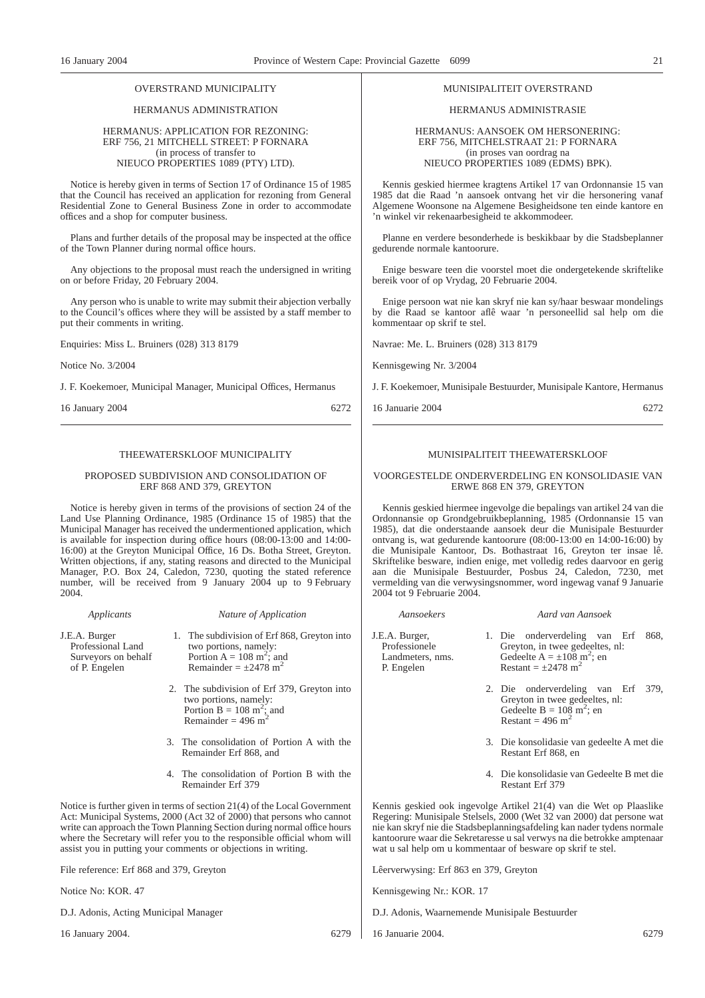### OVERSTRAND MUNICIPALITY

### HERMANUS ADMINISTRATION

#### HERMANUS: APPLICATION FOR REZONING: ERF 756, 21 MITCHELL STREET: P FORNARA (in process of transfer to NIEUCO PROPERTIES 1089 (PTY) LTD).

Notice is hereby given in terms of Section 17 of Ordinance 15 of 1985 that the Council has received an application for rezoning from General Residential Zone to General Business Zone in order to accommodate offices and a shop for computer business.

Plans and further details of the proposal may be inspected at the office of the Town Planner during normal office hours.

Any objections to the proposal must reach the undersigned in writing on or before Friday, 20 February 2004.

Any person who is unable to write may submit their abjection verbally to the Council's offices where they will be assisted by a staff member to put their comments in writing.

Enquiries: Miss L. Bruiners (028) 313 8179

Notice No. 3/2004

J. F. Koekemoer, Municipal Manager, Municipal Offices, Hermanus

16 January 2004 6272

#### THEEWATERSKLOOF MUNICIPALITY

#### PROPOSED SUBDIVISION AND CONSOLIDATION OF ERF 868 AND 379, GREYTON

Notice is hereby given in terms of the provisions of section 24 of the Land Use Planning Ordinance, 1985 (Ordinance 15 of 1985) that the Municipal Manager has received the undermentioned application, which is available for inspection during office hours (08:00-13:00 and 14:00- 16:00) at the Greyton Municipal Office, 16 Ds. Botha Street, Greyton. Written objections, if any, stating reasons and directed to the Municipal Manager, P.O. Box 24, Caledon, 7230, quoting the stated reference number, will be received from 9 January 2004 up to 9 February 2004.

| Applicants                                                                 | Nature of Application                                                                                                                                                                                                                                                                                                                                                        |                                         |
|----------------------------------------------------------------------------|------------------------------------------------------------------------------------------------------------------------------------------------------------------------------------------------------------------------------------------------------------------------------------------------------------------------------------------------------------------------------|-----------------------------------------|
| J.E.A. Burger<br>Professional Land<br>Surveyors on behalf<br>of P. Engelen | 1. The subdivision of Erf 868, Greyton into<br>two portions, namely:<br>Portion $A = 108$ m <sup>2</sup> ; and<br>Remainder = $\pm$ 2478 m <sup>2</sup>                                                                                                                                                                                                                      | J.E.A<br>Pro<br>La<br>$P_{\cdot}$       |
|                                                                            | 2. The subdivision of Erf 379, Greyton into<br>two portions, namely:<br>Portion B = $108 \text{ m}^2$ ; and<br>Remainder = 496 m <sup>2</sup>                                                                                                                                                                                                                                |                                         |
|                                                                            | 3. The consolidation of Portion A with the<br>Remainder Erf 868, and                                                                                                                                                                                                                                                                                                         |                                         |
|                                                                            | 4. The consolidation of Portion B with the<br>Remainder Erf 379                                                                                                                                                                                                                                                                                                              |                                         |
|                                                                            | Notice is further given in terms of section $21(4)$ of the Local Government<br>Act: Municipal Systems, 2000 (Act 32 of 2000) that persons who cannot<br>write can approach the Town Planning Section during normal office hours<br>where the Secretary will refer you to the responsible official whom will<br>assist you in putting your comments or objections in writing. | Kenn<br>Rege<br>nie k<br>kanto<br>wat u |
| File reference: Erf 868 and 379, Greyton                                   |                                                                                                                                                                                                                                                                                                                                                                              | Lêer                                    |
|                                                                            |                                                                                                                                                                                                                                                                                                                                                                              |                                         |

Notice No: KOR. 47

D.J. Adonis, Acting Municipal Manager

16 January 2004. 6279

### MUNISIPALITEIT OVERSTRAND

### HERMANUS ADMINISTRASIE

HERMANUS: AANSOEK OM HERSONERING: ERF 756, MITCHELSTRAAT 21: P FORNARA (in proses van oordrag na NIEUCO PROPERTIES 1089 (EDMS) BPK).

Kennis geskied hiermee kragtens Artikel 17 van Ordonnansie 15 van 1985 dat die Raad 'n aansoek ontvang het vir die hersonering vanaf Algemene Woonsone na Algemene Besigheidsone ten einde kantore en 'n winkel vir rekenaarbesigheid te akkommodeer.

Planne en verdere besonderhede is beskikbaar by die Stadsbeplanner gedurende normale kantoorure.

Enige besware teen die voorstel moet die ondergetekende skriftelike bereik voor of op Vrydag, 20 Februarie 2004.

Enige persoon wat nie kan skryf nie kan sy/haar beswaar mondelings by die Raad se kantoor aflê waar 'n personeellid sal help om die kommentaar op skrif te stel.

Navrae: Me. L. Bruiners (028) 313 8179

Kennisgewing Nr. 3/2004

J. F. Koekemoer, Munisipale Bestuurder, Munisipale Kantore, Hermanus

16 Januarie 2004 6272

#### MUNISIPALITEIT THEEWATERSKLOOF

#### VOORGESTELDE ONDERVERDELING EN KONSOLIDASIE VAN ERWE 868 EN 379, GREYTON

Kennis geskied hiermee ingevolge die bepalings van artikel 24 van die Ordonnansie op Grondgebruikbeplanning, 1985 (Ordonnansie 15 van 1985), dat die onderstaande aansoek deur die Munisipale Bestuurder ontvang is, wat gedurende kantoorure (08:00-13:00 en 14:00-16:00) by die Munisipale Kantoor, Ds. Bothastraat 16, Greyton ter insae lê. Skriftelike besware, indien enige, met volledig redes daarvoor en gerig aan die Munisipale Bestuurder, Posbus 24, Caledon, 7230, met vermelding van die verwysingsnommer, word ingewag vanaf 9 Januarie 2004 tot 9 Februarie 2004.

*Aansoekers Aard van Aansoek*

| E.A. Burger,<br>Professionele<br>Landmeters, nms.<br>P. Engelen | 1. Die onderverdeling van Erf<br>868.<br>Greyton, in twee gedeeltes, nl:<br>Gedeelte A = $\pm 108$ m <sup>2</sup> ; en<br>Restant = $\pm$ 2478 m <sup>2</sup> |
|-----------------------------------------------------------------|---------------------------------------------------------------------------------------------------------------------------------------------------------------|
|                                                                 | 2. Die onderverdeling van Erf<br>379,<br>Greyton in twee gedeeltes, nl:<br>Gedeelte B = $10\overline{8}$ m <sup>2</sup> ; en<br>Restant = 496 m <sup>2</sup>  |
|                                                                 | 3. Die konsolidasie van gedeelte A met die<br>Restant Erf 868, en                                                                                             |
|                                                                 | 4. Die konsolidasie van Gedeelte B met die<br>Restant Erf 379                                                                                                 |

Kennis geskied ook ingevolge Artikel 21(4) van die Wet op Plaaslike Regering: Munisipale Stelsels, 2000 (Wet 32 van 2000) dat persone wat nie kan skryf nie die Stadsbeplanningsafdeling kan nader tydens normale kantoorure waar die Sekretaresse u sal verwys na die betrokke amptenaar wat u sal help om u kommentaar of besware op skrif te stel.

Lêerverwysing: Erf 863 en 379, Greyton

Kennisgewing Nr.: KOR. 17

D.J. Adonis, Waarnemende Munisipale Bestuurder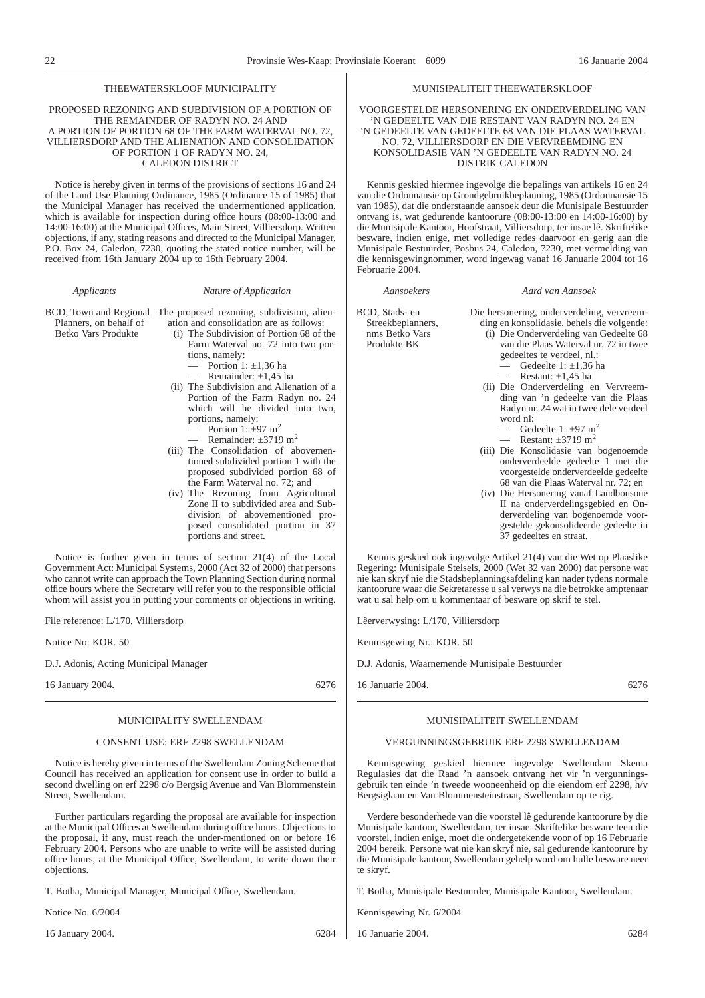### THEEWATERSKLOOF MUNICIPALITY

#### PROPOSED REZONING AND SUBDIVISION OF A PORTION OF THE REMAINDER OF RADYN NO. 24 AND A PORTION OF PORTION 68 OF THE FARM WATERVAL NO. 72, VILLIERSDORP AND THE ALIENATION AND CONSOLIDATION OF PORTION 1 OF RADYN NO. 24, CALEDON DISTRICT

Notice is hereby given in terms of the provisions of sections 16 and 24 of the Land Use Planning Ordinance, 1985 (Ordinance 15 of 1985) that the Municipal Manager has received the undermentioned application, which is available for inspection during office hours (08:00-13:00 and 14:00-16:00) at the Municipal Offices, Main Street, Villiersdorp. Written objections, if any, stating reasons and directed to the Municipal Manager, P.O. Box 24, Caledon, 7230, quoting the stated notice number, will be received from 16th January 2004 up to 16th February 2004.

| BCD, Town and Regional | The proposed rezoning, subdivision, alien- |
|------------------------|--------------------------------------------|
| Planners, on behalf of | ation and consolidation are as follows:    |
| Betko Vars Produkte    | (i) The Subdivision of Portion 68 of the   |

*Applicants Nature of Application*

(i) The Subdivision of Portion 68 of the Farm Waterval no. 72 into two portions, namely:

Portion 1:  $\pm 1,36$  ha Remainder:  $\pm 1.45$  ha

- (ii) The Subdivision and Alienation of a Portion of the Farm Radyn no. 24 which will he divided into two, portions, namely: Portion 1:  $\pm$ 97 m<sup>2</sup>
	- Remainder:  $+3719$  m<sup>2</sup>
- (iii) The Consolidation of abovementioned subdivided portion 1 with the proposed subdivided portion 68 of the Farm Waterval no. 72; and
- (iv) The Rezoning from Agricultural Zone II to subdivided area and Subdivision of abovementioned proposed consolidated portion in 37 portions and street.

Notice is further given in terms of section 21(4) of the Local Government Act: Municipal Systems, 2000 (Act 32 of 2000) that persons who cannot write can approach the Town Planning Section during normal office hours where the Secretary will refer you to the responsible official whom will assist you in putting your comments or objections in writing.

File reference: L/170, Villiersdorp

Notice No: KOR. 50

D.J. Adonis, Acting Municipal Manager

16 January 2004. 6276

### MUNICIPALITY SWELLENDAM

#### CONSENT USE: ERF 2298 SWELLENDAM

Notice is hereby given in terms of the Swellendam Zoning Scheme that Council has received an application for consent use in order to build a second dwelling on erf 2298 c/o Bergsig Avenue and Van Blommenstein Street, Swellendam.

Further particulars regarding the proposal are available for inspection at the Municipal Offices at Swellendam during office hours. Objections to the proposal, if any, must reach the under-mentioned on or before 16 February 2004. Persons who are unable to write will be assisted during office hours, at the Municipal Office, Swellendam, to write down their objections.

T. Botha, Municipal Manager, Municipal Office, Swellendam.

Notice No. 6/2004

16 January 2004. 6284

MUNISIPALITEIT THEEWATERSKLOOF

VOORGESTELDE HERSONERING EN ONDERVERDELING VAN 'N GEDEELTE VAN DIE RESTANT VAN RADYN NO. 24 EN 'N GEDEELTE VAN GEDEELTE 68 VAN DIE PLAAS WATERVAL NO. 72, VILLIERSDORP EN DIE VERVREEMDING EN KONSOLIDASIE VAN 'N GEDEELTE VAN RADYN NO. 24 DISTRIK CALEDON

Kennis geskied hiermee ingevolge die bepalings van artikels 16 en 24 van die Ordonnansie op Grondgebruikbeplanning, 1985 (Ordonnansie 15 van 1985), dat die onderstaande aansoek deur die Munisipale Bestuurder ontvang is, wat gedurende kantoorure (08:00-13:00 en 14:00-16:00) by die Munisipale Kantoor, Hoofstraat, Villiersdorp, ter insae lê. Skriftelike besware, indien enige, met volledige redes daarvoor en gerig aan die Munisipale Bestuurder, Posbus 24, Caledon, 7230, met vermelding van die kennisgewingnommer, word ingewag vanaf 16 Januarie 2004 tot 16 Februarie 2004.

BCD, Stads- en Streekbeplanners, nms Betko Vars

Produkte BK

*Aansoekers Aard van Aansoek*

- Die hersonering, onderverdeling, vervreemding en konsolidasie, behels die volgende: (i) Die Onderverdeling van Gedeelte 68 van die Plaas Waterval nr. 72 in twee
	- gedeeltes te verdeel, nl.: Gedeelte 1:  $\pm$ 1.36 ha
		- Restant:  $\pm 1.45$  ha
	- (ii) Die Onderverdeling en Vervreemding van 'n gedeelte van die Plaas Radyn nr. 24 wat in twee dele verdeel word nl:
		- Gedeelte 1:  $\pm$ 97 m<sup>2</sup>

37 gedeeltes en straat.

- Restant:  $\pm 3719$  m<sup>2</sup> (iii) Die Konsolidasie van bogenoemde onderverdeelde gedeelte 1 met die voorgestelde onderverdeelde gedeelte
- 68 van die Plaas Waterval nr. 72; en (iv) Die Hersonering vanaf Landbousone II na onderverdelingsgebied en Onderverdeling van bogenoemde voorgestelde gekonsolideerde gedeelte in

Kennis geskied ook ingevolge Artikel 21(4) van die Wet op Plaaslike Regering: Munisipale Stelsels, 2000 (Wet 32 van 2000) dat persone wat nie kan skryf nie die Stadsbeplanningsafdeling kan nader tydens normale kantoorure waar die Sekretaresse u sal verwys na die betrokke amptenaar wat u sal help om u kommentaar of besware op skrif te stel.

Lêerverwysing: L/170, Villiersdorp

Kennisgewing Nr.: KOR. 50

D.J. Adonis, Waarnemende Munisipale Bestuurder

16 Januarie 2004. 6276

#### MUNISIPALITEIT SWELLENDAM

### VERGUNNINGSGEBRUIK ERF 2298 SWELLENDAM

Kennisgewing geskied hiermee ingevolge Swellendam Skema Regulasies dat die Raad 'n aansoek ontvang het vir 'n vergunningsgebruik ten einde 'n tweede wooneenheid op die eiendom erf 2298, h/v Bergsiglaan en Van Blommensteinstraat, Swellendam op te rig.

Verdere besonderhede van die voorstel lê gedurende kantoorure by die Munisipale kantoor, Swellendam, ter insae. Skriftelike besware teen die voorstel, indien enige, moet die ondergetekende voor of op 16 Februarie 2004 bereik. Persone wat nie kan skryf nie, sal gedurende kantoorure by die Munisipale kantoor, Swellendam gehelp word om hulle besware neer te skryf.

T. Botha, Munisipale Bestuurder, Munisipale Kantoor, Swellendam.

Kennisgewing Nr. 6/2004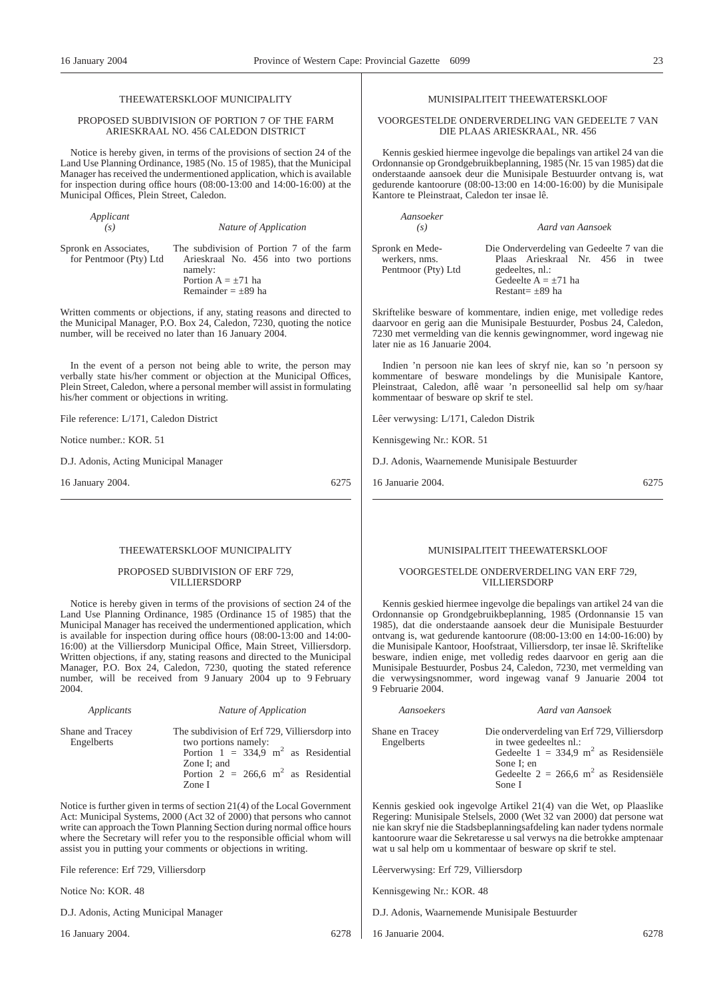### THEEWATERSKLOOF MUNICIPALITY

#### PROPOSED SUBDIVISION OF PORTION 7 OF THE FARM ARIESKRAAL NO. 456 CALEDON DISTRICT

Notice is hereby given, in terms of the provisions of section 24 of the Land Use Planning Ordinance, 1985 (No. 15 of 1985), that the Municipal Manager has received the undermentioned application, which is available for inspection during office hours (08:00-13:00 and 14:00-16:00) at the Municipal Offices, Plein Street, Caledon.

Spronk en Associates, for Pentmoor (Pty) Ltd

*Applicant*

*(s) Nature of Application*

The subdivision of Portion 7 of the farm Arieskraal No. 456 into two portions namely: Portion  $A = \pm 71$  ha Remainder  $= \pm 89$  ha

Written comments or objections, if any, stating reasons and directed to the Municipal Manager, P.O. Box 24, Caledon, 7230, quoting the notice number, will be received no later than 16 January 2004.

In the event of a person not being able to write, the person may verbally state his/her comment or objection at the Municipal Offices, Plein Street, Caledon, where a personal member will assist in formulating his/her comment or objections in writing.

File reference: L/171, Caledon District

Notice number.: KOR. 51

D.J. Adonis, Acting Municipal Manager

16 January 2004. 6275

### THEEWATERSKLOOF MUNICIPALITY

PROPOSED SUBDIVISION OF ERF 729, VILLIERSDORP

Notice is hereby given in terms of the provisions of section 24 of the Land Use Planning Ordinance, 1985 (Ordinance 15 of 1985) that the Municipal Manager has received the undermentioned application, which is available for inspection during office hours (08:00-13:00 and 14:00- 16:00) at the Villiersdorp Municipal Office, Main Street, Villiersdorp. Written objections, if any, stating reasons and directed to the Municipal Manager, P.O. Box 24, Caledon, 7230, quoting the stated reference number, will be received from 9 January 2004 up to 9 February 2004.

| Applicants                     | Nature of Application                                                                                                                                                                                    |
|--------------------------------|----------------------------------------------------------------------------------------------------------------------------------------------------------------------------------------------------------|
| Shane and Tracey<br>Engelberts | The subdivision of Erf 729, Villiersdorp into<br>two portions namely:<br>Portion $1 = 334.9$ m <sup>2</sup> as Residential<br>Zone I; and<br>Portion $2 = 266.6$ m <sup>2</sup> as Residential<br>Zone I |
|                                | Notice is further given in terms of section 21(4) of the Local Government                                                                                                                                |

Act: Municipal Systems, 2000 (Act 32 of 2000) that persons who cannot write can approach the Town Planning Section during normal office hours where the Secretary will refer you to the responsible official whom will assist you in putting your comments or objections in writing.

File reference: Erf 729, Villiersdorp

Notice No: KOR. 48

D.J. Adonis, Acting Municipal Manager

16 January 2004. 6278

#### VOORGESTELDE ONDERVERDELING VAN GEDEELTE 7 VAN DIE PLAAS ARIESKRAAL, NR. 456

MUNISIPALITEIT THEEWATERSKLOOF

Kennis geskied hiermee ingevolge die bepalings van artikel 24 van die Ordonnansie op Grondgebruikbeplanning, 1985 (Nr. 15 van 1985) dat die onderstaande aansoek deur die Munisipale Bestuurder ontvang is, wat gedurende kantoorure (08:00-13:00 en 14:00-16:00) by die Munisipale Kantore te Pleinstraat, Caledon ter insae lê.

| Aansoeker<br>(s)                                       | Aard van Aansoek                                                                                                                                     |
|--------------------------------------------------------|------------------------------------------------------------------------------------------------------------------------------------------------------|
| Spronk en Mede-<br>werkers, nms.<br>Pentmoor (Pty) Ltd | Die Onderverdeling van Gedeelte 7 van die<br>Plaas Arieskraal Nr. 456 in twee<br>gedeeltes, nl.:<br>Gedeelte $A = \pm 71$ ha<br>Restant= $\pm$ 89 ha |

Skriftelike besware of kommentare, indien enige, met volledige redes daarvoor en gerig aan die Munisipale Bestuurder, Posbus 24, Caledon, 7230 met vermelding van die kennis gewingnommer, word ingewag nie later nie as 16 Januarie 2004.

Indien 'n persoon nie kan lees of skryf nie, kan so 'n persoon sy kommentare of besware mondelings by die Munisipale Kantore, Pleinstraat, Caledon, aflê waar 'n personeellid sal help om sy/haar kommentaar of besware op skrif te stel.

Lêer verwysing: L/171, Caledon Distrik

Kennisgewing Nr.: KOR. 51

D.J. Adonis, Waarnemende Munisipale Bestuurder

16 Januarie 2004. 6275

### MUNISIPALITEIT THEEWATERSKLOOF

#### VOORGESTELDE ONDERVERDELING VAN ERF 729, VILLIERSDORP

Kennis geskied hiermee ingevolge die bepalings van artikel 24 van die Ordonnansie op Grondgebruikbeplanning, 1985 (Ordonnansie 15 van 1985), dat die onderstaande aansoek deur die Munisipale Bestuurder ontvang is, wat gedurende kantoorure (08:00-13:00 en 14:00-16:00) by die Munisipale Kantoor, Hoofstraat, Villiersdorp, ter insae lê. Skriftelike besware, indien enige, met volledig redes daarvoor en gerig aan die Munisipale Bestuurder, Posbus 24, Caledon, 7230, met vermelding van die verwysingsnommer, word ingewag vanaf 9 Januarie 2004 tot 9 Februarie 2004.

| Shane en Tracey | Die onderverdeling van Erf 729, Villiersdorp        |
|-----------------|-----------------------------------------------------|
| Engelberts      | in twee gedeeltes nl.:                              |
|                 | Gedeelte $1 = 334.9$ m <sup>2</sup> as Residensiële |
|                 | Sone I: en                                          |
|                 | Gedeelte $2 = 266.6$ m <sup>2</sup> as Residensiële |
|                 | Sone I                                              |

*Aansoekers Aard van Aansoek*

Kennis geskied ook ingevolge Artikel 21(4) van die Wet, op Plaaslike Regering: Munisipale Stelsels, 2000 (Wet 32 van 2000) dat persone wat nie kan skryf nie die Stadsbeplanningsafdeling kan nader tydens normale kantoorure waar die Sekretaresse u sal verwys na die betrokke amptenaar wat u sal help om u kommentaar of besware op skrif te stel.

Lêerverwysing: Erf 729, Villiersdorp

Kennisgewing Nr.: KOR. 48

D.J. Adonis, Waarnemende Munisipale Bestuurder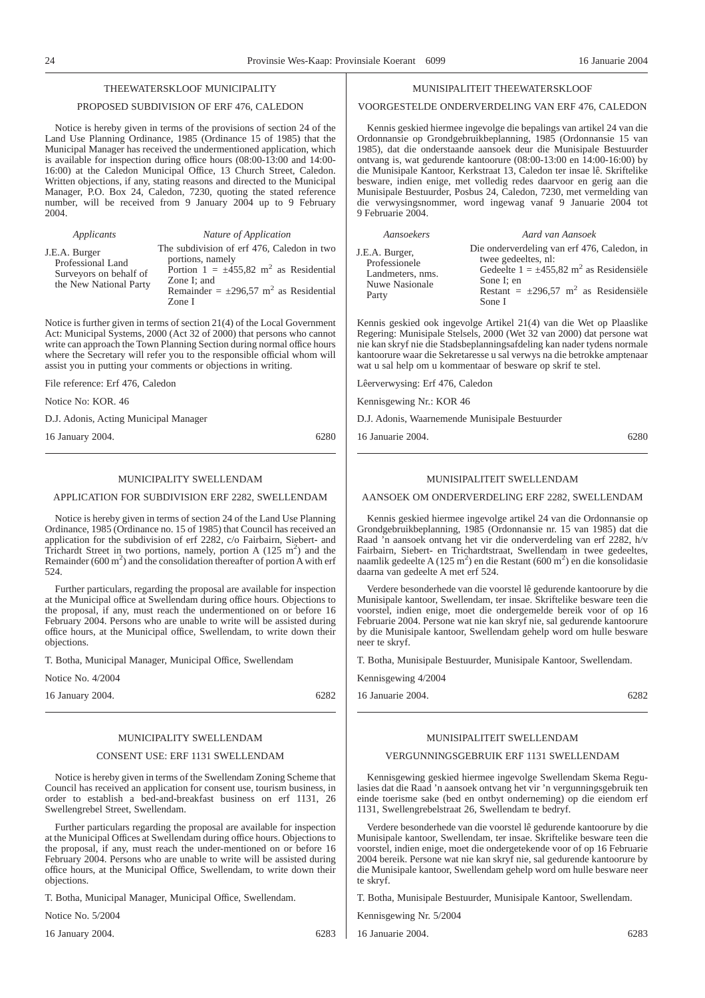### THEEWATERSKLOOF MUNICIPALITY

### PROPOSED SUBDIVISION OF ERF 476, CALEDON

Notice is hereby given in terms of the provisions of section 24 of the Land Use Planning Ordinance, 1985 (Ordinance 15 of 1985) that the Municipal Manager has received the undermentioned application, which is available for inspection during office hours (08:00-13:00 and 14:00- 16:00) at the Caledon Municipal Office, 13 Church Street, Caledon. Written objections, if any, stating reasons and directed to the Municipal Manager, P.O. Box 24, Caledon, 7230, quoting the stated reference number, will be received from 9 January 2004 up to 9 February 2004.

| Applicants                                                                             | Nature of Application                                                                                                                                                                                       |
|----------------------------------------------------------------------------------------|-------------------------------------------------------------------------------------------------------------------------------------------------------------------------------------------------------------|
| J.E.A. Burger<br>Professional Land<br>Surveyors on behalf of<br>the New National Party | The subdivision of erf 476, Caledon in two<br>portions, namely<br>Portion $1 = \pm 455.82$ m <sup>2</sup> as Residential<br>Zone I: and<br>Remainder = $\pm 296.57$ m <sup>2</sup> as Residential<br>Zone I |

Notice is further given in terms of section 21(4) of the Local Government Act: Municipal Systems, 2000 (Act 32 of 2000) that persons who cannot write can approach the Town Planning Section during normal office hours where the Secretary will refer you to the responsible official whom will assist you in putting your comments or objections in writing.

File reference: Erf 476, Caledon

Notice No: KOR. 46

D.J. Adonis, Acting Municipal Manager

16 January 2004. 6280

#### MUNICIPALITY SWELLENDAM

APPLICATION FOR SUBDIVISION ERF 2282, SWELLENDAM

Notice is hereby given in terms of section 24 of the Land Use Planning Ordinance, 1985 (Ordinance no. 15 of 1985) that Council has received an application for the subdivision of erf 2282, c/o Fairbairn, Siebert- and Trichardt Street in two portions, namely, portion A  $(125 \text{ m}^2)$  and the Remainder ( $600 \text{ m}^2$ ) and the consolidation thereafter of portion A with erf 524.

Further particulars, regarding the proposal are available for inspection at the Municipal office at Swellendam during office hours. Objections to the proposal, if any, must reach the undermentioned on or before 16 February 2004. Persons who are unable to write will be assisted during office hours, at the Municipal office, Swellendam, to write down their objections.

T. Botha, Municipal Manager, Municipal Office, Swellendam

Notice No. 4/2004

16 January 2004. 6282

### MUNICIPALITY SWELLENDAM

#### CONSENT USE: ERF 1131 SWELLENDAM

Notice is hereby given in terms of the Swellendam Zoning Scheme that Council has received an application for consent use, tourism business, in order to establish a bed-and-breakfast business on erf 1131, 26 Swellengrebel Street, Swellendam.

Further particulars regarding the proposal are available for inspection at the Municipal Offices at Swellendam during office hours. Objections to the proposal, if any, must reach the under-mentioned on or before 16 February 2004. Persons who are unable to write will be assisted during office hours, at the Municipal Office, Swellendam, to write down their objections.

T. Botha, Municipal Manager, Municipal Office, Swellendam.

Notice No. 5/2004

16 January 2004. 6283

#### MUNISIPALITEIT THEEWATER SKLOOF

### VOORGESTELDE ONDERVERDELING VAN ERF 476, CALEDON

Kennis geskied hiermee ingevolge die bepalings van artikel 24 van die Ordonnansie op Grondgebruikbeplanning, 1985 (Ordonnansie 15 van 1985), dat die onderstaande aansoek deur die Munisipale Bestuurder ontvang is, wat gedurende kantoorure (08:00-13:00 en 14:00-16:00) by die Munisipale Kantoor, Kerkstraat 13, Caledon ter insae lê. Skriftelike besware, indien enige, met volledig redes daarvoor en gerig aan die Munisipale Bestuurder, Posbus 24, Caledon, 7230, met vermelding van die verwysingsnommer, word ingewag vanaf 9 Januarie 2004 tot 9 Februarie 2004.

| Aansoekers                                                                            | Aard van Aansoek                                                                                                                                                                                                |
|---------------------------------------------------------------------------------------|-----------------------------------------------------------------------------------------------------------------------------------------------------------------------------------------------------------------|
| J.E.A. Burger,<br>Professionele<br>Landmeters, nms.<br><b>Nuwe Nasionale</b><br>Party | Die onderverdeling van erf 476, Caledon, in<br>twee gedeeltes, nl:<br>Gedeelte $1 = \pm 455.82$ m <sup>2</sup> as Residensiële<br>Sone I: en<br>Restant = $\pm 296.57$ m <sup>2</sup> as Residensiële<br>Sone I |

Kennis geskied ook ingevolge Artikel 21(4) van die Wet op Plaaslike Regering: Munisipale Stelsels, 2000 (Wet 32 van 2000) dat persone wat nie kan skryf nie die Stadsbeplanningsafdeling kan nader tydens normale kantoorure waar die Sekretaresse u sal verwys na die betrokke amptenaar wat u sal help om u kommentaar of besware op skrif te stel.

Lêerverwysing: Erf 476, Caledon

Kennisgewing Nr.: KOR 46

D.J. Adonis, Waarnemende Munisipale Bestuurder

16 Januarie 2004. 6280

### MUNISIPALITEIT SWELLENDAM

AANSOEK OM ONDERVERDELING ERF 2282, SWELLENDAM

Kennis geskied hiermee ingevolge artikel 24 van die Ordonnansie op Grondgebruikbeplanning, 1985 (Ordonnansie nr. 15 van 1985) dat die Raad 'n aansoek ontvang het vir die onderverdeling van erf 2282, h/v Fairbairn, Siebert- en Trichardtstraat, Swellendam in twee gedeeltes, naamlik gedeelte A (125 m<sup>2</sup>) en die Restant (600 m<sup>2</sup>) en die konsolidasie daarna van gedeelte A met erf 524.

Verdere besonderhede van die voorstel lê gedurende kantoorure by die Munisipale kantoor, Swellendam, ter insae. Skriftelike besware teen die voorstel, indien enige, moet die ondergemelde bereik voor of op 16 Februarie 2004. Persone wat nie kan skryf nie, sal gedurende kantoorure by die Munisipale kantoor, Swellendam gehelp word om hulle besware neer te skryf.

T. Botha, Munisipale Bestuurder, Munisipale Kantoor, Swellendam.

Kennisgewing 4/2004

16 Januarie 2004. 6282

### MUNISIPALITEIT SWELLENDAM

### VERGUNNINGSGEBRUIK ERF 1131 SWELLENDAM

Kennisgewing geskied hiermee ingevolge Swellendam Skema Regulasies dat die Raad 'n aansoek ontvang het vir 'n vergunningsgebruik ten einde toerisme sake (bed en ontbyt onderneming) op die eiendom erf 1131, Swellengrebelstraat 26, Swellendam te bedryf.

Verdere besonderhede van die voorstel lê gedurende kantoorure by die Munisipale kantoor, Swellendam, ter insae. Skriftelike besware teen die voorstel, indien enige, moet die ondergetekende voor of op 16 Februarie 2004 bereik. Persone wat nie kan skryf nie, sal gedurende kantoorure by die Munisipale kantoor, Swellendam gehelp word om hulle besware neer te skryf.

T. Botha, Munisipale Bestuurder, Munisipale Kantoor, Swellendam.

Kennisgewing Nr. 5/2004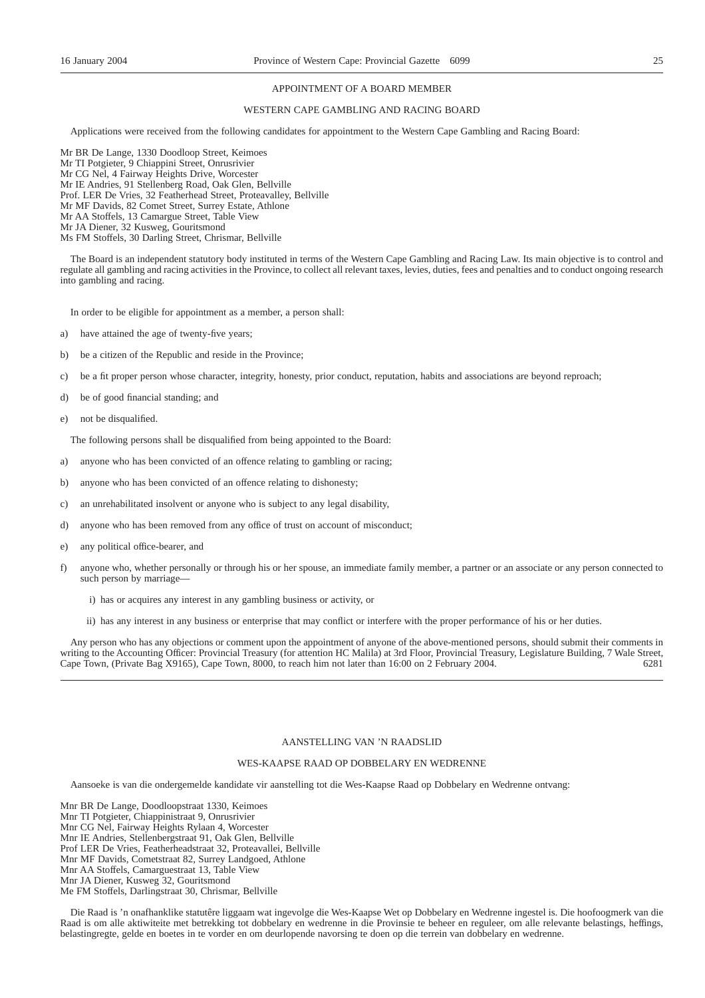#### APPOINTMENT OF A BOARD MEMBER

### WESTERN CAPE GAMBLING AND RACING BOARD

Applications were received from the following candidates for appointment to the Western Cape Gambling and Racing Board:

Mr BR De Lange, 1330 Doodloop Street, Keimoes Mr TI Potgieter, 9 Chiappini Street, Onrusrivier Mr CG Nel, 4 Fairway Heights Drive, Worcester Mr IE Andries, 91 Stellenberg Road, Oak Glen, Bellville Prof. LER De Vries, 32 Featherhead Street, Proteavalley, Bellville Mr MF Davids, 82 Comet Street, Surrey Estate, Athlone Mr AA Stoffels, 13 Camargue Street, Table View Mr JA Diener, 32 Kusweg, Gouritsmond Ms FM Stoffels, 30 Darling Street, Chrismar, Bellville

The Board is an independent statutory body instituted in terms of the Western Cape Gambling and Racing Law. Its main objective is to control and regulate all gambling and racing activities in the Province, to collect all relevant taxes, levies, duties, fees and penalties and to conduct ongoing research into gambling and racing.

In order to be eligible for appointment as a member, a person shall:

- a) have attained the age of twenty-five years;
- b) be a citizen of the Republic and reside in the Province;
- c) be a fit proper person whose character, integrity, honesty, prior conduct, reputation, habits and associations are beyond reproach;
- d) be of good financial standing; and
- e) not be disqualified.

The following persons shall be disqualified from being appointed to the Board:

- a) anyone who has been convicted of an offence relating to gambling or racing;
- b) anyone who has been convicted of an offence relating to dishonesty;
- c) an unrehabilitated insolvent or anyone who is subject to any legal disability,
- d) anyone who has been removed from any office of trust on account of misconduct;
- e) any political office-bearer, and
- f) anyone who, whether personally or through his or her spouse, an immediate family member, a partner or an associate or any person connected to such person by marriage
	- i) has or acquires any interest in any gambling business or activity, or
	- ii) has any interest in any business or enterprise that may conflict or interfere with the proper performance of his or her duties.

Any person who has any objections or comment upon the appointment of anyone of the above-mentioned persons, should submit their comments in writing to the Accounting Officer: Provincial Treasury (for attention HC Malila) at 3rd Floor, Provincial Treasury, Legislature Building, 7 Wale Street, Cape Town, (Private Bag X9165), Cape Town, 8000, to reach him not later than 16:00 on 2 February 2004. 6281

#### AANSTELLING VAN 'N RAADSLID

#### WES-KAAPSE RAAD OP DOBBELARY EN WEDRENNE

Aansoeke is van die ondergemelde kandidate vir aanstelling tot die Wes-Kaapse Raad op Dobbelary en Wedrenne ontvang:

Mnr BR De Lange, Doodloopstraat 1330, Keimoes Mnr TI Potgieter, Chiappinistraat 9, Onrusrivier Mnr CG Nel, Fairway Heights Rylaan 4, Worcester Mnr IE Andries, Stellenbergstraat 91, Oak Glen, Bellville Prof LER De Vries, Featherheadstraat 32, Proteavallei, Bellville Mnr MF Davids, Cometstraat 82, Surrey Landgoed, Athlone Mnr AA Stoffels, Camarguestraat 13, Table View Mnr JA Diener, Kusweg 32, Gouritsmond Me FM Stoffels, Darlingstraat 30, Chrismar, Bellville

Die Raad is 'n onafhanklike statutêre liggaam wat ingevolge die Wes-Kaapse Wet op Dobbelary en Wedrenne ingestel is. Die hoofoogmerk van die Raad is om alle aktiwiteite met betrekking tot dobbelary en wedrenne in die Provinsie te beheer en reguleer, om alle relevante belastings, heffings, belastingregte, gelde en boetes in te vorder en om deurlopende navorsing te doen op die terrein van dobbelary en wedrenne.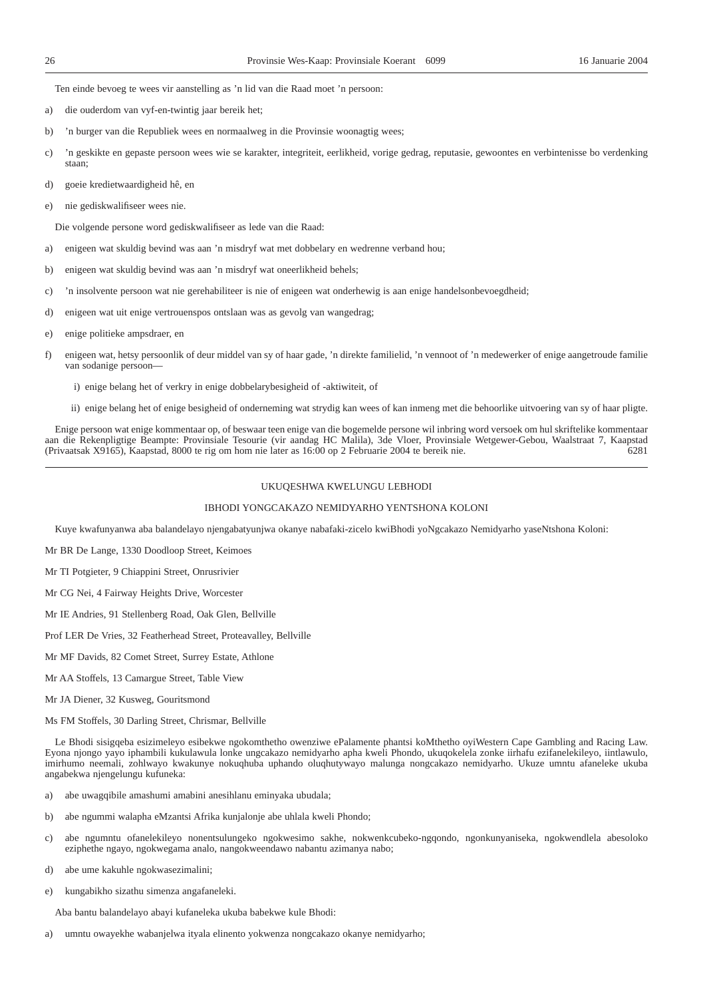Ten einde bevoeg te wees vir aanstelling as 'n lid van die Raad moet 'n persoon:

- a) die ouderdom van vyf-en-twintig jaar bereik het;
- b) 'n burger van die Republiek wees en normaalweg in die Provinsie woonagtig wees;
- c) 'n geskikte en gepaste persoon wees wie se karakter, integriteit, eerlikheid, vorige gedrag, reputasie, gewoontes en verbintenisse bo verdenking staan;
- d) goeie kredietwaardigheid hê, en
- e) nie gediskwalifiseer wees nie.

Die volgende persone word gediskwalifiseer as lede van die Raad:

- a) enigeen wat skuldig bevind was aan 'n misdryf wat met dobbelary en wedrenne verband hou;
- b) enigeen wat skuldig bevind was aan 'n misdryf wat oneerlikheid behels;
- c) 'n insolvente persoon wat nie gerehabiliteer is nie of enigeen wat onderhewig is aan enige handelsonbevoegdheid;
- d) enigeen wat uit enige vertrouenspos ontslaan was as gevolg van wangedrag;
- e) enige politieke ampsdraer, en
- f) enigeen wat, hetsy persoonlik of deur middel van sy of haar gade, 'n direkte familielid, 'n vennoot of 'n medewerker of enige aangetroude familie van sodanige persoon
	- i) enige belang het of verkry in enige dobbelarybesigheid of -aktiwiteit, of
	- ii) enige belang het of enige besigheid of onderneming wat strydig kan wees of kan inmeng met die behoorlike uitvoering van sy of haar pligte.

Enige persoon wat enige kommentaar op, of beswaar teen enige van die bogemelde persone wil inbring word versoek om hul skriftelike kommentaar aan die Rekenpligtige Beampte: Provinsiale Tesourie (vir aandag HC Malila), 3de Vloer, Provinsiale Wetgewer-Gebou, Waalstraat 7, Kaapstad (Privaatsak X9165), Kaapstad, 8000 te rig om hom nie later as 16:00 op 2 Februarie 2004 te bereik nie. 6281

### UKUQESHWA KWELUNGU LEBHODI

#### IBHODI YONGCAKAZO NEMIDYARHO YENTSHONA KOLONI

Kuye kwafunyanwa aba balandelayo njengabatyunjwa okanye nabafaki-zicelo kwiBhodi yoNgcakazo Nemidyarho yaseNtshona Koloni:

- Mr BR De Lange, 1330 Doodloop Street, Keimoes
- Mr TI Potgieter, 9 Chiappini Street, Onrusrivier
- Mr CG Nei, 4 Fairway Heights Drive, Worcester
- Mr IE Andries, 91 Stellenberg Road, Oak Glen, Bellville
- Prof LER De Vries, 32 Featherhead Street, Proteavalley, Bellville
- Mr MF Davids, 82 Comet Street, Surrey Estate, Athlone
- Mr AA Stoffels, 13 Camargue Street, Table View
- Mr JA Diener, 32 Kusweg, Gouritsmond
- Ms FM Stoffels, 30 Darling Street, Chrismar, Bellville

Le Bhodi sisigqeba esizimeleyo esibekwe ngokomthetho owenziwe ePalamente phantsi koMthetho oyiWestern Cape Gambling and Racing Law. Eyona njongo yayo iphambili kukulawula lonke ungcakazo nemidyarho apha kweli Phondo, ukuqokelela zonke iirhafu ezifanelekileyo, iintlawulo, imirhumo neemali, zohlwayo kwakunye nokuqhuba uphando oluqhutywayo malunga nongcakazo nemidyarho. Ukuze umntu afaneleke ukuba angabekwa njengelungu kufuneka:

- a) abe uwagqibile amashumi amabini anesihlanu eminyaka ubudala;
- b) abe ngummi walapha eMzantsi Afrika kunjalonje abe uhlala kweli Phondo;
- c) abe ngumntu ofanelekileyo nonentsulungeko ngokwesimo sakhe, nokwenkcubeko-ngqondo, ngonkunyaniseka, ngokwendlela abesoloko eziphethe ngayo, ngokwegama analo, nangokweendawo nabantu azimanya nabo;
- d) abe ume kakuhle ngokwasezimalini;
- e) kungabikho sizathu simenza angafaneleki.
- Aba bantu balandelayo abayi kufaneleka ukuba babekwe kule Bhodi:
- a) umntu owayekhe wabanjelwa ityala elinento yokwenza nongcakazo okanye nemidyarho;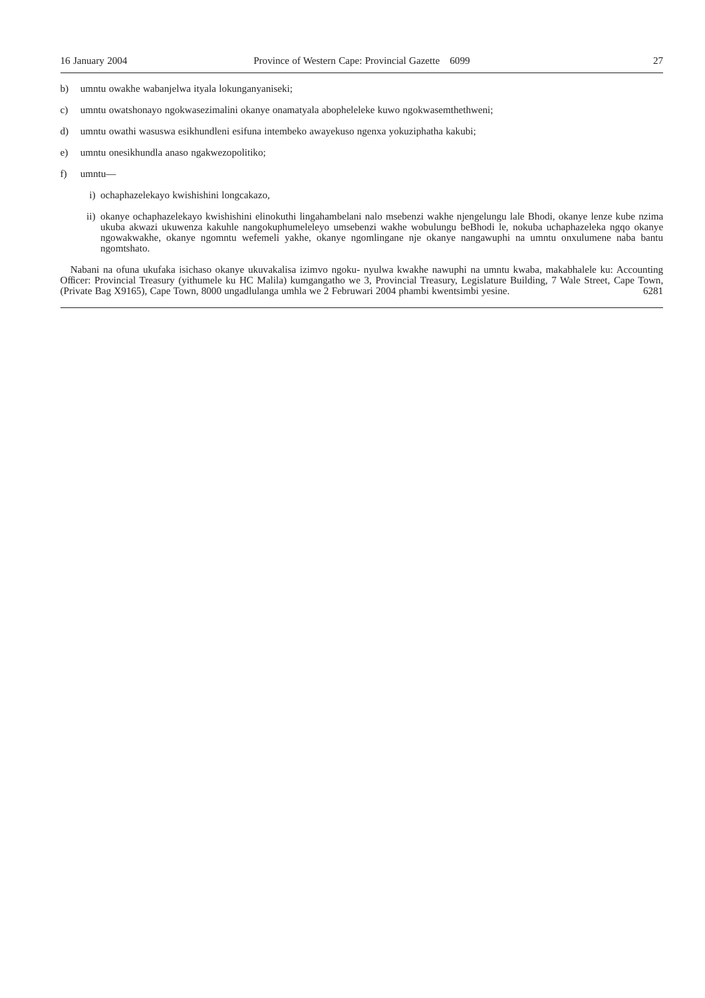- b) umntu owakhe wabanjelwa ityala lokunganyaniseki;
- c) umntu owatshonayo ngokwasezimalini okanye onamatyala abopheleleke kuwo ngokwasemthethweni;
- d) umntu owathi wasuswa esikhundleni esifuna intembeko awayekuso ngenxa yokuziphatha kakubi;
- e) umntu onesikhundla anaso ngakwezopolitiko;
- f) umntu
	- i) ochaphazelekayo kwishishini longcakazo,
	- ii) okanye ochaphazelekayo kwishishini elinokuthi lingahambelani nalo msebenzi wakhe njengelungu lale Bhodi, okanye lenze kube nzima ukuba akwazi ukuwenza kakuhle nangokuphumeleleyo umsebenzi wakhe wobulungu beBhodi le, nokuba uchaphazeleka ngqo okanye ngowakwakhe, okanye ngomntu wefemeli yakhe, okanye ngomlingane nje okanye nangawuphi na umntu onxulumene naba bantu ngomtshato.

Nabani na ofuna ukufaka isichaso okanye ukuvakalisa izimvo ngoku- nyulwa kwakhe nawuphi na umntu kwaba, makabhalele ku: Accounting Officer: Provincial Treasury (yithumele ku HC Malila) kumgangatho we 3, Provincial Treasury, Legislature Building, 7 Wale Street, Cape Town, (Private Bag X9165), Cape Town, 8000 ungadlulanga umhla we 2 Februwari 2004 phamb (Private Bag X9165), Cape Town, 8000 ungadlulanga umhla we 2 Februwari 2004 phambi kwentsimbi yesine.